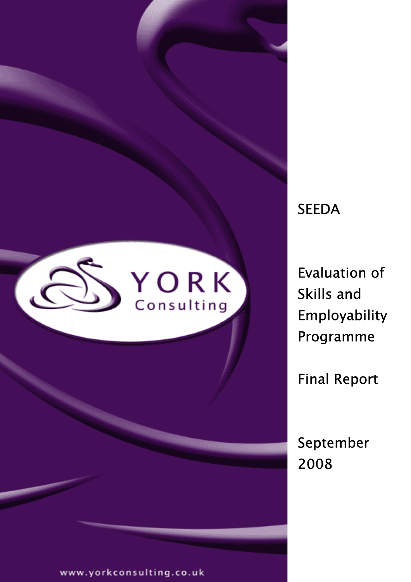

# **SEEDA**

Evaluation of Skills and Employability Programme

Final Report

September 2008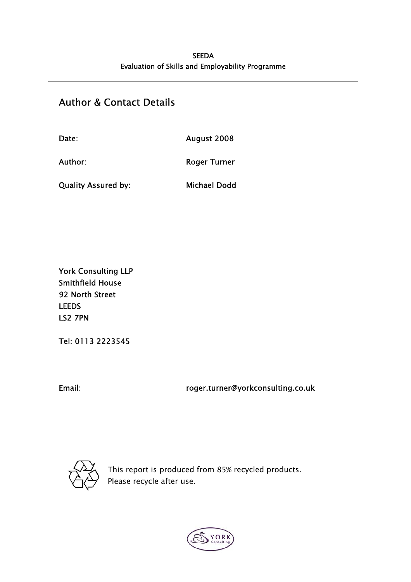# Author & Contact Details

| Date:                      | August 2008         |
|----------------------------|---------------------|
| Author:                    | <b>Roger Turner</b> |
| <b>Quality Assured by:</b> | <b>Michael Dodd</b> |

York Consulting LLP Smithfield House 92 North Street LEEDS LS2 7PN

Tel: 0113 2223545

Email: roger.turner@yorkconsulting.co.uk



This report is produced from 85% recycled products. Please recycle after use.

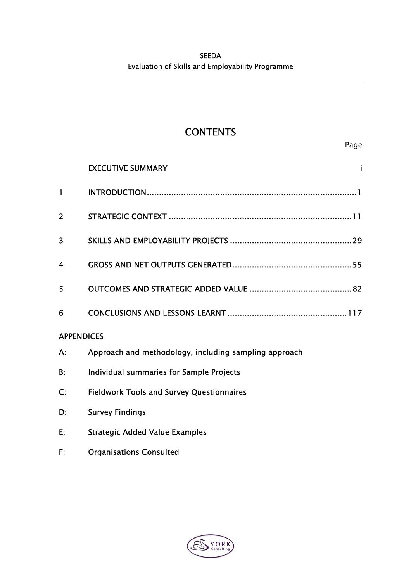# **CONTENTS**

|                           | <b>EXECUTIVE SUMMARY</b>                              |
|---------------------------|-------------------------------------------------------|
| $\mathbf{I}$              |                                                       |
| $\overline{2}$            |                                                       |
| 3                         |                                                       |
| 4                         |                                                       |
| 5                         |                                                       |
| 6                         |                                                       |
| <b>APPENDICES</b>         |                                                       |
| А.                        | Approach and methodology, including sampling approach |
| B:                        | Individual summaries for Sample Projects              |
| $\mathsf{C}^{\mathsf{.}}$ | <b>Fieldwork Tools and Survey Questionnaires</b>      |
| D:                        | <b>Survey Findings</b>                                |

- E: Strategic Added Value Examples
- F: Organisations Consulted

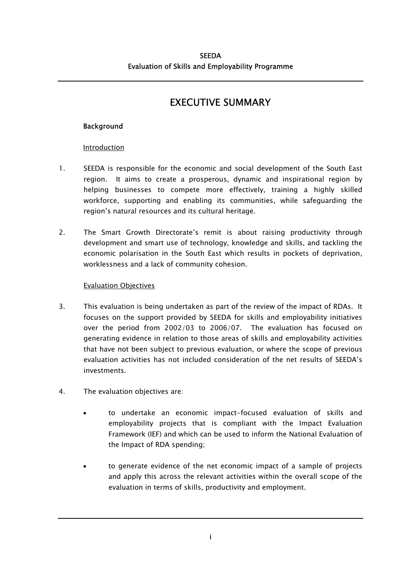# EXECUTIVE SUMMARY

### **Background**

#### Introduction

- 1. SEEDA is responsible for the economic and social development of the South East region. It aims to create a prosperous, dynamic and inspirational region by helping businesses to compete more effectively, training a highly skilled workforce, supporting and enabling its communities, while safeguarding the region's natural resources and its cultural heritage.
- 2. The Smart Growth Directorate's remit is about raising productivity through development and smart use of technology, knowledge and skills, and tackling the economic polarisation in the South East which results in pockets of deprivation, worklessness and a lack of community cohesion.

#### Evaluation Objectives

- 3. This evaluation is being undertaken as part of the review of the impact of RDAs. It focuses on the support provided by SEEDA for skills and employability initiatives over the period from 2002/03 to 2006/07. The evaluation has focused on generating evidence in relation to those areas of skills and employability activities that have not been subject to previous evaluation, or where the scope of previous evaluation activities has not included consideration of the net results of SEEDA's investments.
- 4. The evaluation objectives are:
	- to undertake an economic impact-focused evaluation of skills and employability projects that is compliant with the Impact Evaluation Framework (IEF) and which can be used to inform the National Evaluation of the Impact of RDA spending;
	- to generate evidence of the net economic impact of a sample of projects and apply this across the relevant activities within the overall scope of the evaluation in terms of skills, productivity and employment.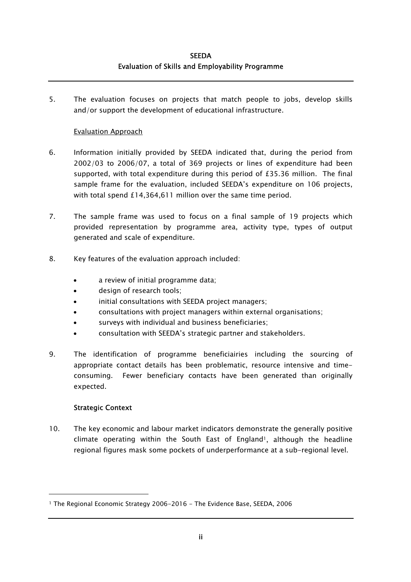5. The evaluation focuses on projects that match people to jobs, develop skills and/or support the development of educational infrastructure.

#### Evaluation Approach

- 6. Information initially provided by SEEDA indicated that, during the period from 2002/03 to 2006/07, a total of 369 projects or lines of expenditure had been supported, with total expenditure during this period of £35.36 million. The final sample frame for the evaluation, included SEEDA's expenditure on 106 projects, with total spend £14,364,611 million over the same time period.
- 7. The sample frame was used to focus on a final sample of 19 projects which provided representation by programme area, activity type, types of output generated and scale of expenditure.
- 8. Key features of the evaluation approach included:
	- a review of initial programme data;
	- design of research tools;
	- initial consultations with SEEDA project managers;
	- consultations with project managers within external organisations;
	- surveys with individual and business beneficiaries;
	- consultation with SEEDA's strategic partner and stakeholders.
- 9. The identification of programme beneficiairies including the sourcing of appropriate contact details has been problematic, resource intensive and timeconsuming. Fewer beneficiary contacts have been generated than originally expected.

#### Strategic Context

1

10. The key economic and labour market indicators demonstrate the generally positive climate operating within the South East of England<sup>1</sup>, although the headline regional figures mask some pockets of underperformance at a sub-regional level.

<span id="page-7-0"></span><sup>1</sup> The Regional Economic Strategy 2006-2016 - The Evidence Base, SEEDA, 2006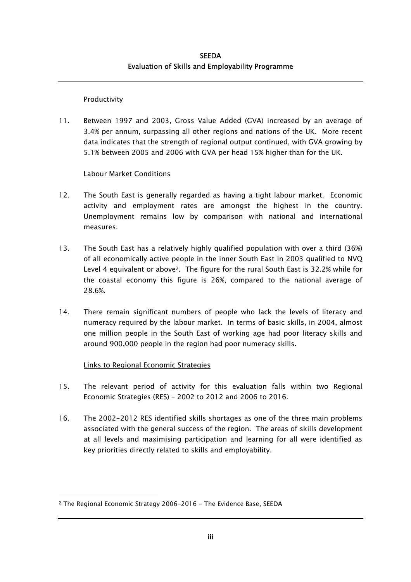#### **Productivity**

11. Between 1997 and 2003, Gross Value Added (GVA) increased by an average of 3.4% per annum, surpassing all other regions and nations of the UK. More recent data indicates that the strength of regional output continued, with GVA growing by 5.1% between 2005 and 2006 with GVA per head 15% higher than for the UK.

### Labour Market Conditions

- 12. The South East is generally regarded as having a tight labour market. Economic activity and employment rates are amongst the highest in the country. Unemployment remains low by comparison with national and international measures.
- 13. The South East has a relatively highly qualified population with over a third (36%) of all economically active people in the inner South East in 2003 qualified to NVQ Level 4 equivalent or abov[e2.](#page-8-0) The figure for the rural South East is 32.2% while for the coastal economy this figure is 26%, compared to the national average of 28.6%.
- 14. There remain significant numbers of people who lack the levels of literacy and numeracy required by the labour market. In terms of basic skills, in 2004, almost one million people in the South East of working age had poor literacy skills and around 900,000 people in the region had poor numeracy skills.

### Links to Regional Economic Strategies

- 15. The relevant period of activity for this evaluation falls within two Regional Economic Strategies (RES) – 2002 to 2012 and 2006 to 2016.
- 16. The 2002-2012 RES identified skills shortages as one of the three main problems associated with the general success of the region. The areas of skills development at all levels and maximising participation and learning for all were identified as key priorities directly related to skills and employability.

<span id="page-8-0"></span><sup>2</sup> The Regional Economic Strategy 2006-2016 - The Evidence Base, SEEDA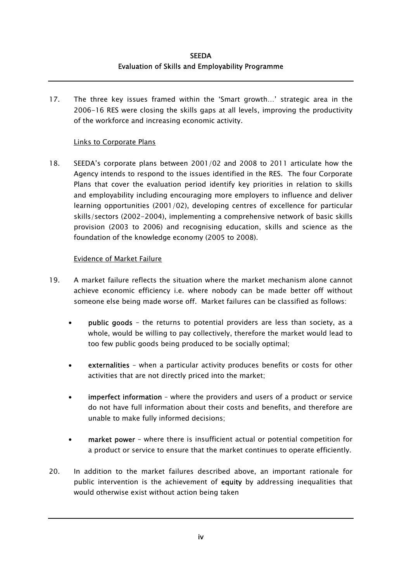17. The three key issues framed within the 'Smart growth…' strategic area in the 2006-16 RES were closing the skills gaps at all levels, improving the productivity of the workforce and increasing economic activity.

#### Links to Corporate Plans

18. SEEDA's corporate plans between 2001/02 and 2008 to 2011 articulate how the Agency intends to respond to the issues identified in the RES. The four Corporate Plans that cover the evaluation period identify key priorities in relation to skills and employability including encouraging more employers to influence and deliver learning opportunities (2001/02), developing centres of excellence for particular skills/sectors (2002-2004), implementing a comprehensive network of basic skills provision (2003 to 2006) and recognising education, skills and science as the foundation of the knowledge economy (2005 to 2008).

#### Evidence of Market Failure

- 19. A market failure reflects the situation where the market mechanism alone cannot achieve economic efficiency i.e. where nobody can be made better off without someone else being made worse off. Market failures can be classified as follows:
	- public goods the returns to potential providers are less than society, as a whole, would be willing to pay collectively, therefore the market would lead to too few public goods being produced to be socially optimal;
	- externalities when a particular activity produces benefits or costs for other activities that are not directly priced into the market;
	- imperfect information where the providers and users of a product or service do not have full information about their costs and benefits, and therefore are unable to make fully informed decisions;
	- market power where there is insufficient actual or potential competition for a product or service to ensure that the market continues to operate efficiently.
- 20. In addition to the market failures described above, an important rationale for public intervention is the achievement of equity by addressing inequalities that would otherwise exist without action being taken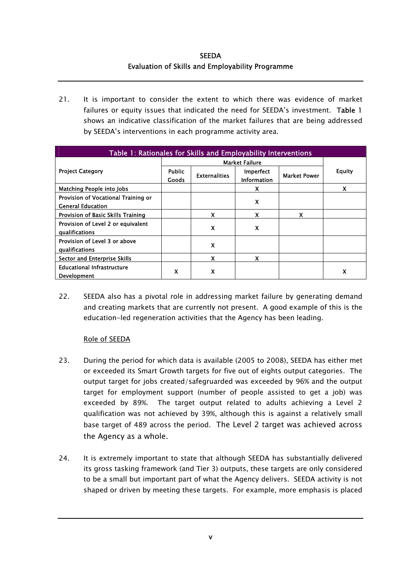21. It is important to consider the extent to which there was evidence of market failures or equity issues that indicated the need for SEEDA's investment. Table 1 shows an indicative classification of the market failures that are being addressed by SEEDA's interventions in each programme activity area.

| Table 1: Rationales for Skills and Employability Interventions  |                        |                           |                                 |                     |        |
|-----------------------------------------------------------------|------------------------|---------------------------|---------------------------------|---------------------|--------|
|                                                                 | <b>Market Failure</b>  |                           |                                 |                     |        |
| <b>Project Category</b>                                         | <b>Public</b><br>Goods | <b>Externalities</b>      | Imperfect<br><b>Information</b> | <b>Market Power</b> | Equity |
| <b>Matching People into Jobs</b>                                |                        |                           | X                               |                     | X      |
| Provision of Vocational Training or<br><b>General Education</b> |                        |                           | $\boldsymbol{\mathsf{x}}$       |                     |        |
| Provision of Basic Skills Training                              |                        | Χ                         | χ                               | χ                   |        |
| Provision of Level 2 or equivalent<br>qualifications            |                        | X                         | X                               |                     |        |
| Provision of Level 3 or above<br>qualifications                 |                        | X                         |                                 |                     |        |
| <b>Sector and Enterprise Skills</b>                             |                        | $\boldsymbol{\mathsf{x}}$ | X                               |                     |        |
| <b>Educational Infrastructure</b><br><b>Development</b>         | X                      | X                         |                                 |                     | X      |

22. SEEDA also has a pivotal role in addressing market failure by generating demand and creating markets that are currently not present. A good example of this is the education-led regeneration activities that the Agency has been leading.

#### Role of SEEDA

- 23. During the period for which data is available (2005 to 2008), SEEDA has either met or exceeded its Smart Growth targets for five out of eights output categories. The output target for jobs created/safegruarded was exceeded by 96% and the output target for employment support (number of people assisted to get a job) was exceeded by 89%. The target output related to adults achieving a Level 2 qualification was not achieved by 39%, although this is against a relatively small base target of 489 across the period. The Level 2 target was achieved across the Agency as a whole.
- 24. It is extremely important to state that although SEEDA has substantially delivered its gross tasking framework (and Tier 3) outputs, these targets are only considered to be a small but important part of what the Agency delivers. SEEDA activity is not shaped or driven by meeting these targets. For example, more emphasis is placed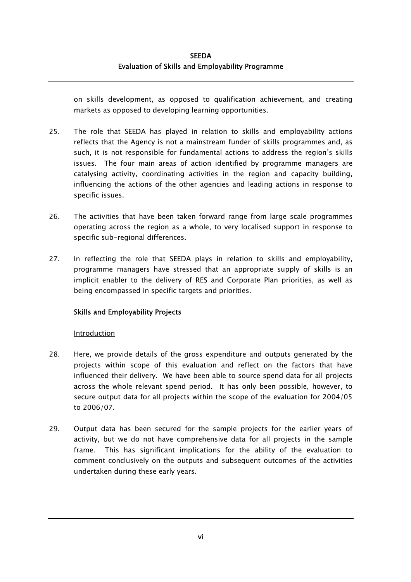on skills development, as opposed to qualification achievement, and creating markets as opposed to developing learning opportunities.

- 25. The role that SEEDA has played in relation to skills and employability actions reflects that the Agency is not a mainstream funder of skills programmes and, as such, it is not responsible for fundamental actions to address the region's skills issues. The four main areas of action identified by programme managers are catalysing activity, coordinating activities in the region and capacity building, influencing the actions of the other agencies and leading actions in response to specific issues.
- 26. The activities that have been taken forward range from large scale programmes operating across the region as a whole, to very localised support in response to specific sub-regional differences.
- 27. In reflecting the role that SEEDA plays in relation to skills and employability, programme managers have stressed that an appropriate supply of skills is an implicit enabler to the delivery of RES and Corporate Plan priorities, as well as being encompassed in specific targets and priorities.

### Skills and Employability Projects

#### Introduction

- 28. Here, we provide details of the gross expenditure and outputs generated by the projects within scope of this evaluation and reflect on the factors that have influenced their delivery. We have been able to source spend data for all projects across the whole relevant spend period. It has only been possible, however, to secure output data for all projects within the scope of the evaluation for 2004/05 to 2006/07.
- 29. Output data has been secured for the sample projects for the earlier years of activity, but we do not have comprehensive data for all projects in the sample frame. This has significant implications for the ability of the evaluation to comment conclusively on the outputs and subsequent outcomes of the activities undertaken during these early years.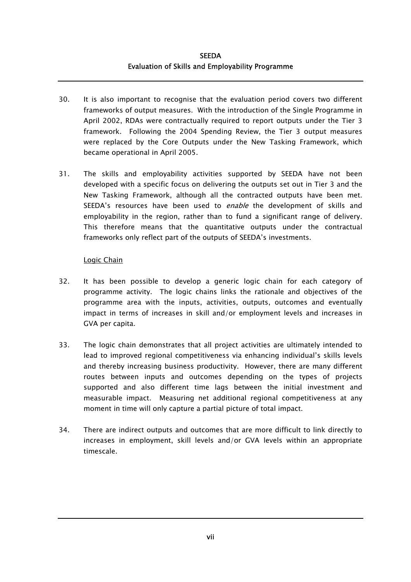- 30. It is also important to recognise that the evaluation period covers two different frameworks of output measures. With the introduction of the Single Programme in April 2002, RDAs were contractually required to report outputs under the Tier 3 framework. Following the 2004 Spending Review, the Tier 3 output measures were replaced by the Core Outputs under the New Tasking Framework, which became operational in April 2005.
- 31. The skills and employability activities supported by SEEDA have not been developed with a specific focus on delivering the outputs set out in Tier 3 and the New Tasking Framework, although all the contracted outputs have been met. SEEDA's resources have been used to *enable* the development of skills and employability in the region, rather than to fund a significant range of delivery. This therefore means that the quantitative outputs under the contractual frameworks only reflect part of the outputs of SEEDA's investments.

#### Logic Chain

- 32. It has been possible to develop a generic logic chain for each category of programme activity. The logic chains links the rationale and objectives of the programme area with the inputs, activities, outputs, outcomes and eventually impact in terms of increases in skill and/or employment levels and increases in GVA per capita.
- 33. The logic chain demonstrates that all project activities are ultimately intended to lead to improved regional competitiveness via enhancing individual's skills levels and thereby increasing business productivity. However, there are many different routes between inputs and outcomes depending on the types of projects supported and also different time lags between the initial investment and measurable impact. Measuring net additional regional competitiveness at any moment in time will only capture a partial picture of total impact.
- 34. There are indirect outputs and outcomes that are more difficult to link directly to increases in employment, skill levels and/or GVA levels within an appropriate timescale.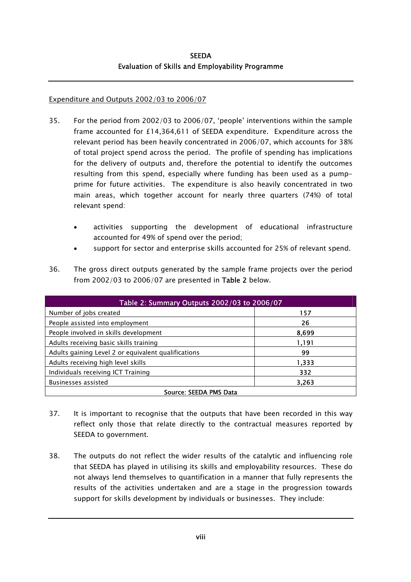#### Expenditure and Outputs 2002/03 to 2006/07

- 35. For the period from 2002/03 to 2006/07, 'people' interventions within the sample frame accounted for £14,364,611 of SEEDA expenditure. Expenditure across the relevant period has been heavily concentrated in 2006/07, which accounts for 38% of total project spend across the period. The profile of spending has implications for the delivery of outputs and, therefore the potential to identify the outcomes resulting from this spend, especially where funding has been used as a pumpprime for future activities. The expenditure is also heavily concentrated in two main areas, which together account for nearly three quarters (74%) of total relevant spend:
	- activities supporting the development of educational infrastructure accounted for 49% of spend over the period;
	- support for sector and enterprise skills accounted for 25% of relevant spend.
- 36. The gross direct outputs generated by the sample frame projects over the period from 2002/03 to 2006/07 are presented in Table 2 below.

| Table 2: Summary Outputs 2002/03 to 2006/07         |       |  |  |
|-----------------------------------------------------|-------|--|--|
| Number of jobs created                              | 157   |  |  |
| People assisted into employment                     | 26    |  |  |
| People involved in skills development               | 8,699 |  |  |
| Adults receiving basic skills training              | 1,191 |  |  |
| Adults gaining Level 2 or equivalent qualifications | 99    |  |  |
| Adults receiving high level skills                  | 1,333 |  |  |
| Individuals receiving ICT Training                  | 332   |  |  |
| Businesses assisted<br>3.263                        |       |  |  |
| Source: SEEDA PMS Data                              |       |  |  |

- 37. It is important to recognise that the outputs that have been recorded in this way reflect only those that relate directly to the contractual measures reported by SEEDA to government.
- 38. The outputs do not reflect the wider results of the catalytic and influencing role that SEEDA has played in utilising its skills and employability resources. These do not always lend themselves to quantification in a manner that fully represents the results of the activities undertaken and are a stage in the progression towards support for skills development by individuals or businesses. They include: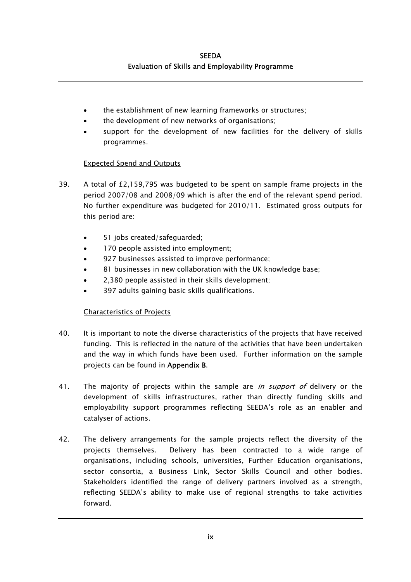- the establishment of new learning frameworks or structures;
- the development of new networks of organisations;
- support for the development of new facilities for the delivery of skills programmes.

### Expected Spend and Outputs

- 39. A total of £2,159,795 was budgeted to be spent on sample frame projects in the period 2007/08 and 2008/09 which is after the end of the relevant spend period. No further expenditure was budgeted for 2010/11. Estimated gross outputs for this period are:
	- 51 jobs created/safeguarded;
	- 170 people assisted into employment;
	- 927 businesses assisted to improve performance;
	- 81 businesses in new collaboration with the UK knowledge base;
	- 2,380 people assisted in their skills development;
	- 397 adults gaining basic skills qualifications.

### Characteristics of Projects

- 40. It is important to note the diverse characteristics of the projects that have received funding. This is reflected in the nature of the activities that have been undertaken and the way in which funds have been used. Further information on the sample projects can be found in Appendix B.
- 41. The majority of projects within the sample are *in support of* delivery or the development of skills infrastructures, rather than directly funding skills and employability support programmes reflecting SEEDA's role as an enabler and catalyser of actions.
- 42. The delivery arrangements for the sample projects reflect the diversity of the projects themselves. Delivery has been contracted to a wide range of organisations, including schools, universities, Further Education organisations, sector consortia, a Business Link, Sector Skills Council and other bodies. Stakeholders identified the range of delivery partners involved as a strength, reflecting SEEDA's ability to make use of regional strengths to take activities forward.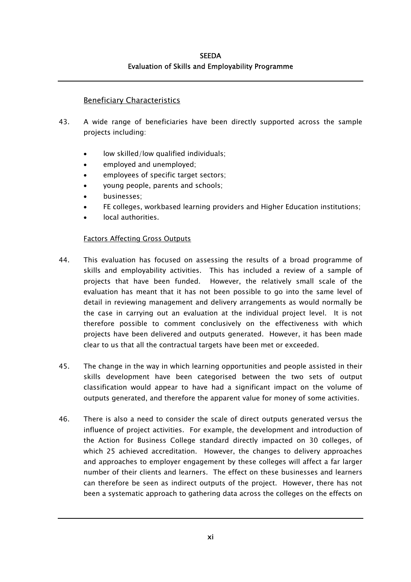# Beneficiary Characteristics

- 43. A wide range of beneficiaries have been directly supported across the sample projects including:
	- low skilled/low qualified individuals;
	- employed and unemployed;
	- employees of specific target sectors;
	- young people, parents and schools;
	- businesses;
	- FE colleges, workbased learning providers and Higher Education institutions;
	- local authorities.

### Factors Affecting Gross Outputs

- 44. This evaluation has focused on assessing the results of a broad programme of skills and employability activities. This has included a review of a sample of projects that have been funded. However, the relatively small scale of the evaluation has meant that it has not been possible to go into the same level of detail in reviewing management and delivery arrangements as would normally be the case in carrying out an evaluation at the individual project level. It is not therefore possible to comment conclusively on the effectiveness with which projects have been delivered and outputs generated. However, it has been made clear to us that all the contractual targets have been met or exceeded.
- 45. The change in the way in which learning opportunities and people assisted in their skills development have been categorised between the two sets of output classification would appear to have had a significant impact on the volume of outputs generated, and therefore the apparent value for money of some activities.
- 46. There is also a need to consider the scale of direct outputs generated versus the influence of project activities. For example, the development and introduction of the Action for Business College standard directly impacted on 30 colleges, of which 25 achieved accreditation. However, the changes to delivery approaches and approaches to employer engagement by these colleges will affect a far larger number of their clients and learners. The effect on these businesses and learners can therefore be seen as indirect outputs of the project. However, there has not been a systematic approach to gathering data across the colleges on the effects on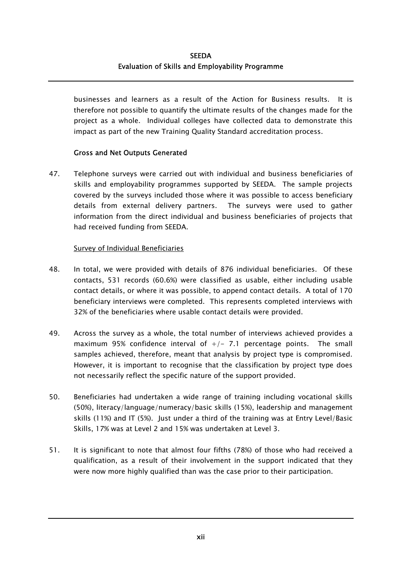businesses and learners as a result of the Action for Business results. It is therefore not possible to quantify the ultimate results of the changes made for the project as a whole. Individual colleges have collected data to demonstrate this impact as part of the new Training Quality Standard accreditation process.

#### Gross and Net Outputs Generated

47. Telephone surveys were carried out with individual and business beneficiaries of skills and employability programmes supported by SEEDA. The sample projects covered by the surveys included those where it was possible to access beneficiary details from external delivery partners. The surveys were used to gather information from the direct individual and business beneficiaries of projects that had received funding from SEEDA.

#### Survey of Individual Beneficiaries

- 48. In total, we were provided with details of 876 individual beneficiaries. Of these contacts, 531 records (60.6%) were classified as usable, either including usable contact details, or where it was possible, to append contact details. A total of 170 beneficiary interviews were completed. This represents completed interviews with 32% of the beneficiaries where usable contact details were provided.
- 49. Across the survey as a whole, the total number of interviews achieved provides a maximum 95% confidence interval of  $+/-$  7.1 percentage points. The small samples achieved, therefore, meant that analysis by project type is compromised. However, it is important to recognise that the classification by project type does not necessarily reflect the specific nature of the support provided.
- 50. Beneficiaries had undertaken a wide range of training including vocational skills (50%), literacy/language/numeracy/basic skills (15%), leadership and management skills (11%) and IT (5%). Just under a third of the training was at Entry Level/Basic Skills, 17% was at Level 2 and 15% was undertaken at Level 3.
- 51. It is significant to note that almost four fifths (78%) of those who had received a qualification, as a result of their involvement in the support indicated that they were now more highly qualified than was the case prior to their participation.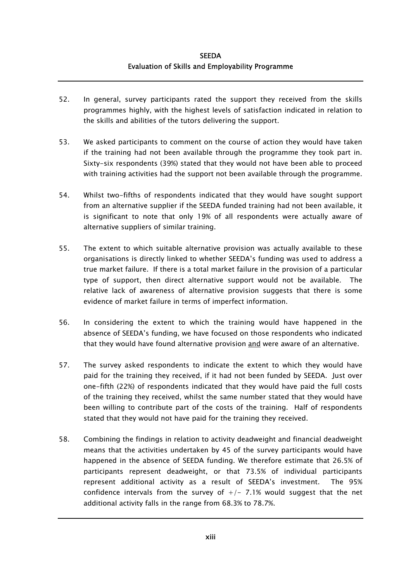- 52. In general, survey participants rated the support they received from the skills programmes highly, with the highest levels of satisfaction indicated in relation to the skills and abilities of the tutors delivering the support.
- 53. We asked participants to comment on the course of action they would have taken if the training had not been available through the programme they took part in. Sixty-six respondents (39%) stated that they would not have been able to proceed with training activities had the support not been available through the programme.
- 54. Whilst two-fifths of respondents indicated that they would have sought support from an alternative supplier if the SEEDA funded training had not been available, it is significant to note that only 19% of all respondents were actually aware of alternative suppliers of similar training.
- 55. The extent to which suitable alternative provision was actually available to these organisations is directly linked to whether SEEDA's funding was used to address a true market failure. If there is a total market failure in the provision of a particular type of support, then direct alternative support would not be available. The relative lack of awareness of alternative provision suggests that there is some evidence of market failure in terms of imperfect information.
- 56. In considering the extent to which the training would have happened in the absence of SEEDA's funding, we have focused on those respondents who indicated that they would have found alternative provision and were aware of an alternative.
- 57. The survey asked respondents to indicate the extent to which they would have paid for the training they received, if it had not been funded by SEEDA. Just over one-fifth (22%) of respondents indicated that they would have paid the full costs of the training they received, whilst the same number stated that they would have been willing to contribute part of the costs of the training. Half of respondents stated that they would not have paid for the training they received.
- 58. Combining the findings in relation to activity deadweight and financial deadweight means that the activities undertaken by 45 of the survey participants would have happened in the absence of SEEDA funding. We therefore estimate that 26.5% of participants represent deadweight, or that 73.5% of individual participants represent additional activity as a result of SEEDA's investment. The 95% confidence intervals from the survey of  $+/- 7.1%$  would suggest that the net additional activity falls in the range from 68.3% to 78.7%.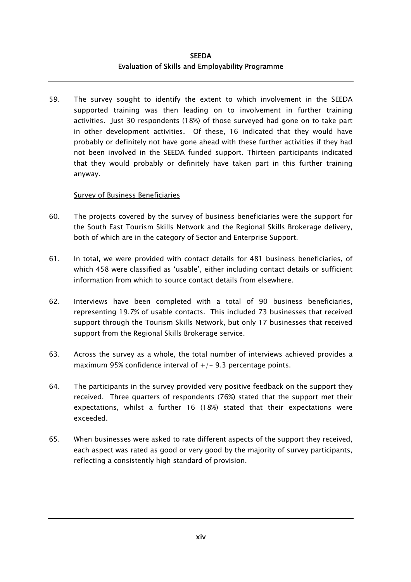59. The survey sought to identify the extent to which involvement in the SEEDA supported training was then leading on to involvement in further training activities. Just 30 respondents (18%) of those surveyed had gone on to take part in other development activities. Of these, 16 indicated that they would have probably or definitely not have gone ahead with these further activities if they had not been involved in the SEEDA funded support. Thirteen participants indicated that they would probably or definitely have taken part in this further training anyway.

#### Survey of Business Beneficiaries

- 60. The projects covered by the survey of business beneficiaries were the support for the South East Tourism Skills Network and the Regional Skills Brokerage delivery, both of which are in the category of Sector and Enterprise Support.
- 61. In total, we were provided with contact details for 481 business beneficiaries, of which 458 were classified as 'usable', either including contact details or sufficient information from which to source contact details from elsewhere.
- 62. Interviews have been completed with a total of 90 business beneficiaries, representing 19.7% of usable contacts. This included 73 businesses that received support through the Tourism Skills Network, but only 17 businesses that received support from the Regional Skills Brokerage service.
- 63. Across the survey as a whole, the total number of interviews achieved provides a maximum 95% confidence interval of  $+/-$  9.3 percentage points.
- 64. The participants in the survey provided very positive feedback on the support they received. Three quarters of respondents (76%) stated that the support met their expectations, whilst a further 16 (18%) stated that their expectations were exceeded.
- 65. When businesses were asked to rate different aspects of the support they received, each aspect was rated as good or very good by the majority of survey participants, reflecting a consistently high standard of provision.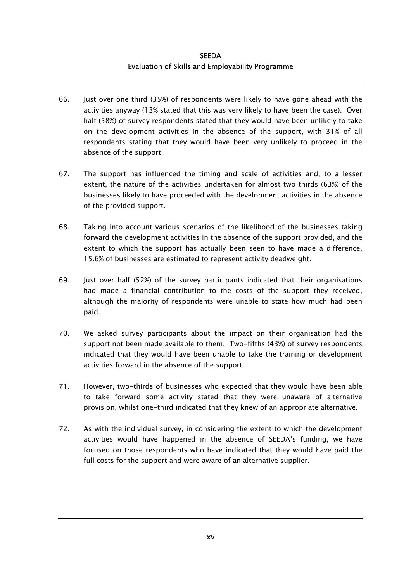- 66. Just over one third (35%) of respondents were likely to have gone ahead with the activities anyway (13% stated that this was very likely to have been the case). Over half (58%) of survey respondents stated that they would have been unlikely to take on the development activities in the absence of the support, with 31% of all respondents stating that they would have been very unlikely to proceed in the absence of the support.
- 67. The support has influenced the timing and scale of activities and, to a lesser extent, the nature of the activities undertaken for almost two thirds (63%) of the businesses likely to have proceeded with the development activities in the absence of the provided support.
- 68. Taking into account various scenarios of the likelihood of the businesses taking forward the development activities in the absence of the support provided, and the extent to which the support has actually been seen to have made a difference, 15.6% of businesses are estimated to represent activity deadweight.
- 69. Just over half (52%) of the survey participants indicated that their organisations had made a financial contribution to the costs of the support they received, although the majority of respondents were unable to state how much had been paid.
- 70. We asked survey participants about the impact on their organisation had the support not been made available to them. Two-fifths (43%) of survey respondents indicated that they would have been unable to take the training or development activities forward in the absence of the support.
- 71. However, two-thirds of businesses who expected that they would have been able to take forward some activity stated that they were unaware of alternative provision, whilst one-third indicated that they knew of an appropriate alternative.
- 72. As with the individual survey, in considering the extent to which the development activities would have happened in the absence of SEEDA's funding, we have focused on those respondents who have indicated that they would have paid the full costs for the support and were aware of an alternative supplier.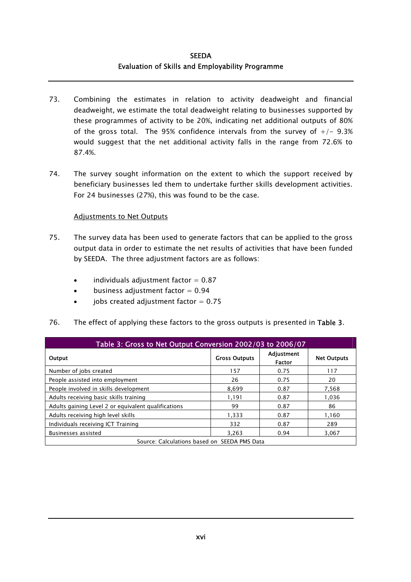- 73. Combining the estimates in relation to activity deadweight and financial deadweight, we estimate the total deadweight relating to businesses supported by these programmes of activity to be 20%, indicating net additional outputs of 80% of the gross total. The 95% confidence intervals from the survey of  $+/-$  9.3% would suggest that the net additional activity falls in the range from 72.6% to 87.4%.
- 74. The survey sought information on the extent to which the support received by beneficiary businesses led them to undertake further skills development activities. For 24 businesses (27%), this was found to be the case.

#### Adjustments to Net Outputs

- 75. The survey data has been used to generate factors that can be applied to the gross output data in order to estimate the net results of activities that have been funded by SEEDA. The three adjustment factors are as follows:
	- $\bullet$  individuals adjustment factor = 0.87
	- $\bullet$  business adjustment factor = 0.94
	- $\bullet$  jobs created adjustment factor = 0.75
- 76. The effect of applying these factors to the gross outputs is presented in Table 3.

| Table 3: Gross to Net Output Conversion 2002/03 to 2006/07 |                      |                             |                    |
|------------------------------------------------------------|----------------------|-----------------------------|--------------------|
| Output                                                     | <b>Gross Outputs</b> | Adjustment<br><b>Factor</b> | <b>Net Outputs</b> |
| Number of jobs created                                     | 157                  | 0.75                        | 117                |
| People assisted into employment                            | 26                   | 0.75                        | 20                 |
| People involved in skills development                      | 8.699                | 0.87                        | 7,568              |
| Adults receiving basic skills training                     | 1,191                | 0.87                        | 1,036              |
| Adults gaining Level 2 or equivalent qualifications        | 99                   | 0.87                        | 86                 |
| Adults receiving high level skills                         | 1,333                | 0.87                        | 1,160              |
| Individuals receiving ICT Training                         | 332                  | 0.87                        | 289                |
| Businesses assisted                                        | 3.263                | 0.94                        | 3.067              |
| Source: Calculations based on SEEDA PMS Data               |                      |                             |                    |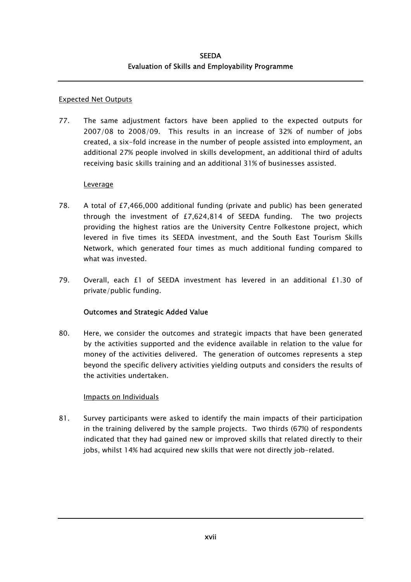#### Expected Net Outputs

77. The same adjustment factors have been applied to the expected outputs for 2007/08 to 2008/09. This results in an increase of 32% of number of jobs created, a six-fold increase in the number of people assisted into employment, an additional 27% people involved in skills development, an additional third of adults receiving basic skills training and an additional 31% of businesses assisted.

#### **Leverage**

- 78. A total of £7,466,000 additional funding (private and public) has been generated through the investment of £7,624,814 of SEEDA funding. The two projects providing the highest ratios are the University Centre Folkestone project, which levered in five times its SEEDA investment, and the South East Tourism Skills Network, which generated four times as much additional funding compared to what was invested.
- 79. Overall, each £1 of SEEDA investment has levered in an additional £1.30 of private/public funding.

### Outcomes and Strategic Added Value

80. Here, we consider the outcomes and strategic impacts that have been generated by the activities supported and the evidence available in relation to the value for money of the activities delivered. The generation of outcomes represents a step beyond the specific delivery activities yielding outputs and considers the results of the activities undertaken.

### Impacts on Individuals

81. Survey participants were asked to identify the main impacts of their participation in the training delivered by the sample projects. Two thirds (67%) of respondents indicated that they had gained new or improved skills that related directly to their jobs, whilst 14% had acquired new skills that were not directly job-related.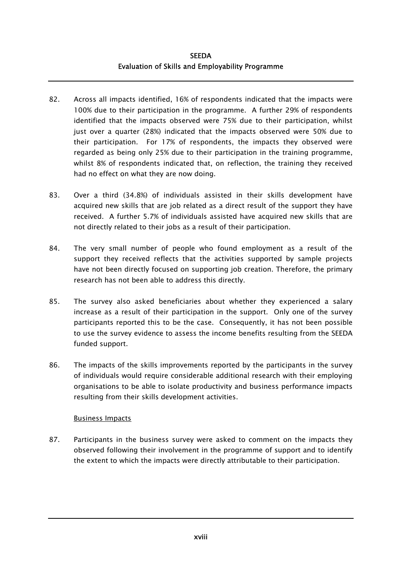- 82. Across all impacts identified, 16% of respondents indicated that the impacts were 100% due to their participation in the programme. A further 29% of respondents identified that the impacts observed were 75% due to their participation, whilst just over a quarter (28%) indicated that the impacts observed were 50% due to their participation. For 17% of respondents, the impacts they observed were regarded as being only 25% due to their participation in the training programme, whilst 8% of respondents indicated that, on reflection, the training they received had no effect on what they are now doing.
- 83. Over a third (34.8%) of individuals assisted in their skills development have acquired new skills that are job related as a direct result of the support they have received. A further 5.7% of individuals assisted have acquired new skills that are not directly related to their jobs as a result of their participation.
- 84. The very small number of people who found employment as a result of the support they received reflects that the activities supported by sample projects have not been directly focused on supporting job creation. Therefore, the primary research has not been able to address this directly.
- 85. The survey also asked beneficiaries about whether they experienced a salary increase as a result of their participation in the support. Only one of the survey participants reported this to be the case. Consequently, it has not been possible to use the survey evidence to assess the income benefits resulting from the SEEDA funded support.
- 86. The impacts of the skills improvements reported by the participants in the survey of individuals would require considerable additional research with their employing organisations to be able to isolate productivity and business performance impacts resulting from their skills development activities.

### Business Impacts

87. Participants in the business survey were asked to comment on the impacts they observed following their involvement in the programme of support and to identify the extent to which the impacts were directly attributable to their participation.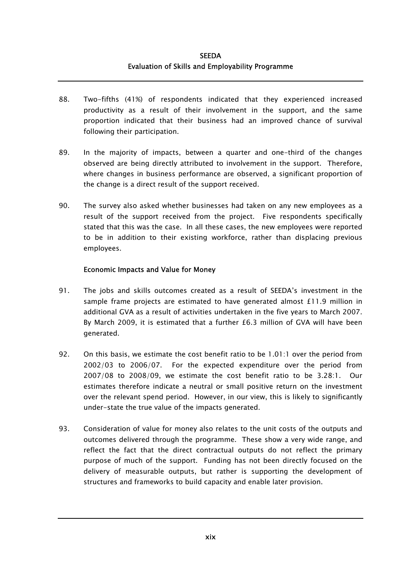- 88. Two-fifths (41%) of respondents indicated that they experienced increased productivity as a result of their involvement in the support, and the same proportion indicated that their business had an improved chance of survival following their participation.
- 89. In the majority of impacts, between a quarter and one-third of the changes observed are being directly attributed to involvement in the support. Therefore, where changes in business performance are observed, a significant proportion of the change is a direct result of the support received.
- 90. The survey also asked whether businesses had taken on any new employees as a result of the support received from the project. Five respondents specifically stated that this was the case. In all these cases, the new employees were reported to be in addition to their existing workforce, rather than displacing previous employees.

#### Economic Impacts and Value for Money

- 91. The jobs and skills outcomes created as a result of SEEDA's investment in the sample frame projects are estimated to have generated almost £11.9 million in additional GVA as a result of activities undertaken in the five years to March 2007. By March 2009, it is estimated that a further £6.3 million of GVA will have been generated.
- 92. On this basis, we estimate the cost benefit ratio to be 1.01:1 over the period from 2002/03 to 2006/07. For the expected expenditure over the period from 2007/08 to 2008/09, we estimate the cost benefit ratio to be 3.28:1. Our estimates therefore indicate a neutral or small positive return on the investment over the relevant spend period. However, in our view, this is likely to significantly under-state the true value of the impacts generated.
- 93. Consideration of value for money also relates to the unit costs of the outputs and outcomes delivered through the programme. These show a very wide range, and reflect the fact that the direct contractual outputs do not reflect the primary purpose of much of the support. Funding has not been directly focused on the delivery of measurable outputs, but rather is supporting the development of structures and frameworks to build capacity and enable later provision.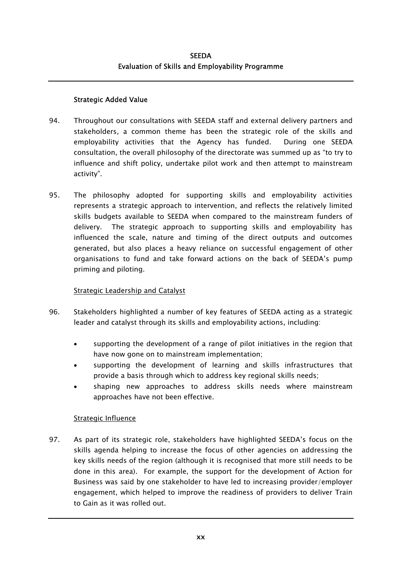#### Strategic Added Value

- 94. Throughout our consultations with SEEDA staff and external delivery partners and stakeholders, a common theme has been the strategic role of the skills and employability activities that the Agency has funded. During one SEEDA consultation, the overall philosophy of the directorate was summed up as "to try to influence and shift policy, undertake pilot work and then attempt to mainstream activity".
- 95. The philosophy adopted for supporting skills and employability activities represents a strategic approach to intervention, and reflects the relatively limited skills budgets available to SEEDA when compared to the mainstream funders of delivery. The strategic approach to supporting skills and employability has influenced the scale, nature and timing of the direct outputs and outcomes generated, but also places a heavy reliance on successful engagement of other organisations to fund and take forward actions on the back of SEEDA's pump priming and piloting.

#### Strategic Leadership and Catalyst

- 96. Stakeholders highlighted a number of key features of SEEDA acting as a strategic leader and catalyst through its skills and employability actions, including:
	- supporting the development of a range of pilot initiatives in the region that have now gone on to mainstream implementation;
	- supporting the development of learning and skills infrastructures that provide a basis through which to address key regional skills needs;
	- shaping new approaches to address skills needs where mainstream approaches have not been effective.

### Strategic Influence

97. As part of its strategic role, stakeholders have highlighted SEEDA's focus on the skills agenda helping to increase the focus of other agencies on addressing the key skills needs of the region (although it is recognised that more still needs to be done in this area). For example, the support for the development of Action for Business was said by one stakeholder to have led to increasing provider/employer engagement, which helped to improve the readiness of providers to deliver Train to Gain as it was rolled out.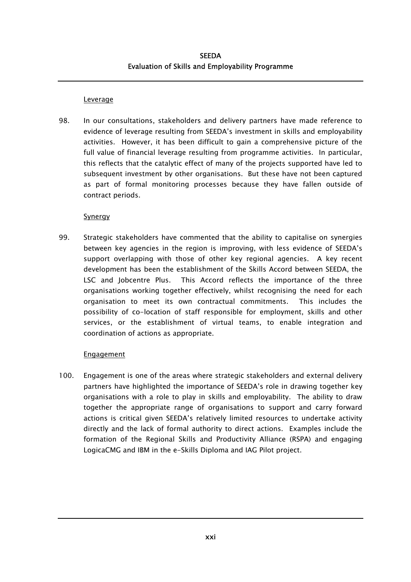#### **Leverage**

98. In our consultations, stakeholders and delivery partners have made reference to evidence of leverage resulting from SEEDA's investment in skills and employability activities. However, it has been difficult to gain a comprehensive picture of the full value of financial leverage resulting from programme activities. In particular, this reflects that the catalytic effect of many of the projects supported have led to subsequent investment by other organisations. But these have not been captured as part of formal monitoring processes because they have fallen outside of contract periods.

#### Synergy

99. Strategic stakeholders have commented that the ability to capitalise on synergies between key agencies in the region is improving, with less evidence of SEEDA's support overlapping with those of other key regional agencies. A key recent development has been the establishment of the Skills Accord between SEEDA, the LSC and Jobcentre Plus. This Accord reflects the importance of the three organisations working together effectively, whilst recognising the need for each organisation to meet its own contractual commitments. This includes the possibility of co-location of staff responsible for employment, skills and other services, or the establishment of virtual teams, to enable integration and coordination of actions as appropriate.

#### Engagement

100. Engagement is one of the areas where strategic stakeholders and external delivery partners have highlighted the importance of SEEDA's role in drawing together key organisations with a role to play in skills and employability. The ability to draw together the appropriate range of organisations to support and carry forward actions is critical given SEEDA's relatively limited resources to undertake activity directly and the lack of formal authority to direct actions. Examples include the formation of the Regional Skills and Productivity Alliance (RSPA) and engaging LogicaCMG and IBM in the e-Skills Diploma and IAG Pilot project.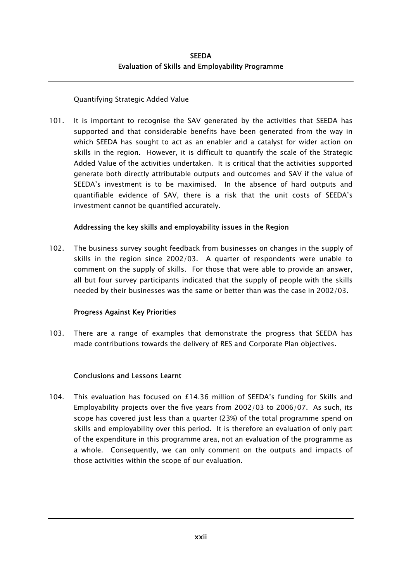#### Quantifying Strategic Added Value

101. It is important to recognise the SAV generated by the activities that SEEDA has supported and that considerable benefits have been generated from the way in which SEEDA has sought to act as an enabler and a catalyst for wider action on skills in the region. However, it is difficult to quantify the scale of the Strategic Added Value of the activities undertaken. It is critical that the activities supported generate both directly attributable outputs and outcomes and SAV if the value of SEEDA's investment is to be maximised. In the absence of hard outputs and quantifiable evidence of SAV, there is a risk that the unit costs of SEEDA's investment cannot be quantified accurately.

#### Addressing the key skills and employability issues in the Region

102. The business survey sought feedback from businesses on changes in the supply of skills in the region since 2002/03. A quarter of respondents were unable to comment on the supply of skills. For those that were able to provide an answer, all but four survey participants indicated that the supply of people with the skills needed by their businesses was the same or better than was the case in 2002/03.

### Progress Against Key Priorities

103. There are a range of examples that demonstrate the progress that SEEDA has made contributions towards the delivery of RES and Corporate Plan objectives.

### Conclusions and Lessons Learnt

104. This evaluation has focused on £14.36 million of SEEDA's funding for Skills and Employability projects over the five years from 2002/03 to 2006/07. As such, its scope has covered just less than a quarter (23%) of the total programme spend on skills and employability over this period. It is therefore an evaluation of only part of the expenditure in this programme area, not an evaluation of the programme as a whole. Consequently, we can only comment on the outputs and impacts of those activities within the scope of our evaluation.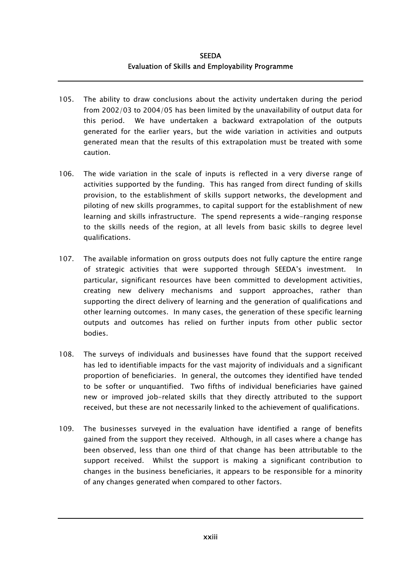- 105. The ability to draw conclusions about the activity undertaken during the period from 2002/03 to 2004/05 has been limited by the unavailability of output data for this period. We have undertaken a backward extrapolation of the outputs generated for the earlier years, but the wide variation in activities and outputs generated mean that the results of this extrapolation must be treated with some caution.
- 106. The wide variation in the scale of inputs is reflected in a very diverse range of activities supported by the funding. This has ranged from direct funding of skills provision, to the establishment of skills support networks, the development and piloting of new skills programmes, to capital support for the establishment of new learning and skills infrastructure. The spend represents a wide-ranging response to the skills needs of the region, at all levels from basic skills to degree level qualifications.
- 107. The available information on gross outputs does not fully capture the entire range of strategic activities that were supported through SEEDA's investment. In particular, significant resources have been committed to development activities, creating new delivery mechanisms and support approaches, rather than supporting the direct delivery of learning and the generation of qualifications and other learning outcomes. In many cases, the generation of these specific learning outputs and outcomes has relied on further inputs from other public sector bodies.
- 108. The surveys of individuals and businesses have found that the support received has led to identifiable impacts for the vast majority of individuals and a significant proportion of beneficiaries. In general, the outcomes they identified have tended to be softer or unquantified. Two fifths of individual beneficiaries have gained new or improved job-related skills that they directly attributed to the support received, but these are not necessarily linked to the achievement of qualifications.
- 109. The businesses surveyed in the evaluation have identified a range of benefits gained from the support they received. Although, in all cases where a change has been observed, less than one third of that change has been attributable to the support received. Whilst the support is making a significant contribution to changes in the business beneficiaries, it appears to be responsible for a minority of any changes generated when compared to other factors.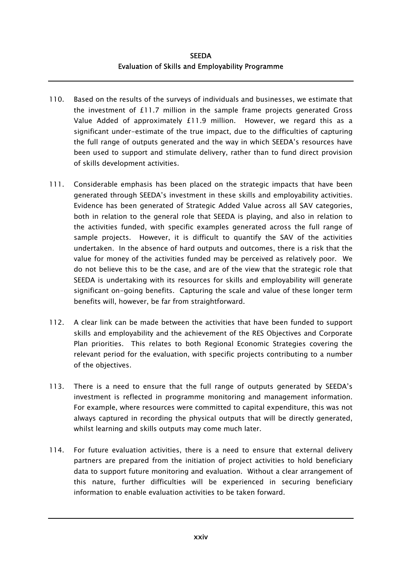- 110. Based on the results of the surveys of individuals and businesses, we estimate that the investment of £11.7 million in the sample frame projects generated Gross Value Added of approximately £11.9 million. However, we regard this as a significant under-estimate of the true impact, due to the difficulties of capturing the full range of outputs generated and the way in which SEEDA's resources have been used to support and stimulate delivery, rather than to fund direct provision of skills development activities.
- 111. Considerable emphasis has been placed on the strategic impacts that have been generated through SEEDA's investment in these skills and employability activities. Evidence has been generated of Strategic Added Value across all SAV categories, both in relation to the general role that SEEDA is playing, and also in relation to the activities funded, with specific examples generated across the full range of sample projects. However, it is difficult to quantify the SAV of the activities undertaken. In the absence of hard outputs and outcomes, there is a risk that the value for money of the activities funded may be perceived as relatively poor. We do not believe this to be the case, and are of the view that the strategic role that SEEDA is undertaking with its resources for skills and employability will generate significant on-going benefits. Capturing the scale and value of these longer term benefits will, however, be far from straightforward.
- 112. A clear link can be made between the activities that have been funded to support skills and employability and the achievement of the RES Objectives and Corporate Plan priorities. This relates to both Regional Economic Strategies covering the relevant period for the evaluation, with specific projects contributing to a number of the objectives.
- 113. There is a need to ensure that the full range of outputs generated by SEEDA's investment is reflected in programme monitoring and management information. For example, where resources were committed to capital expenditure, this was not always captured in recording the physical outputs that will be directly generated, whilst learning and skills outputs may come much later.
- 114. For future evaluation activities, there is a need to ensure that external delivery partners are prepared from the initiation of project activities to hold beneficiary data to support future monitoring and evaluation. Without a clear arrangement of this nature, further difficulties will be experienced in securing beneficiary information to enable evaluation activities to be taken forward.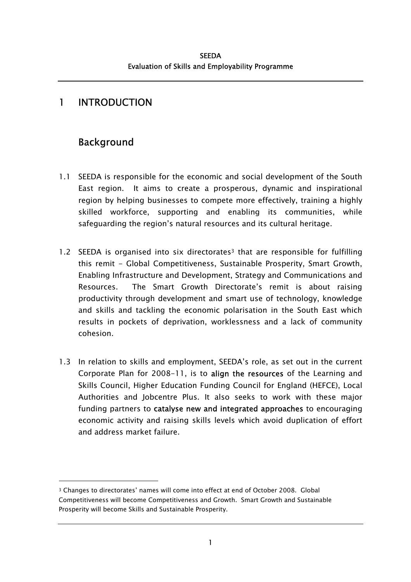# <span id="page-30-0"></span>1 INTRODUCTION

# Background

- 1.1 SEEDA is responsible for the economic and social development of the South East region. It aims to create a prosperous, dynamic and inspirational region by helping businesses to compete more effectively, training a highly skilled workforce, supporting and enabling its communities, while safeguarding the region's natural resources and its cultural heritage.
- 1.2 SEEDA is organised into six directorates<sup>3</sup> that are responsible for fulfilling this remit - Global Competitiveness, Sustainable Prosperity, Smart Growth, Enabling Infrastructure and Development, Strategy and Communications and Resources. The Smart Growth Directorate's remit is about raising productivity through development and smart use of technology, knowledge and skills and tackling the economic polarisation in the South East which results in pockets of deprivation, worklessness and a lack of community cohesion.
- 1.3 In relation to skills and employment, SEEDA's role, as set out in the current Corporate Plan for 2008-11, is to align the resources of the Learning and Skills Council, Higher Education Funding Council for England (HEFCE), Local Authorities and Jobcentre Plus. It also seeks to work with these major funding partners to catalyse new and integrated approaches to encouraging economic activity and raising skills levels which avoid duplication of effort and address market failure.

<span id="page-30-1"></span><sup>3</sup> Changes to directorates' names will come into effect at end of October 2008. Global Competitiveness will become Competitiveness and Growth. Smart Growth and Sustainable Prosperity will become Skills and Sustainable Prosperity.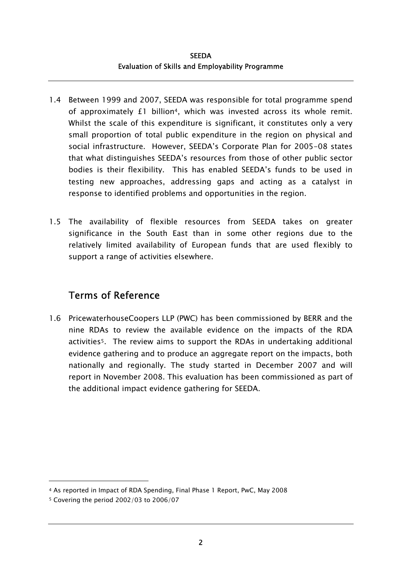- 1.4 Between 1999 and 2007, SEEDA was responsible for total programme spend of approximately £1 billion[4,](#page-31-0) which was invested across its whole remit. Whilst the scale of this expenditure is significant, it constitutes only a very small proportion of total public expenditure in the region on physical and social infrastructure. However, SEEDA's Corporate Plan for 2005-08 states that what distinguishes SEEDA's resources from those of other public sector bodies is their flexibility. This has enabled SEEDA's funds to be used in testing new approaches, addressing gaps and acting as a catalyst in response to identified problems and opportunities in the region.
- 1.5 The availability of flexible resources from SEEDA takes on greater significance in the South East than in some other regions due to the relatively limited availability of European funds that are used flexibly to support a range of activities elsewhere.

# Terms of Reference

1.6 PricewaterhouseCoopers LLP (PWC) has been commissioned by BERR and the nine RDAs to review the available evidence on the impacts of the RDA activitie[s5.](#page-31-1) The review aims to support the RDAs in undertaking additional evidence gathering and to produce an aggregate report on the impacts, both nationally and regionally. The study started in December 2007 and will report in November 2008. This evaluation has been commissioned as part of the additional impact evidence gathering for SEEDA.

<span id="page-31-0"></span><sup>4</sup> As reported in Impact of RDA Spending, Final Phase 1 Report, PwC, May 2008

<span id="page-31-1"></span><sup>5</sup> Covering the period 2002/03 to 2006/07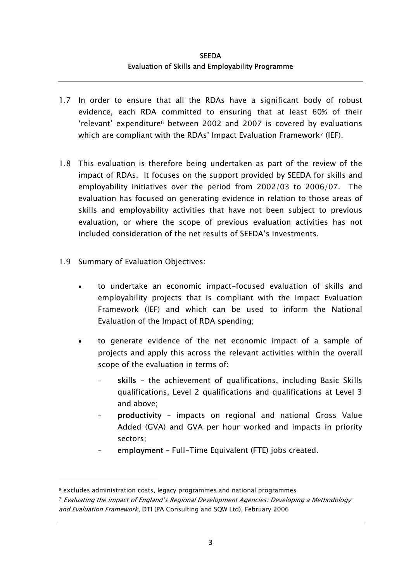- 1.7 In order to ensure that all the RDAs have a significant body of robust evidence, each RDA committed to ensuring that at least 60% of their 'relevant' expenditure[6](#page-32-0) between 2002 and 2007 is covered by evaluations which are compliant with the RDAs' Impact Evaluation Framework<sup>7</sup> (IEF).
- 1.8 This evaluation is therefore being undertaken as part of the review of the impact of RDAs. It focuses on the support provided by SEEDA for skills and employability initiatives over the period from 2002/03 to 2006/07. The evaluation has focused on generating evidence in relation to those areas of skills and employability activities that have not been subject to previous evaluation, or where the scope of previous evaluation activities has not included consideration of the net results of SEEDA's investments.
- 1.9 Summary of Evaluation Objectives:

- to undertake an economic impact-focused evaluation of skills and employability projects that is compliant with the Impact Evaluation Framework (IEF) and which can be used to inform the National Evaluation of the Impact of RDA spending;
- to generate evidence of the net economic impact of a sample of projects and apply this across the relevant activities within the overall scope of the evaluation in terms of:
	- skills the achievement of qualifications, including Basic Skills qualifications, Level 2 qualifications and qualifications at Level 3 and above;
	- productivity impacts on regional and national Gross Value Added (GVA) and GVA per hour worked and impacts in priority sectors;
	- employment Full-Time Equivalent (FTE) jobs created.

<span id="page-32-0"></span><sup>6</sup> excludes administration costs, legacy programmes and national programmes

<span id="page-32-1"></span><sup>7</sup> Evaluating the impact of England's Regional Development Agencies: Developing a Methodology and Evaluation Framework, DTI (PA Consulting and SQW Ltd), February 2006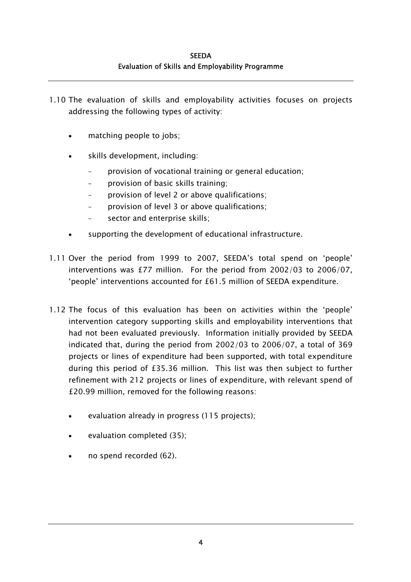- 1.10 The evaluation of skills and employability activities focuses on projects addressing the following types of activity:
	- matching people to jobs;
	- skills development, including:
		- provision of vocational training or general education;
		- provision of basic skills training;
		- provision of level 2 or above qualifications;
		- provision of level 3 or above qualifications;
		- sector and enterprise skills:
	- supporting the development of educational infrastructure.
- 1.11 Over the period from 1999 to 2007, SEEDA's total spend on 'people' interventions was £77 million. For the period from 2002/03 to 2006/07, 'people' interventions accounted for £61.5 million of SEEDA expenditure.
- 1.12 The focus of this evaluation has been on activities within the 'people' intervention category supporting skills and employability interventions that had not been evaluated previously. Information initially provided by SEEDA indicated that, during the period from 2002/03 to 2006/07, a total of 369 projects or lines of expenditure had been supported, with total expenditure during this period of £35.36 million. This list was then subject to further refinement with 212 projects or lines of expenditure, with relevant spend of £20.99 million, removed for the following reasons:
	- evaluation already in progress (115 projects);
	- evaluation completed (35);
	- no spend recorded (62).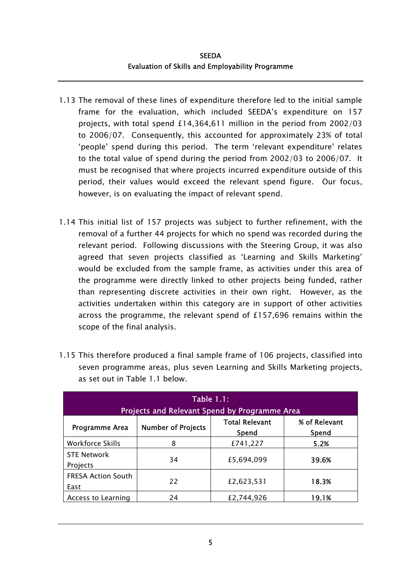- 1.13 The removal of these lines of expenditure therefore led to the initial sample frame for the evaluation, which included SEEDA's expenditure on 157 projects, with total spend £14,364,611 million in the period from 2002/03 to 2006/07. Consequently, this accounted for approximately 23% of total 'people' spend during this period. The term 'relevant expenditure' relates to the total value of spend during the period from 2002/03 to 2006/07. It must be recognised that where projects incurred expenditure outside of this period, their values would exceed the relevant spend figure. Our focus, however, is on evaluating the impact of relevant spend.
- 1.14 This initial list of 157 projects was subject to further refinement, with the removal of a further 44 projects for which no spend was recorded during the relevant period. Following discussions with the Steering Group, it was also agreed that seven projects classified as 'Learning and Skills Marketing' would be excluded from the sample frame, as activities under this area of the programme were directly linked to other projects being funded, rather than representing discrete activities in their own right. However, as the activities undertaken within this category are in support of other activities across the programme, the relevant spend of £157,696 remains within the scope of the final analysis.

| <b>Table 1.1:</b><br><b>Projects and Relevant Spend by Programme Area</b> |                           |                                |                        |  |
|---------------------------------------------------------------------------|---------------------------|--------------------------------|------------------------|--|
| Programme Area                                                            | <b>Number of Projects</b> | <b>Total Relevant</b><br>Spend | % of Relevant<br>Spend |  |
| <b>Workforce Skills</b>                                                   | 8                         | £741,227                       | 5.2%                   |  |
| <b>STE Network</b><br>Projects                                            | 34                        | £5,694,099                     | 39.6%                  |  |
| <b>FRESA Action South</b><br>East                                         | 22                        | £2,623,531                     | 18.3%                  |  |
| Access to Learning                                                        | 24                        | £2,744,926                     | 19.1%                  |  |

1.15 This therefore produced a final sample frame of 106 projects, classified into seven programme areas, plus seven Learning and Skills Marketing projects, as set out in Table 1.1 below.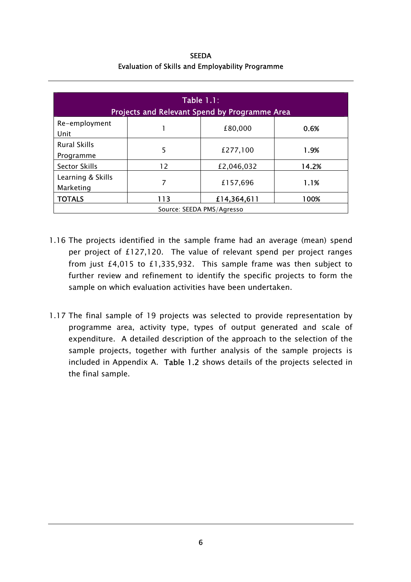**SEEDA** Evaluation of Skills and Employability Programme

| <b>Table 1.1:</b><br>Projects and Relevant Spend by Programme Area |     |             |       |  |
|--------------------------------------------------------------------|-----|-------------|-------|--|
| Re-employment<br>Unit                                              |     | £80,000     | 0.6%  |  |
| <b>Rural Skills</b><br>Programme                                   | 5   | £277,100    | 1.9%  |  |
| <b>Sector Skills</b>                                               | 12  | £2,046,032  | 14.2% |  |
| Learning & Skills<br>Marketing                                     | 7   | £157,696    | 1.1%  |  |
| <b>TOTALS</b>                                                      | 113 | £14,364,611 | 100%  |  |
| Source: SEEDA PMS/Agresso                                          |     |             |       |  |

- 1.16 The projects identified in the sample frame had an average (mean) spend per project of £127,120. The value of relevant spend per project ranges from just £4,015 to £1,335,932. This sample frame was then subject to further review and refinement to identify the specific projects to form the sample on which evaluation activities have been undertaken.
- 1.17 The final sample of 19 projects was selected to provide representation by programme area, activity type, types of output generated and scale of expenditure. A detailed description of the approach to the selection of the sample projects, together with further analysis of the sample projects is included in Appendix A. Table 1.2 shows details of the projects selected in the final sample.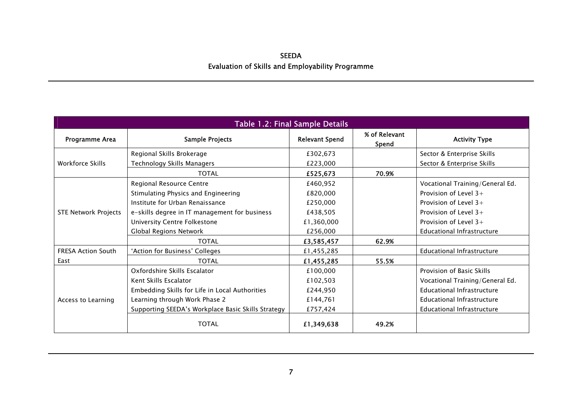| Table 1.2: Final Sample Details |                                                    |                       |                        |                                 |  |  |
|---------------------------------|----------------------------------------------------|-----------------------|------------------------|---------------------------------|--|--|
| Programme Area                  | Sample Projects                                    | <b>Relevant Spend</b> | % of Relevant<br>Spend | <b>Activity Type</b>            |  |  |
|                                 | Regional Skills Brokerage                          | £302,673              |                        | Sector & Enterprise Skills      |  |  |
| Workforce Skills                | Technology Skills Managers                         | £223,000              |                        | Sector & Enterprise Skills      |  |  |
|                                 | <b>TOTAL</b>                                       | £525,673              | 70.9%                  |                                 |  |  |
|                                 | Regional Resource Centre                           | £460,952              |                        | Vocational Training/General Ed. |  |  |
|                                 | Stimulating Physics and Engineering                | £820,000              |                        | Provision of Level $3+$         |  |  |
|                                 | Institute for Urban Renaissance                    | £250,000              |                        | Provision of Level $3+$         |  |  |
| <b>STE Network Projects</b>     | e-skills degree in IT management for business      | £438,505              |                        | Provision of Level $3+$         |  |  |
|                                 | University Centre Folkestone                       | £1,360,000            |                        | Provision of Level $3+$         |  |  |
|                                 | Global Regions Network                             | £256,000              |                        | Educational Infrastructure      |  |  |
|                                 | <b>TOTAL</b>                                       | £3,585,457            | 62.9%                  |                                 |  |  |
| <b>FRESA Action South</b>       | 'Action for Business' Colleges                     | £1,455,285            |                        | Educational Infrastructure      |  |  |
| East                            | <b>TOTAL</b>                                       | £1,455,285            | 55.5%                  |                                 |  |  |
|                                 | Oxfordshire Skills Escalator                       | £100,000              |                        | Provision of Basic Skills       |  |  |
|                                 | Kent Skills Escalator                              | £102,503              |                        | Vocational Training/General Ed. |  |  |
|                                 | Embedding Skills for Life in Local Authorities     | £244,950              |                        | Educational Infrastructure      |  |  |
| Access to Learning              | Learning through Work Phase 2                      | £144,761              |                        | Educational Infrastructure      |  |  |
|                                 | Supporting SEEDA's Workplace Basic Skills Strategy | £757,424              |                        | Educational Infrastructure      |  |  |
|                                 | <b>TOTAL</b>                                       | £1,349,638            | 49.2%                  |                                 |  |  |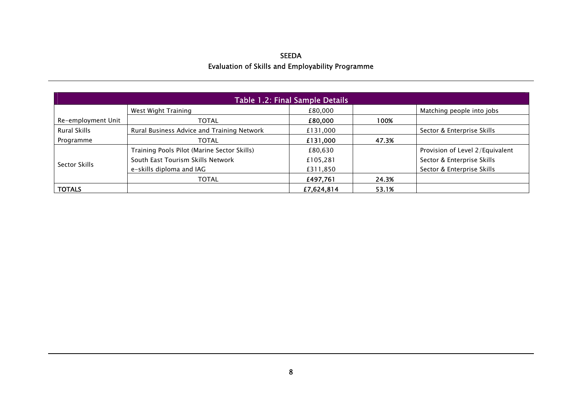| Table 1.2: Final Sample Details |                                             |            |       |                                 |  |  |
|---------------------------------|---------------------------------------------|------------|-------|---------------------------------|--|--|
|                                 | West Wight Training                         | £80,000    |       | Matching people into jobs       |  |  |
| Re-employment Unit              | <b>TOTAL</b>                                | £80,000    | 100%  |                                 |  |  |
| Rural Skills                    | Rural Business Advice and Training Network  | £131,000   |       | Sector & Enterprise Skills      |  |  |
| Programme                       | <b>TOTAL</b>                                | £131,000   | 47.3% |                                 |  |  |
|                                 | Training Pools Pilot (Marine Sector Skills) | £80,630    |       | Provision of Level 2/Equivalent |  |  |
|                                 | South East Tourism Skills Network           | £105,281   |       | Sector & Enterprise Skills      |  |  |
| Sector Skills                   | e-skills diploma and IAG                    | £311,850   |       | Sector & Enterprise Skills      |  |  |
|                                 | <b>TOTAL</b>                                | £497,761   | 24.3% |                                 |  |  |
| <b>TOTALS</b>                   |                                             | £7,624,814 | 53.1% |                                 |  |  |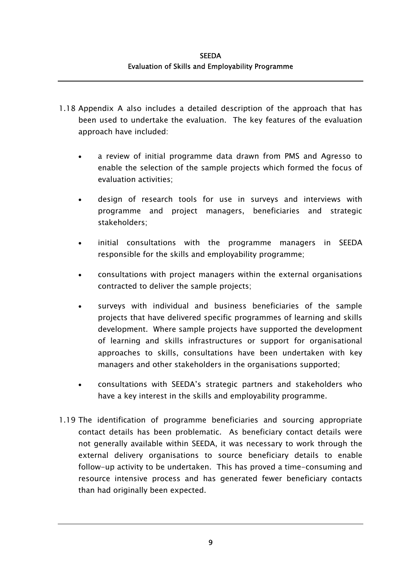- 1.18 Appendix A also includes a detailed description of the approach that has been used to undertake the evaluation. The key features of the evaluation approach have included:
	- a review of initial programme data drawn from PMS and Agresso to enable the selection of the sample projects which formed the focus of evaluation activities; •
	- design of research tools for use in surveys and interviews with programme and project managers, beneficiaries and strategic stakeholders;
	- initial consultations with the programme managers in SEEDA responsible for the skills and employability programme;
	- consultations with project managers within the external organisations contracted to deliver the sample projects;
	- surveys with individual and business beneficiaries of the sample projects that have delivered specific programmes of learning and skills development. Where sample projects have supported the development of learning and skills infrastructures or support for organisational approaches to skills, consultations have been undertaken with key managers and other stakeholders in the organisations supported;
	- consultations with SEEDA's strategic partners and stakeholders who have a key interest in the skills and employability programme.
- 1.19 The identification of programme beneficiaries and sourcing appropriate contact details has been problematic. As beneficiary contact details were not generally available within SEEDA, it was necessary to work through the external delivery organisations to source beneficiary details to enable follow-up activity to be undertaken. This has proved a time-consuming and resource intensive process and has generated fewer beneficiary contacts than had originally been expected.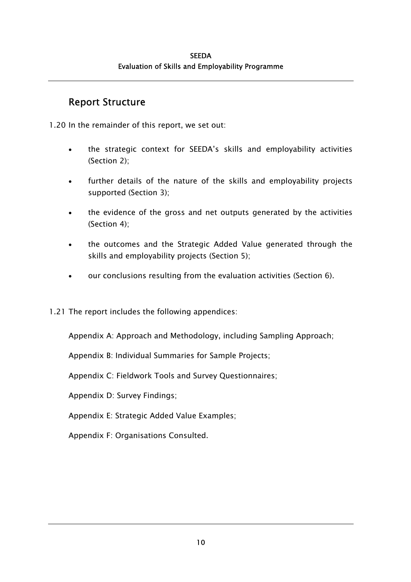## Report Structure

1.20 In the remainder of this report, we set out:

- the strategic context for SEEDA's skills and employability activities (Section 2); •
- further details of the nature of the skills and employability projects supported (Section 3);
- the evidence of the gross and net outputs generated by the activities (Section 4);
- the outcomes and the Strategic Added Value generated through the skills and employability projects (Section 5);
- our conclusions resulting from the evaluation activities (Section 6).
- 1.21 The report includes the following appendices:

Appendix A: Approach and Methodology, including Sampling Approach;

Appendix B: Individual Summaries for Sample Projects;

Appendix C: Fieldwork Tools and Survey Questionnaires;

Appendix D: Survey Findings;

Appendix E: Strategic Added Value Examples;

Appendix F: Organisations Consulted.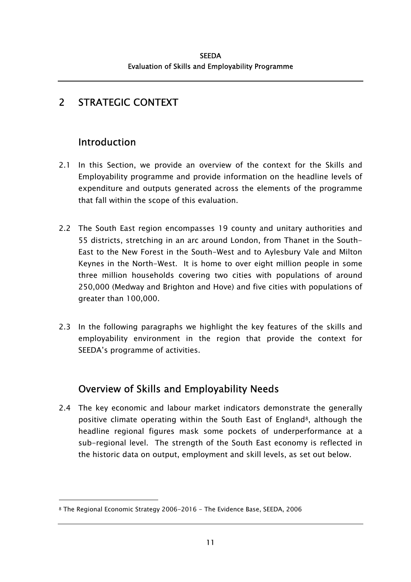# 2 STRATEGIC CONTEXT

# Introduction

l

- 2.1 In this Section, we provide an overview of the context for the Skills and Employability programme and provide information on the headline levels of expenditure and outputs generated across the elements of the programme that fall within the scope of this evaluation.
- 2.2 The South East region encompasses 19 county and unitary authorities and 55 districts, stretching in an arc around London, from Thanet in the South-East to the New Forest in the South-West and to Aylesbury Vale and Milton Keynes in the North-West. It is home to over eight million people in some three million households covering two cities with populations of around 250,000 (Medway and Brighton and Hove) and five cities with populations of greater than 100,000.
- 2.3 In the following paragraphs we highlight the key features of the skills and employability environment in the region that provide the context for SEEDA's programme of activities.

# Overview of Skills and Employability Needs

2.4 The key economic and labour market indicators demonstrate the generally positive climate operating within the South East of England[8,](#page-40-0) although the headline regional figures mask some pockets of underperformance at a sub-regional level. The strength of the South East economy is reflected in the historic data on output, employment and skill levels, as set out below.

<span id="page-40-0"></span><sup>8</sup> The Regional Economic Strategy 2006-2016 - The Evidence Base, SEEDA, 2006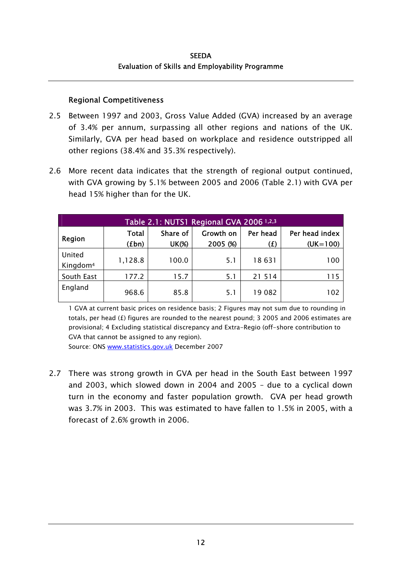#### Regional Competitiveness

- 2.5 Between 1997 and 2003, Gross Value Added (GVA) increased by an average of 3.4% per annum, surpassing all other regions and nations of the UK. Similarly, GVA per head based on workplace and residence outstripped all other regions (38.4% and 35.3% respectively).
- 2.6 More recent data indicates that the strength of regional output continued, with GVA growing by 5.1% between 2005 and 2006 (Table 2.1) with GVA per head 15% higher than for the UK.

| Table 2.1: NUTS1 Regional GVA 2006 1,2,3 |                       |                          |                       |                 |                              |  |  |
|------------------------------------------|-----------------------|--------------------------|-----------------------|-----------------|------------------------------|--|--|
| Region                                   | <b>Total</b><br>(£bn) | Share of<br><b>UK(%)</b> | Growth on<br>2005 (%) | Per head<br>(£) | Per head index<br>$(UK=100)$ |  |  |
| United<br>Kingdom <sup>4</sup>           | 1,128.8               | 100.0                    | 5.1                   | 18631           | 100                          |  |  |
| South East                               | 177.2                 | 15.7                     | 5.1                   | 21 514          | 115                          |  |  |
| England                                  | 968.6                 | 85.8                     | 5.1                   | 19082           | 102                          |  |  |

1 GVA at current basic prices on residence basis; 2 Figures may not sum due to rounding in totals, per head ( $\pounds$ ) figures are rounded to the nearest pound; 3 2005 and 2006 estimates are provisional; 4 Excluding statistical discrepancy and Extra-Regio (off-shore contribution to GVA that cannot be assigned to any region).

Source: ONS [www.statistics.gov.uk](http://www.statistics.gov.uk/) December 2007

2.7 There was strong growth in GVA per head in the South East between 1997 and 2003, which slowed down in 2004 and 2005 – due to a cyclical down turn in the economy and faster population growth. GVA per head growth was 3.7% in 2003. This was estimated to have fallen to 1.5% in 2005, with a forecast of 2.6% growth in 2006.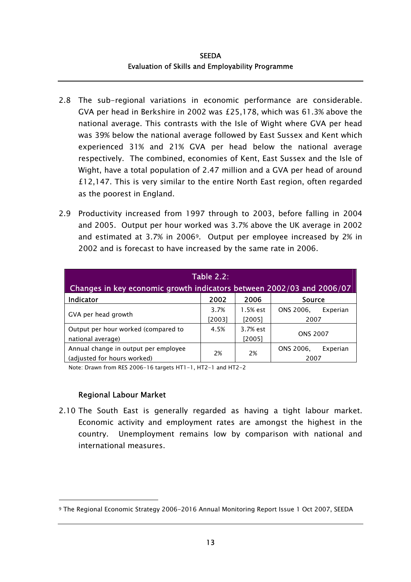- 2.8 The sub-regional variations in economic performance are considerable. GVA per head in Berkshire in 2002 was £25,178, which was 61.3% above the national average. This contrasts with the Isle of Wight where GVA per head was 39% below the national average followed by East Sussex and Kent which experienced 31% and 21% GVA per head below the national average respectively. The combined, economies of Kent, East Sussex and the Isle of Wight, have a total population of 2.47 million and a GVA per head of around £12,147. This is very similar to the entire North East region, often regarded as the poorest in England.
- 2.9 Productivity increased from 1997 through to 2003, before falling in 2004 and 2005. Output per hour worked was 3.7% above the UK average in 2002 and estimated at 3.7% in 2006[9.](#page-42-0) Output per employee increased by 2% in 2002 and is forecast to have increased by the same rate in 2006.

| <b>Table 2.2:</b>                                                     |                |                      |                               |  |  |  |  |
|-----------------------------------------------------------------------|----------------|----------------------|-------------------------------|--|--|--|--|
| Changes in key economic growth indicators between 2002/03 and 2006/07 |                |                      |                               |  |  |  |  |
| <b>Indicator</b>                                                      | 2002           | 2006                 | Source                        |  |  |  |  |
| GVA per head growth                                                   | 3.7%<br>[2003] | 1.5% est<br>$[2005]$ | ONS 2006,<br>Experian<br>2007 |  |  |  |  |
| Output per hour worked (compared to<br>national average)              | 4.5%           | 3.7% est<br>$[2005]$ | <b>ONS 2007</b>               |  |  |  |  |
| Annual change in output per employee<br>(adjusted for hours worked)   | 2%             | 2%                   | ONS 2006,<br>Experian<br>2007 |  |  |  |  |

Note: Drawn from RES 2006-16 targets HT1-1, HT2-1 and HT2-2

#### Regional Labour Market

l

2.10 The South East is generally regarded as having a tight labour market. Economic activity and employment rates are amongst the highest in the country. Unemployment remains low by comparison with national and international measures.

<span id="page-42-0"></span><sup>9</sup> The Regional Economic Strategy 2006-2016 Annual Monitoring Report Issue 1 Oct 2007, SEEDA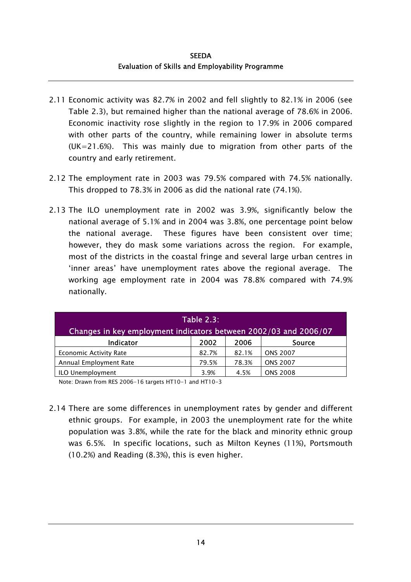- 2.11 Economic activity was 82.7% in 2002 and fell slightly to 82.1% in 2006 (see Table 2.3), but remained higher than the national average of 78.6% in 2006. Economic inactivity rose slightly in the region to 17.9% in 2006 compared with other parts of the country, while remaining lower in absolute terms (UK=21.6%). This was mainly due to migration from other parts of the country and early retirement.
- 2.12 The employment rate in 2003 was 79.5% compared with 74.5% nationally. This dropped to 78.3% in 2006 as did the national rate (74.1%).
- 2.13 The ILO unemployment rate in 2002 was 3.9%, significantly below the national average of 5.1% and in 2004 was 3.8%, one percentage point below the national average. These figures have been consistent over time; however, they do mask some variations across the region. For example, most of the districts in the coastal fringe and several large urban centres in 'inner areas' have unemployment rates above the regional average. The working age employment rate in 2004 was 78.8% compared with 74.9% nationally.

| <b>Table 2.3:</b>                                                |       |       |                 |  |  |  |
|------------------------------------------------------------------|-------|-------|-----------------|--|--|--|
| Changes in key employment indicators between 2002/03 and 2006/07 |       |       |                 |  |  |  |
| <b>Indicator</b><br>2002<br>2006<br><b>Source</b>                |       |       |                 |  |  |  |
| <b>Economic Activity Rate</b>                                    | 82.7% | 82.1% | <b>ONS 2007</b> |  |  |  |
| Annual Employment Rate                                           | 79.5% | 78.3% | <b>ONS 2007</b> |  |  |  |
| <b>ONS 2008</b><br>ILO Unemployment<br>4.5%<br>3.9%              |       |       |                 |  |  |  |

Note: Drawn from RES 2006-16 targets HT10-1 and HT10-3

2.14 There are some differences in unemployment rates by gender and different ethnic groups. For example, in 2003 the unemployment rate for the white population was 3.8%, while the rate for the black and minority ethnic group was 6.5%. In specific locations, such as Milton Keynes (11%), Portsmouth (10.2%) and Reading (8.3%), this is even higher.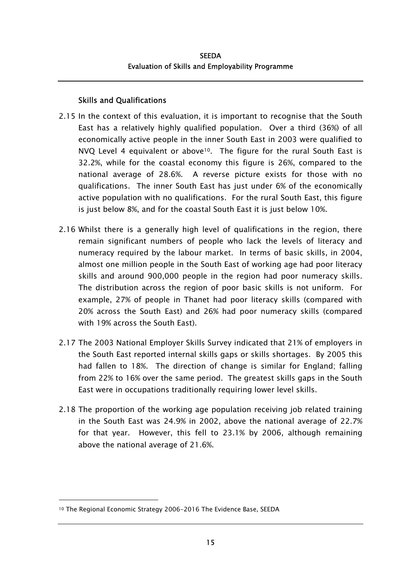### Skills and Qualifications

- 2.15 In the context of this evaluation, it is important to recognise that the South East has a relatively highly qualified population. Over a third (36%) of all economically active people in the inner South East in 2003 were qualified to NVQ Level 4 equivalent or above<sup>10</sup>. The figure for the rural South East is 32.2%, while for the coastal economy this figure is 26%, compared to the national average of 28.6%. A reverse picture exists for those with no qualifications. The inner South East has just under 6% of the economically active population with no qualifications. For the rural South East, this figure is just below 8%, and for the coastal South East it is just below 10%.
- 2.16 Whilst there is a generally high level of qualifications in the region, there remain significant numbers of people who lack the levels of literacy and numeracy required by the labour market. In terms of basic skills, in 2004, almost one million people in the South East of working age had poor literacy skills and around 900,000 people in the region had poor numeracy skills. The distribution across the region of poor basic skills is not uniform. For example, 27% of people in Thanet had poor literacy skills (compared with 20% across the South East) and 26% had poor numeracy skills (compared with 19% across the South East).
- 2.17 The 2003 National Employer Skills Survey indicated that 21% of employers in the South East reported internal skills gaps or skills shortages. By 2005 this had fallen to 18%. The direction of change is similar for England; falling from 22% to 16% over the same period. The greatest skills gaps in the South East were in occupations traditionally requiring lower level skills.
- 2.18 The proportion of the working age population receiving job related training in the South East was 24.9% in 2002, above the national average of 22.7% for that year. However, this fell to 23.1% by 2006, although remaining above the national average of 21.6%.

l

<span id="page-44-0"></span><sup>10</sup> The Regional Economic Strategy 2006-2016 The Evidence Base, SEEDA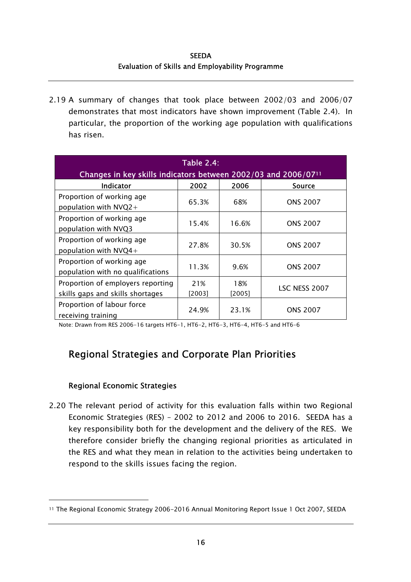**SEEDA** Evaluation of Skills and Employability Programme

2.19 A summary of changes that took place between 2002/03 and 2006/07 demonstrates that most indicators have shown improvement (Table 2.4). In particular, the proportion of the working age population with qualifications has risen.

| <b>Table 2.4:</b><br>Changes in key skills indicators between 2002/03 and 2006/07 <sup>11</sup> |               |               |                 |  |  |  |  |
|-------------------------------------------------------------------------------------------------|---------------|---------------|-----------------|--|--|--|--|
| 2002<br>2006<br><b>Indicator</b><br><b>Source</b>                                               |               |               |                 |  |  |  |  |
| Proportion of working age<br>population with $NVQ2+$                                            | 65.3%         | 68%           | <b>ONS 2007</b> |  |  |  |  |
| Proportion of working age<br>population with NVQ3                                               | 15.4%         | 16.6%         | <b>ONS 2007</b> |  |  |  |  |
| Proportion of working age<br>population with NVQ4+                                              | 27.8%         | 30.5%         | <b>ONS 2007</b> |  |  |  |  |
| Proportion of working age<br>population with no qualifications                                  | 11.3%         | 9.6%          | <b>ONS 2007</b> |  |  |  |  |
| Proportion of employers reporting<br>skills gaps and skills shortages                           | 21%<br>[2003] | 18%<br>[2005] | LSC NESS 2007   |  |  |  |  |
| Proportion of labour force<br>receiving training                                                | 24.9%         | 23.1%         | <b>ONS 2007</b> |  |  |  |  |

Note: Drawn from RES 2006-16 targets HT6-1, HT6-2, HT6-3, HT6-4, HT6-5 and HT6-6

## Regional Strategies and Corporate Plan Priorities

#### Regional Economic Strategies

l

2.20 The relevant period of activity for this evaluation falls within two Regional Economic Strategies (RES) – 2002 to 2012 and 2006 to 2016. SEEDA has a key responsibility both for the development and the delivery of the RES. We therefore consider briefly the changing regional priorities as articulated in the RES and what they mean in relation to the activities being undertaken to respond to the skills issues facing the region.

<span id="page-45-0"></span><sup>11</sup> The Regional Economic Strategy 2006-2016 Annual Monitoring Report Issue 1 Oct 2007, SEEDA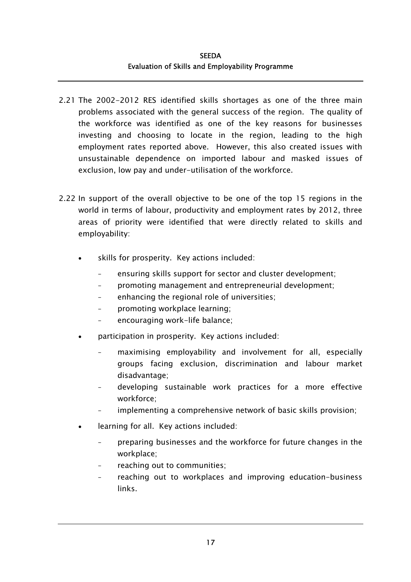- 2.21 The 2002-2012 RES identified skills shortages as one of the three main problems associated with the general success of the region. The quality of the workforce was identified as one of the key reasons for businesses investing and choosing to locate in the region, leading to the high employment rates reported above. However, this also created issues with unsustainable dependence on imported labour and masked issues of exclusion, low pay and under-utilisation of the workforce.
- 2.22 In support of the overall objective to be one of the top 15 regions in the world in terms of labour, productivity and employment rates by 2012, three areas of priority were identified that were directly related to skills and employability:
	- skills for prosperity. Key actions included:
		- ensuring skills support for sector and cluster development;
		- promoting management and entrepreneurial development;
		- enhancing the regional role of universities;
		- promoting workplace learning;
		- encouraging work-life balance;
	- participation in prosperity. Key actions included:
		- maximising employability and involvement for all, especially groups facing exclusion, discrimination and labour market disadvantage;
		- developing sustainable work practices for a more effective workforce;
		- implementing a comprehensive network of basic skills provision;
	- learning for all. Key actions included:
		- preparing businesses and the workforce for future changes in the workplace;
		- reaching out to communities:
		- reaching out to workplaces and improving education-business links.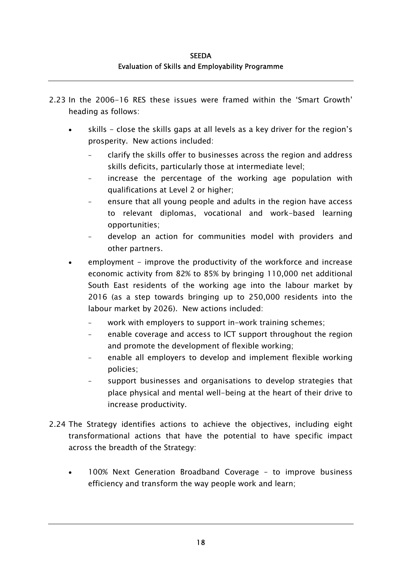- 2.23 In the 2006-16 RES these issues were framed within the 'Smart Growth' heading as follows:
	- skills close the skills gaps at all levels as a key driver for the region's prosperity. New actions included: •
		- clarify the skills offer to businesses across the region and address skills deficits, particularly those at intermediate level;
		- increase the percentage of the working age population with qualifications at Level 2 or higher;
		- ensure that all young people and adults in the region have access to relevant diplomas, vocational and work-based learning opportunities;
		- develop an action for communities model with providers and other partners.
	- employment - improve the productivity of the workforce and increase economic activity from 82% to 85% by bringing 110,000 net additional South East residents of the working age into the labour market by 2016 (as a step towards bringing up to 250,000 residents into the labour market by 2026). New actions included:
		- work with employers to support in-work training schemes;
		- enable coverage and access to ICT support throughout the region and promote the development of flexible working;
		- enable all employers to develop and implement flexible working policies;
		- support businesses and organisations to develop strategies that place physical and mental well-being at the heart of their drive to increase productivity.
- 2.24 The Strategy identifies actions to achieve the objectives, including eight transformational actions that have the potential to have specific impact across the breadth of the Strategy:
	- 100% Next Generation Broadband Coverage – to improve business efficiency and transform the way people work and learn;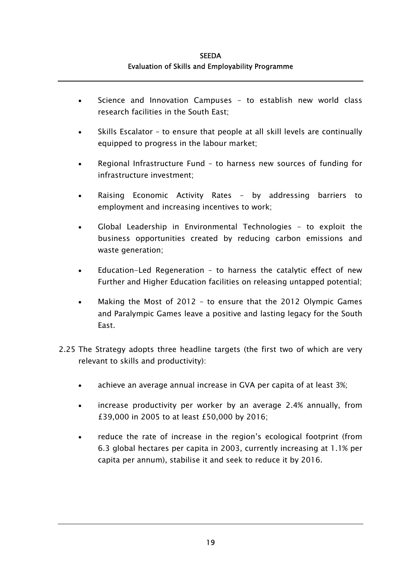- Science and Innovation Campuses to establish new world class research facilities in the South East;  $\bullet$
- Skills Escalator – to ensure that people at all skill levels are continually equipped to progress in the labour market;
- Regional Infrastructure Fund – to harness new sources of funding for infrastructure investment;
- Raising Economic Activity Rates – by addressing barriers to employment and increasing incentives to work;
- Global Leadership in Environmental Technologies – to exploit the business opportunities created by reducing carbon emissions and waste generation;
- Education-Led Regeneration – to harness the catalytic effect of new Further and Higher Education facilities on releasing untapped potential;
- Making the Most of 2012 – to ensure that the 2012 Olympic Games and Paralympic Games leave a positive and lasting legacy for the South East.
- 2.25 The Strategy adopts three headline targets (the first two of which are very relevant to skills and productivity):
	- achieve an average annual increase in GVA per capita of at least 3%;
	- increase productivity per worker by an average 2.4% annually, from £39,000 in 2005 to at least £50,000 by 2016;
	- reduce the rate of increase in the region's ecological footprint (from 6.3 global hectares per capita in 2003, currently increasing at 1.1% per capita per annum), stabilise it and seek to reduce it by 2016.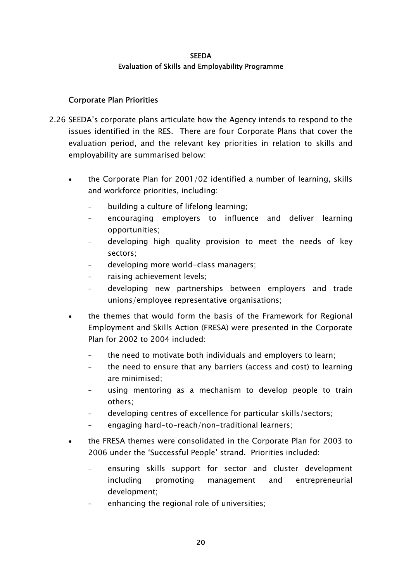### Corporate Plan Priorities

- 2.26 SEEDA's corporate plans articulate how the Agency intends to respond to the issues identified in the RES. There are four Corporate Plans that cover the evaluation period, and the relevant key priorities in relation to skills and employability are summarised below:
	- the Corporate Plan for 2001/02 identified a number of learning, skills and workforce priorities, including: •
		- building a culture of lifelong learning;
		- encouraging employers to influence and deliver learning opportunities;
		- developing high quality provision to meet the needs of key sectors;
		- developing more world-class managers;
		- raising achievement levels;
		- developing new partnerships between employers and trade unions/employee representative organisations;
	- the themes that would form the basis of the Framework for Regional Employment and Skills Action (FRESA) were presented in the Corporate Plan for 2002 to 2004 included:
		- the need to motivate both individuals and employers to learn;
		- the need to ensure that any barriers (access and cost) to learning are minimised;
		- using mentoring as a mechanism to develop people to train others;
		- developing centres of excellence for particular skills/sectors;
		- engaging hard-to-reach/non-traditional learners;
	- the FRESA themes were consolidated in the Corporate Plan for 2003 to 2006 under the 'Successful People' strand. Priorities included:
		- ensuring skills support for sector and cluster development including promoting management and entrepreneurial development;
		- enhancing the regional role of universities;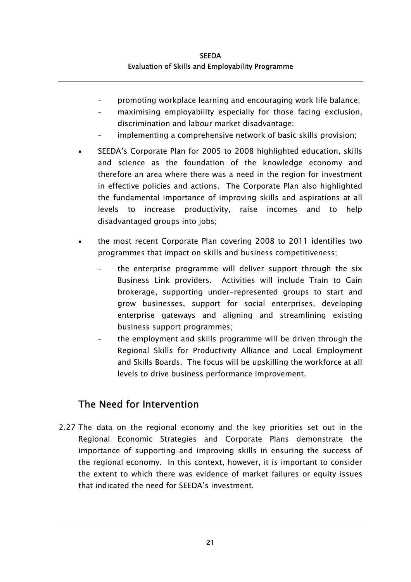- promoting workplace learning and encouraging work life balance;
- maximising employability especially for those facing exclusion, discrimination and labour market disadvantage;
- implementing a comprehensive network of basic skills provision;
- SEEDA's Corporate Plan for 2005 to 2008 highlighted education, skills and science as the foundation of the knowledge economy and therefore an area where there was a need in the region for investment in effective policies and actions. The Corporate Plan also highlighted the fundamental importance of improving skills and aspirations at all levels to increase productivity, raise incomes and to help disadvantaged groups into jobs; •
- the most recent Corporate Plan covering 2008 to 2011 identifies two programmes that impact on skills and business competitiveness;
	- the enterprise programme will deliver support through the six Business Link providers. Activities will include Train to Gain brokerage, supporting under-represented groups to start and grow businesses, support for social enterprises, developing enterprise gateways and aligning and streamlining existing business support programmes;
	- the employment and skills programme will be driven through the Regional Skills for Productivity Alliance and Local Employment and Skills Boards. The focus will be upskilling the workforce at all levels to drive business performance improvement.

## The Need for Intervention

2.27 The data on the regional economy and the key priorities set out in the Regional Economic Strategies and Corporate Plans demonstrate the importance of supporting and improving skills in ensuring the success of the regional economy. In this context, however, it is important to consider the extent to which there was evidence of market failures or equity issues that indicated the need for SEEDA's investment.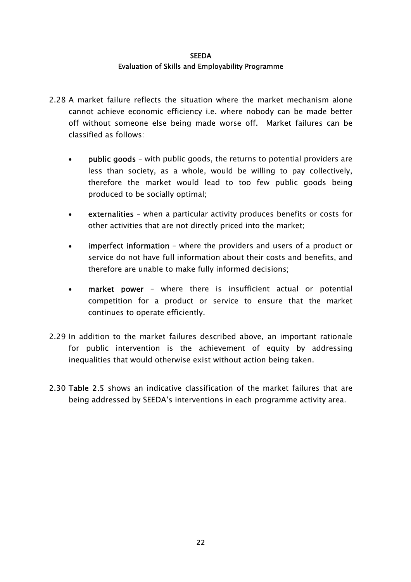- 2.28 A market failure reflects the situation where the market mechanism alone cannot achieve economic efficiency i.e. where nobody can be made better off without someone else being made worse off. Market failures can be classified as follows:
	- public goods with public goods, the returns to potential providers are less than society, as a whole, would be willing to pay collectively, therefore the market would lead to too few public goods being produced to be socially optimal; •
	- externalities – when a particular activity produces benefits or costs for other activities that are not directly priced into the market;
	- imperfect information – where the providers and users of a product or service do not have full information about their costs and benefits, and therefore are unable to make fully informed decisions;
	- market power – where there is insufficient actual or potential competition for a product or service to ensure that the market continues to operate efficiently.
- 2.29 In addition to the market failures described above, an important rationale for public intervention is the achievement of equity by addressing inequalities that would otherwise exist without action being taken.
- 2.30 Table 2.5 shows an indicative classification of the market failures that are being addressed by SEEDA's interventions in each programme activity area.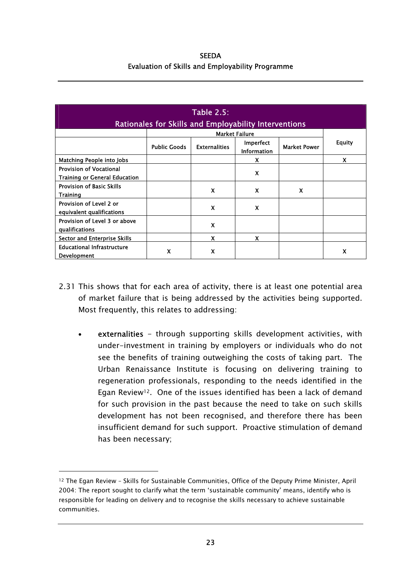| <b>SEEDA</b>                                            |  |  |  |  |  |  |
|---------------------------------------------------------|--|--|--|--|--|--|
| <b>Evaluation of Skills and Employability Programme</b> |  |  |  |  |  |  |

| <b>Table 2.5:</b><br>Rationales for Skills and Employability Interventions |                     |                      |                                        |                     |               |  |  |
|----------------------------------------------------------------------------|---------------------|----------------------|----------------------------------------|---------------------|---------------|--|--|
|                                                                            |                     |                      | <b>Market Failure</b>                  |                     |               |  |  |
|                                                                            | <b>Public Goods</b> | <b>Externalities</b> | <b>Imperfect</b><br><b>Information</b> | <b>Market Power</b> | <b>Equity</b> |  |  |
| Matching People into Jobs                                                  |                     |                      | X                                      |                     | X             |  |  |
| <b>Provision of Vocational</b><br><b>Training or General Education</b>     |                     |                      | X                                      |                     |               |  |  |
| <b>Provision of Basic Skills</b><br><b>Training</b>                        |                     | X                    | X                                      | X                   |               |  |  |
| Provision of Level 2 or<br>equivalent qualifications                       |                     | X                    | $\boldsymbol{\mathsf{x}}$              |                     |               |  |  |
| Provision of Level 3 or above<br>qualifications                            |                     | X                    |                                        |                     |               |  |  |
| <b>Sector and Enterprise Skills</b>                                        |                     | X                    | X                                      |                     |               |  |  |
| <b>Educational Infrastructure</b><br><b>Development</b>                    | X                   | x                    |                                        |                     | X             |  |  |

- 2.31 This shows that for each area of activity, there is at least one potential area of market failure that is being addressed by the activities being supported. Most frequently, this relates to addressing:
	- externalities - through supporting skills development activities, with under-investment in training by employers or individuals who do not see the benefits of training outweighing the costs of taking part. The Urban Renaissance Institute is focusing on delivering training to regeneration professionals, responding to the needs identified in the Egan Review<sup>12</sup>. One of the issues identified has been a lack of demand for such provision in the past because the need to take on such skills development has not been recognised, and therefore there has been insufficient demand for such support. Proactive stimulation of demand has been necessary;

1

<span id="page-52-0"></span><sup>12</sup> The Egan Review – Skills for Sustainable Communities, Office of the Deputy Prime Minister, April 2004: The report sought to clarify what the term 'sustainable community' means, identify who is responsible for leading on delivery and to recognise the skills necessary to achieve sustainable communities.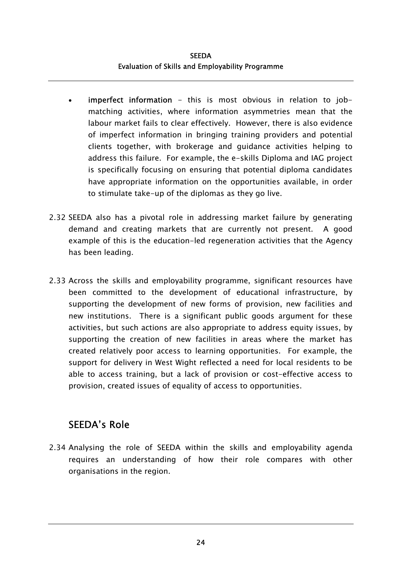- imperfect information this is most obvious in relation to jobmatching activities, where information asymmetries mean that the labour market fails to clear effectively. However, there is also evidence of imperfect information in bringing training providers and potential clients together, with brokerage and guidance activities helping to address this failure. For example, the e-skills Diploma and IAG project is specifically focusing on ensuring that potential diploma candidates have appropriate information on the opportunities available, in order to stimulate take-up of the diplomas as they go live. •
- 2.32 SEEDA also has a pivotal role in addressing market failure by generating demand and creating markets that are currently not present. A good example of this is the education-led regeneration activities that the Agency has been leading.
- 2.33 Across the skills and employability programme, significant resources have been committed to the development of educational infrastructure, by supporting the development of new forms of provision, new facilities and new institutions. There is a significant public goods argument for these activities, but such actions are also appropriate to address equity issues, by supporting the creation of new facilities in areas where the market has created relatively poor access to learning opportunities. For example, the support for delivery in West Wight reflected a need for local residents to be able to access training, but a lack of provision or cost-effective access to provision, created issues of equality of access to opportunities.

## SEEDA's Role

2.34 Analysing the role of SEEDA within the skills and employability agenda requires an understanding of how their role compares with other organisations in the region.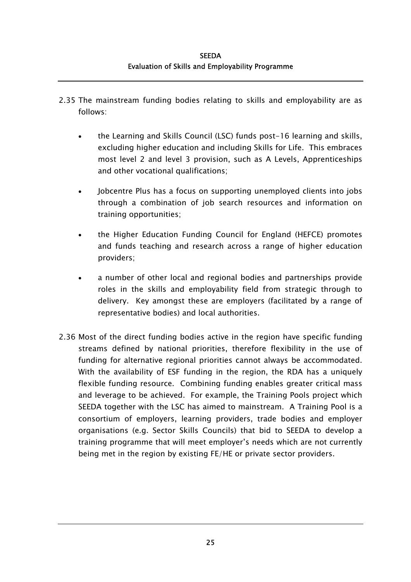- 2.35 The mainstream funding bodies relating to skills and employability are as follows:
	- the Learning and Skills Council (LSC) funds post-16 learning and skills, excluding higher education and including Skills for Life. This embraces most level 2 and level 3 provision, such as A Levels, Apprenticeships and other vocational qualifications; •
	- Jobcentre Plus has a focus on supporting unemployed clients into jobs through a combination of job search resources and information on training opportunities;
	- the Higher Education Funding Council for England (HEFCE) promotes and funds teaching and research across a range of higher education providers;
	- a number of other local and regional bodies and partnerships provide roles in the skills and employability field from strategic through to delivery. Key amongst these are employers (facilitated by a range of representative bodies) and local authorities.
- 2.36 Most of the direct funding bodies active in the region have specific funding streams defined by national priorities, therefore flexibility in the use of funding for alternative regional priorities cannot always be accommodated. With the availability of ESF funding in the region, the RDA has a uniquely flexible funding resource. Combining funding enables greater critical mass and leverage to be achieved. For example, the Training Pools project which SEEDA together with the LSC has aimed to mainstream. A Training Pool is a consortium of employers, learning providers, trade bodies and employer organisations (e.g. Sector Skills Councils) that bid to SEEDA to develop a training programme that will meet employer's needs which are not currently being met in the region by existing FE/HE or private sector providers.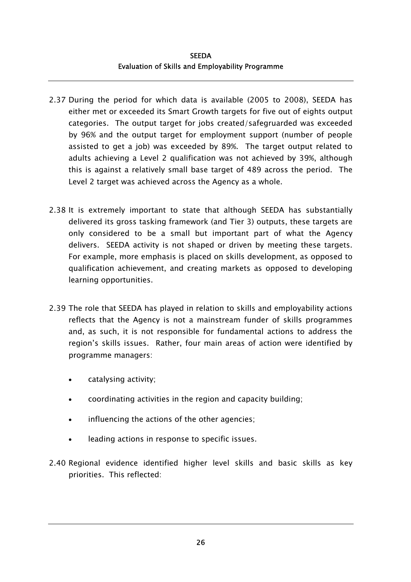- 2.37 During the period for which data is available (2005 to 2008), SEEDA has either met or exceeded its Smart Growth targets for five out of eights output categories. The output target for jobs created/safegruarded was exceeded by 96% and the output target for employment support (number of people assisted to get a job) was exceeded by 89%. The target output related to adults achieving a Level 2 qualification was not achieved by 39%, although this is against a relatively small base target of 489 across the period. The Level 2 target was achieved across the Agency as a whole.
- 2.38 It is extremely important to state that although SEEDA has substantially delivered its gross tasking framework (and Tier 3) outputs, these targets are only considered to be a small but important part of what the Agency delivers. SEEDA activity is not shaped or driven by meeting these targets. For example, more emphasis is placed on skills development, as opposed to qualification achievement, and creating markets as opposed to developing learning opportunities.
- 2.39 The role that SEEDA has played in relation to skills and employability actions reflects that the Agency is not a mainstream funder of skills programmes and, as such, it is not responsible for fundamental actions to address the region's skills issues. Rather, four main areas of action were identified by programme managers:
	- catalysing activity;
	- coordinating activities in the region and capacity building;
	- influencing the actions of the other agencies;
	- leading actions in response to specific issues.
- 2.40 Regional evidence identified higher level skills and basic skills as key priorities. This reflected: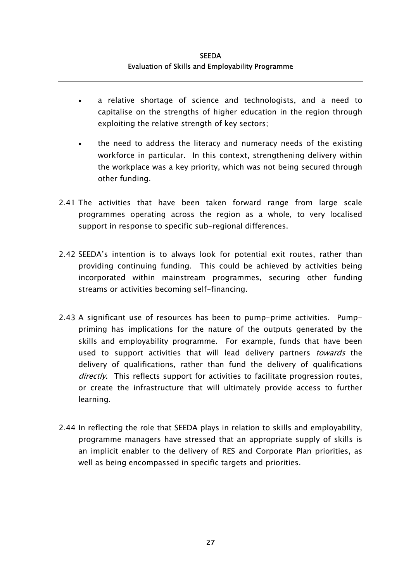- a relative shortage of science and technologists, and a need to capitalise on the strengths of higher education in the region through exploiting the relative strength of key sectors; •
- the need to address the literacy and numeracy needs of the existing workforce in particular. In this context, strengthening delivery within the workplace was a key priority, which was not being secured through other funding.
- 2.41 The activities that have been taken forward range from large scale programmes operating across the region as a whole, to very localised support in response to specific sub-regional differences.
- 2.42 SEEDA's intention is to always look for potential exit routes, rather than providing continuing funding. This could be achieved by activities being incorporated within mainstream programmes, securing other funding streams or activities becoming self-financing.
- 2.43 A significant use of resources has been to pump-prime activities. Pumppriming has implications for the nature of the outputs generated by the skills and employability programme. For example, funds that have been used to support activities that will lead delivery partners *towards* the delivery of qualifications, rather than fund the delivery of qualifications directly. This reflects support for activities to facilitate progression routes, or create the infrastructure that will ultimately provide access to further learning.
- 2.44 In reflecting the role that SEEDA plays in relation to skills and employability, programme managers have stressed that an appropriate supply of skills is an implicit enabler to the delivery of RES and Corporate Plan priorities, as well as being encompassed in specific targets and priorities.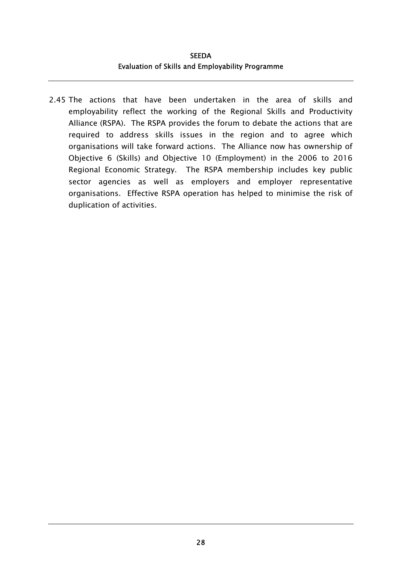**SEEDA** Evaluation of Skills and Employability Programme

2.45 The actions that have been undertaken in the area of skills and employability reflect the working of the Regional Skills and Productivity Alliance (RSPA). The RSPA provides the forum to debate the actions that are required to address skills issues in the region and to agree which organisations will take forward actions. The Alliance now has ownership of Objective 6 (Skills) and Objective 10 (Employment) in the 2006 to 2016 Regional Economic Strategy. The RSPA membership includes key public sector agencies as well as employers and employer representative organisations. Effective RSPA operation has helped to minimise the risk of duplication of activities.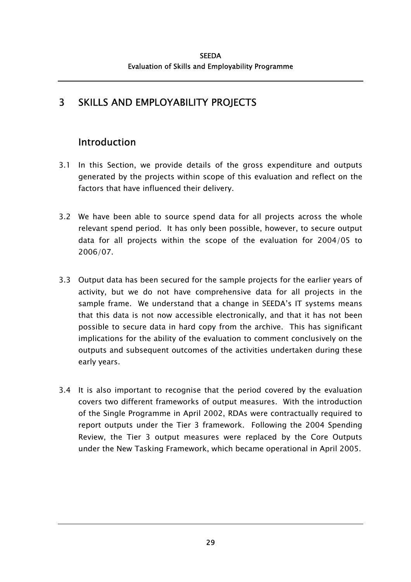# 3 SKILLS AND EMPLOYABILITY PROJECTS

# Introduction

- 3.1 In this Section, we provide details of the gross expenditure and outputs generated by the projects within scope of this evaluation and reflect on the factors that have influenced their delivery.
- 3.2 We have been able to source spend data for all projects across the whole relevant spend period. It has only been possible, however, to secure output data for all projects within the scope of the evaluation for 2004/05 to 2006/07.
- 3.3 Output data has been secured for the sample projects for the earlier years of activity, but we do not have comprehensive data for all projects in the sample frame. We understand that a change in SEEDA's IT systems means that this data is not now accessible electronically, and that it has not been possible to secure data in hard copy from the archive. This has significant implications for the ability of the evaluation to comment conclusively on the outputs and subsequent outcomes of the activities undertaken during these early years.
- 3.4 It is also important to recognise that the period covered by the evaluation covers two different frameworks of output measures. With the introduction of the Single Programme in April 2002, RDAs were contractually required to report outputs under the Tier 3 framework. Following the 2004 Spending Review, the Tier 3 output measures were replaced by the Core Outputs under the New Tasking Framework, which became operational in April 2005.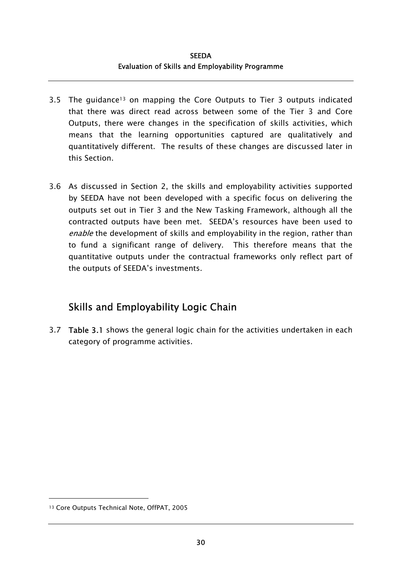- 3.5 The guidance<sup>13</sup> on mapping the Core Outputs to Tier 3 outputs indicated that there was direct read across between some of the Tier 3 and Core Outputs, there were changes in the specification of skills activities, which means that the learning opportunities captured are qualitatively and quantitatively different. The results of these changes are discussed later in this Section.
- 3.6 As discussed in Section 2, the skills and employability activities supported by SEEDA have not been developed with a specific focus on delivering the outputs set out in Tier 3 and the New Tasking Framework, although all the contracted outputs have been met. SEEDA's resources have been used to enable the development of skills and employability in the region, rather than to fund a significant range of delivery. This therefore means that the quantitative outputs under the contractual frameworks only reflect part of the outputs of SEEDA's investments.

# Skills and Employability Logic Chain

3.7 Table 3.1 shows the general logic chain for the activities undertaken in each category of programme activities.

l

<span id="page-59-0"></span><sup>13</sup> Core Outputs Technical Note, OffPAT, 2005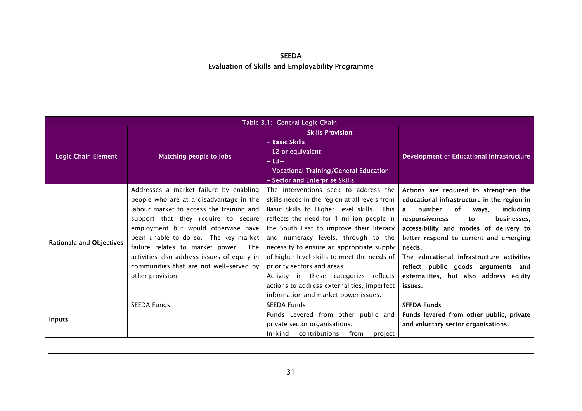|                                 | Table 3.1: General Logic Chain                                                                                                                                                                                                                                                                                                                                                                            |                                                                                                                                                                                                                                                                                                                                                                                                                                                                                                                                |                                                                                                                                                                                                                                                                                                                                                                                                                          |  |  |  |  |
|---------------------------------|-----------------------------------------------------------------------------------------------------------------------------------------------------------------------------------------------------------------------------------------------------------------------------------------------------------------------------------------------------------------------------------------------------------|--------------------------------------------------------------------------------------------------------------------------------------------------------------------------------------------------------------------------------------------------------------------------------------------------------------------------------------------------------------------------------------------------------------------------------------------------------------------------------------------------------------------------------|--------------------------------------------------------------------------------------------------------------------------------------------------------------------------------------------------------------------------------------------------------------------------------------------------------------------------------------------------------------------------------------------------------------------------|--|--|--|--|
| <b>Logic Chain Element</b>      | Matching people to Jobs                                                                                                                                                                                                                                                                                                                                                                                   | <b>Skills Provision:</b><br>- Basic Skills<br>- L2 or equivalent<br>$-$ L3+<br>- Vocational Training/General Education<br>- Sector and Enterprise Skills                                                                                                                                                                                                                                                                                                                                                                       | <b>Development of Educational Infrastructure</b>                                                                                                                                                                                                                                                                                                                                                                         |  |  |  |  |
| <b>Rationale and Objectives</b> | Addresses a market failure by enabling<br>people who are at a disadvantage in the<br>labour market to access the training and<br>support that they require to secure<br>employment but would otherwise have<br>been unable to do so. The key market<br>failure relates to market power. The<br>activities also address issues of equity in<br>communities that are not well-served by<br>other provision. | The interventions seek to address the<br>skills needs in the region at all levels from<br>Basic Skills to Higher Level skills. This<br>reflects the need for 1 million people in<br>the South East to improve their literacy<br>and numeracy levels, through to the<br>necessity to ensure an appropriate supply<br>of higher level skills to meet the needs of<br>priority sectors and areas.<br>Activity in these categories reflects<br>actions to address externalities, imperfect<br>information and market power issues. | Actions are required to strengthen the<br>educational infrastructure in the region in<br>number<br>of<br>including<br>$\mathbf{a}$<br>ways,<br>businesses,<br>responsiveness<br>to<br>accessibility and modes of delivery to<br>better respond to current and emerging<br>needs.<br>The educational infrastructure activities<br>reflect public goods arguments and<br>externalities, but also address equity<br>issues. |  |  |  |  |
| <b>Inputs</b>                   | <b>SEEDA Funds</b>                                                                                                                                                                                                                                                                                                                                                                                        | <b>SEEDA Funds</b><br>Funds Levered from other public and<br>private sector organisations.<br>In-kind<br>contributions<br>from<br>project                                                                                                                                                                                                                                                                                                                                                                                      | <b>SEEDA Funds</b><br>Funds levered from other public, private<br>and voluntary sector organisations.                                                                                                                                                                                                                                                                                                                    |  |  |  |  |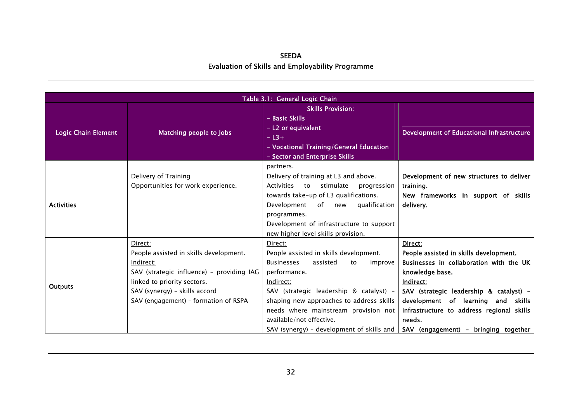| Table 3.1: General Logic Chain |                                                                                                                                                                                                                     |                                                                                                                                                                                                                                                                                                                                              |                                                                                                                                                                                                                                                                                                              |  |  |  |
|--------------------------------|---------------------------------------------------------------------------------------------------------------------------------------------------------------------------------------------------------------------|----------------------------------------------------------------------------------------------------------------------------------------------------------------------------------------------------------------------------------------------------------------------------------------------------------------------------------------------|--------------------------------------------------------------------------------------------------------------------------------------------------------------------------------------------------------------------------------------------------------------------------------------------------------------|--|--|--|
| <b>Logic Chain Element</b>     | Matching people to Jobs                                                                                                                                                                                             | <b>Skills Provision:</b><br>- Basic Skills<br>- L2 or equivalent<br>$- L3+$<br>- Vocational Training/General Education<br>- Sector and Enterprise Skills                                                                                                                                                                                     | Development of Educational Infrastructure                                                                                                                                                                                                                                                                    |  |  |  |
|                                |                                                                                                                                                                                                                     | partners.                                                                                                                                                                                                                                                                                                                                    |                                                                                                                                                                                                                                                                                                              |  |  |  |
| <b>Activities</b>              | Delivery of Training<br>Opportunities for work experience.                                                                                                                                                          | Delivery of training at L3 and above.<br>Activities to stimulate<br>progression<br>towards take-up of L3 qualifications.<br>Development of new<br>qualification<br>programmes.<br>Development of infrastructure to support<br>new higher level skills provision.                                                                             | Development of new structures to deliver<br>training.<br>New frameworks in support of skills<br>delivery.                                                                                                                                                                                                    |  |  |  |
| <b>Outputs</b>                 | Direct:<br>People assisted in skills development.<br>Indirect:<br>SAV (strategic influence) - providing IAG<br>linked to priority sectors.<br>SAV (synergy) - skills accord<br>SAV (engagement) - formation of RSPA | Direct:<br>People assisted in skills development.<br><b>Businesses</b><br>assisted<br>improve<br>to<br>performance.<br>Indirect:<br>SAV (strategic leadership & catalyst) -<br>shaping new approaches to address skills<br>needs where mainstream provision not<br>available/not effective.<br>SAV (synergy) - development of skills and $ $ | Direct:<br>People assisted in skills development.<br>Businesses in collaboration with the UK<br>knowledge base.<br>Indirect:<br>SAV (strategic leadership & catalyst) -<br>development of learning and skills<br>infrastructure to address regional skills<br>needs.<br>SAV (engagement) - bringing together |  |  |  |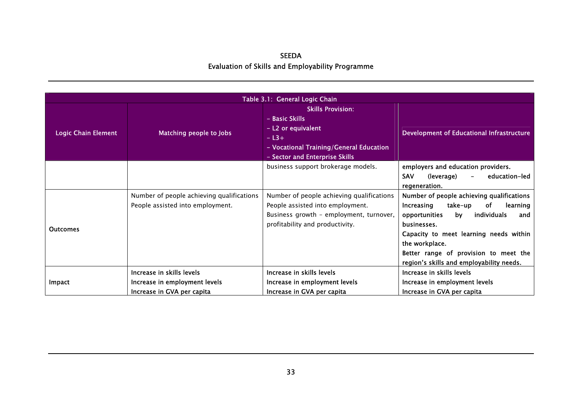| Table 3.1: General Logic Chain |                                                                                          |                                                                                                                                                                                                      |                                                                                                                                                                                                                                                                                                   |  |  |  |
|--------------------------------|------------------------------------------------------------------------------------------|------------------------------------------------------------------------------------------------------------------------------------------------------------------------------------------------------|---------------------------------------------------------------------------------------------------------------------------------------------------------------------------------------------------------------------------------------------------------------------------------------------------|--|--|--|
| <b>Logic Chain Element</b>     | Matching people to Jobs                                                                  | <b>Skills Provision:</b><br>- Basic Skills<br>- L2 or equivalent<br>Development of Educational Infrastructure<br>$-L3+$<br>- Vocational Training/General Education<br>- Sector and Enterprise Skills |                                                                                                                                                                                                                                                                                                   |  |  |  |
|                                |                                                                                          | business support brokerage models.                                                                                                                                                                   | employers and education providers.<br><b>SAV</b><br>(leverage)<br>education-led<br>$-$<br>regeneration.                                                                                                                                                                                           |  |  |  |
| <b>Outcomes</b>                | Number of people achieving qualifications<br>People assisted into employment.            | Number of people achieving qualifications<br>People assisted into employment.<br>Business growth - employment, turnover,<br>profitability and productivity.                                          | Number of people achieving qualifications<br>Increasing<br>take-up<br>of<br>learning<br>opportunities<br>individuals<br>bv<br>and<br>businesses.<br>Capacity to meet learning needs within<br>the workplace.<br>Better range of provision to meet the<br>region's skills and employability needs. |  |  |  |
| Impact                         | Increase in skills levels<br>Increase in employment levels<br>Increase in GVA per capita | Increase in skills levels<br>Increase in employment levels<br>Increase in GVA per capita                                                                                                             | Increase in skills levels<br>Increase in employment levels<br>Increase in GVA per capita                                                                                                                                                                                                          |  |  |  |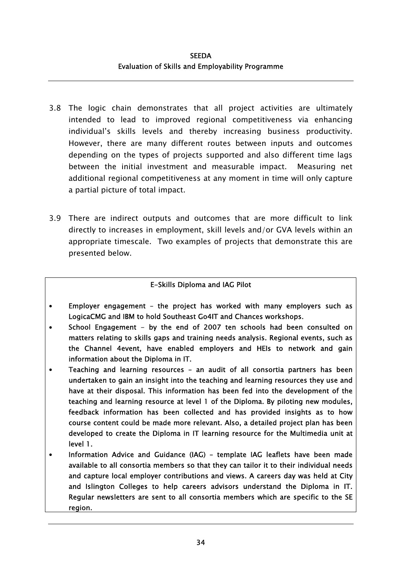- 3.8 The logic chain demonstrates that all project activities are ultimately intended to lead to improved regional competitiveness via enhancing individual's skills levels and thereby increasing business productivity. However, there are many different routes between inputs and outcomes depending on the types of projects supported and also different time lags between the initial investment and measurable impact. Measuring net additional regional competitiveness at any moment in time will only capture a partial picture of total impact.
- 3.9 There are indirect outputs and outcomes that are more difficult to link directly to increases in employment, skill levels and/or GVA levels within an appropriate timescale. Two examples of projects that demonstrate this are presented below.

### E-Skills Diploma and IAG Pilot

- Employer engagement the project has worked with many employers such as LogicaCMG and IBM to hold Southeast Go4IT and Chances workshops.
- School Engagement by the end of 2007 ten schools had been consulted on matters relating to skills gaps and training needs analysis. Regional events, such as the Channel 4event, have enabled employers and HEIs to network and gain information about the Diploma in IT.
- Teaching and learning resources an audit of all consortia partners has been undertaken to gain an insight into the teaching and learning resources they use and have at their disposal. This information has been fed into the development of the teaching and learning resource at level 1 of the Diploma. By piloting new modules, feedback information has been collected and has provided insights as to how course content could be made more relevant. Also, a detailed project plan has been developed to create the Diploma in IT learning resource for the Multimedia unit at level 1.
- Information Advice and Guidance (IAG) template IAG leaflets have been made available to all consortia members so that they can tailor it to their individual needs and capture local employer contributions and views. A careers day was held at City and Islington Colleges to help careers advisors understand the Diploma in IT. Regular newsletters are sent to all consortia members which are specific to the SE region.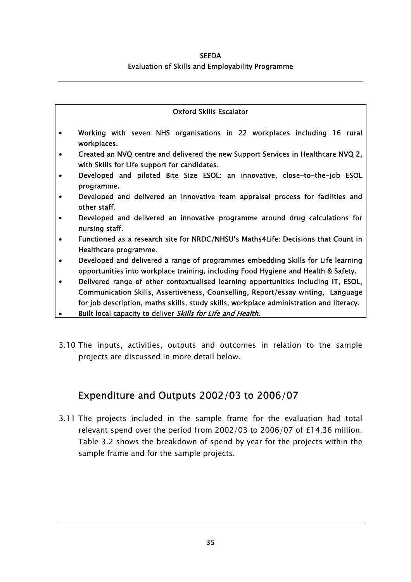#### Oxford Skills Escalator

- Working with seven NHS organisations in 22 workplaces including 16 rural workplaces.
- Created an NVQ centre and delivered the new Support Services in Healthcare NVQ 2, with Skills for Life support for candidates.
- Developed and piloted Bite Size ESOL: an innovative, close-to-the-job ESOL programme.
- Developed and delivered an innovative team appraisal process for facilities and other staff.
- Developed and delivered an innovative programme around drug calculations for nursing staff.
- Functioned as a research site for NRDC/NHSU's Maths4Life: Decisions that Count in Healthcare programme.
- Developed and delivered a range of programmes embedding Skills for Life learning opportunities into workplace training, including Food Hygiene and Health & Safety.
- Delivered range of other contextualised learning opportunities including IT, ESOL, Communication Skills, Assertiveness, Counselling, Report/essay writing, Language for job description, maths skills, study skills, workplace administration and literacy.
- Built local capacity to deliver Skills for Life and Health.
- 3.10 The inputs, activities, outputs and outcomes in relation to the sample projects are discussed in more detail below.

## Expenditure and Outputs 2002/03 to 2006/07

3.11 The projects included in the sample frame for the evaluation had total relevant spend over the period from 2002/03 to 2006/07 of £14.36 million. Table 3.2 shows the breakdown of spend by year for the projects within the sample frame and for the sample projects.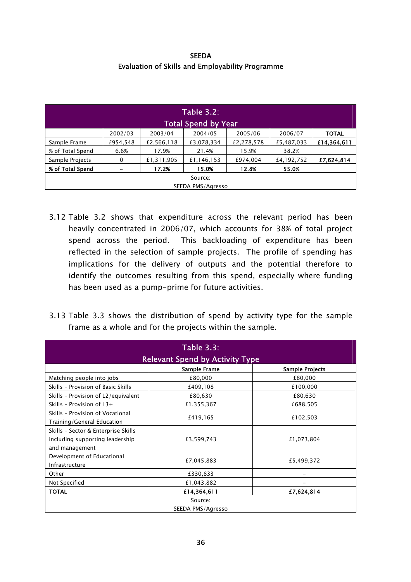**SEEDA** Evaluation of Skills and Employability Programme

| <b>Table 3.2:</b> |          |            |                            |            |            |              |
|-------------------|----------|------------|----------------------------|------------|------------|--------------|
|                   |          |            | <b>Total Spend by Year</b> |            |            |              |
|                   | 2002/03  | 2003/04    | 2004/05                    | 2005/06    | 2006/07    | <b>TOTAL</b> |
| Sample Frame      | £954,548 | £2,566,118 | £3,078,334                 | £2,278,578 | £5,487,033 | £14,364,611  |
| % of Total Spend  | 6.6%     | 17.9%      | 21.4%                      | 15.9%      | 38.2%      |              |
| Sample Projects   | 0        | £1,311,905 | £1,146,153                 | £974,004   | £4,192,752 | £7,624,814   |
| % of Total Spend  |          | 17.2%      | 15.0%                      | 12.8%      | 55.0%      |              |
| Source:           |          |            |                            |            |            |              |
|                   |          |            | SEEDA PMS/Agresso          |            |            |              |

- 3.12 Table 3.2 shows that expenditure across the relevant period has been heavily concentrated in 2006/07, which accounts for 38% of total project spend across the period. This backloading of expenditure has been reflected in the selection of sample projects. The profile of spending has implications for the delivery of outputs and the potential therefore to identify the outcomes resulting from this spend, especially where funding has been used as a pump-prime for future activities.
- 3.13 Table 3.3 shows the distribution of spend by activity type for the sample frame as a whole and for the projects within the sample.

| <b>Table 3.3:</b><br><b>Relevant Spend by Activity Type</b>                              |              |                 |  |  |  |  |
|------------------------------------------------------------------------------------------|--------------|-----------------|--|--|--|--|
|                                                                                          | Sample Frame | Sample Projects |  |  |  |  |
| Matching people into jobs                                                                | £80,000      | £80,000         |  |  |  |  |
| Skills - Provision of Basic Skills                                                       | £409,108     | £100,000        |  |  |  |  |
| Skills - Provision of L2/equivalent                                                      | £80,630      | £80,630         |  |  |  |  |
| Skills - Provision of $L3+$                                                              | £1,355,367   | £688,505        |  |  |  |  |
| Skills - Provision of Vocational<br>Training/General Education                           | £419,165     | £102,503        |  |  |  |  |
| Skills - Sector & Enterprise Skills<br>including supporting leadership<br>and management | £3,599,743   | £1,073,804      |  |  |  |  |
| Development of Educational<br>Infrastructure                                             | £7,045,883   | £5,499,372      |  |  |  |  |
| Other                                                                                    | £330,833     |                 |  |  |  |  |
| Not Specified                                                                            | £1,043,882   |                 |  |  |  |  |
| <b>TOTAL</b>                                                                             | £14,364,611  | £7,624,814      |  |  |  |  |
| Source:<br>SEEDA PMS/Agresso                                                             |              |                 |  |  |  |  |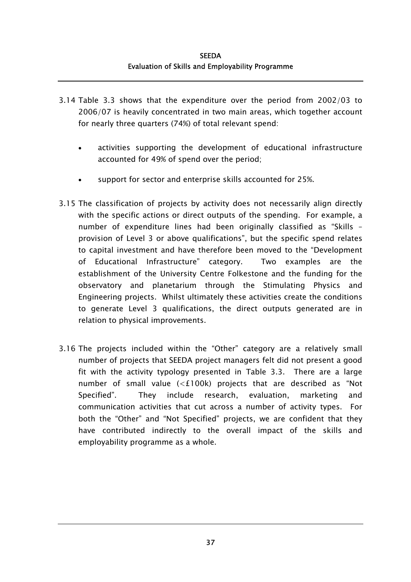- 3.14 Table 3.3 shows that the expenditure over the period from 2002/03 to 2006/07 is heavily concentrated in two main areas, which together account for nearly three quarters (74%) of total relevant spend:
	- activities supporting the development of educational infrastructure accounted for 49% of spend over the period; •
	- support for sector and enterprise skills accounted for 25%.
- 3.15 The classification of projects by activity does not necessarily align directly with the specific actions or direct outputs of the spending. For example, a number of expenditure lines had been originally classified as "Skills – provision of Level 3 or above qualifications", but the specific spend relates to capital investment and have therefore been moved to the "Development of Educational Infrastructure" category. Two examples are the establishment of the University Centre Folkestone and the funding for the observatory and planetarium through the Stimulating Physics and Engineering projects. Whilst ultimately these activities create the conditions to generate Level 3 qualifications, the direct outputs generated are in relation to physical improvements.
- 3.16 The projects included within the "Other" category are a relatively small number of projects that SEEDA project managers felt did not present a good fit with the activity typology presented in Table 3.3. There are a large number of small value (<£100k) projects that are described as "Not Specified". They include research, evaluation, marketing and communication activities that cut across a number of activity types. For both the "Other" and "Not Specified" projects, we are confident that they have contributed indirectly to the overall impact of the skills and employability programme as a whole.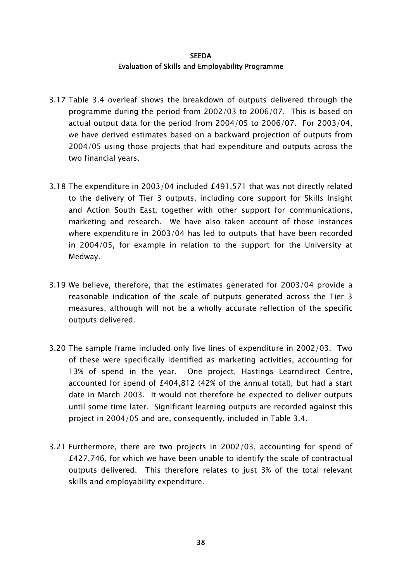- 3.17 Table 3.4 overleaf shows the breakdown of outputs delivered through the programme during the period from 2002/03 to 2006/07. This is based on actual output data for the period from 2004/05 to 2006/07. For 2003/04, we have derived estimates based on a backward projection of outputs from 2004/05 using those projects that had expenditure and outputs across the two financial years.
- 3.18 The expenditure in 2003/04 included £491,571 that was not directly related to the delivery of Tier 3 outputs, including core support for Skills Insight and Action South East, together with other support for communications, marketing and research. We have also taken account of those instances where expenditure in 2003/04 has led to outputs that have been recorded in 2004/05, for example in relation to the support for the University at Medway.
- 3.19 We believe, therefore, that the estimates generated for 2003/04 provide a reasonable indication of the scale of outputs generated across the Tier 3 measures, although will not be a wholly accurate reflection of the specific outputs delivered.
- 3.20 The sample frame included only five lines of expenditure in 2002/03. Two of these were specifically identified as marketing activities, accounting for 13% of spend in the year. One project, Hastings Learndirect Centre, accounted for spend of £404,812 (42% of the annual total), but had a start date in March 2003. It would not therefore be expected to deliver outputs until some time later. Significant learning outputs are recorded against this project in 2004/05 and are, consequently, included in Table 3.4.
- 3.21 Furthermore, there are two projects in 2002/03, accounting for spend of £427,746, for which we have been unable to identify the scale of contractual outputs delivered. This therefore relates to just 3% of the total relevant skills and employability expenditure.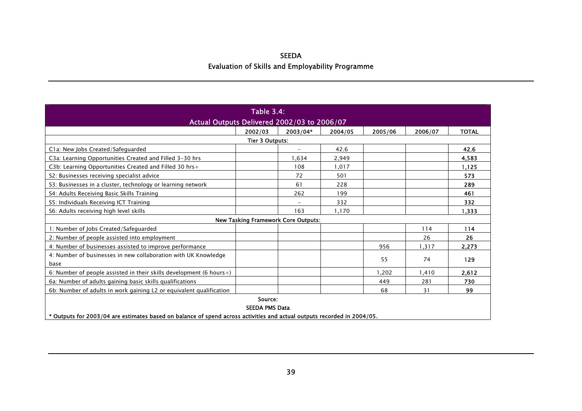| <b>Table 3.4:</b><br>Actual Outputs Delivered 2002/03 to 2006/07                                                                                            |         |                          |         |         |         |              |  |
|-------------------------------------------------------------------------------------------------------------------------------------------------------------|---------|--------------------------|---------|---------|---------|--------------|--|
|                                                                                                                                                             | 2002/03 | 2003/04*                 | 2004/05 | 2005/06 | 2006/07 | <b>TOTAL</b> |  |
| <b>Tier 3 Outputs:</b>                                                                                                                                      |         |                          |         |         |         |              |  |
| C1a: New Jobs Created/Safeguarded                                                                                                                           |         |                          | 42.6    |         |         | 42.6         |  |
| C3a: Learning Opportunities Created and Filled 3-30 hrs                                                                                                     |         | 1.634                    | 2,949   |         |         | 4,583        |  |
| C3b: Learning Opportunities Created and Filled 30 hrs+                                                                                                      |         | 108                      | 1,017   |         |         | 1,125        |  |
| S2: Businesses receiving specialist advice                                                                                                                  |         | 72                       | 501     |         |         | 573          |  |
| S3: Businesses in a cluster, technology or learning network                                                                                                 |         | 61                       | 228     |         |         | 289          |  |
| S4: Adults Receiving Basic Skills Training                                                                                                                  |         | 262                      | 199     |         |         | 461          |  |
| S5: Individuals Receiving ICT Training                                                                                                                      |         | $\overline{\phantom{a}}$ | 332     |         |         | 332          |  |
| S6: Adults receiving high level skills                                                                                                                      |         | 163                      | 1,170   |         |         | 1,333        |  |
| <b>New Tasking Framework Core Outputs:</b>                                                                                                                  |         |                          |         |         |         |              |  |
| 1: Number of Jobs Created/Safeguarded                                                                                                                       |         |                          |         |         | 114     | 114          |  |
| 2: Number of people assisted into employment                                                                                                                |         |                          |         |         | 26      | 26           |  |
| 4: Number of businesses assisted to improve performance                                                                                                     |         |                          |         | 956     | 1.317   | 2,273        |  |
| 4: Number of businesses in new collaboration with UK Knowledge<br>base                                                                                      |         |                          |         | 55      | 74      | 129          |  |
| 6: Number of people assisted in their skills development (6 hours+)                                                                                         |         |                          |         | 1.202   | 1.410   | 2,612        |  |
| 6a: Number of adults gaining basic skills qualifications                                                                                                    |         |                          |         | 449     | 281     | 730          |  |
| 6b: Number of adults in work gaining L2 or equivalent qualification                                                                                         |         |                          |         | 68      | 31      | 99           |  |
| Source:<br><b>SEEDA PMS Data</b><br>* Outputs for 2003/04 are estimates based on balance of spend across activities and actual outputs recorded in 2004/05. |         |                          |         |         |         |              |  |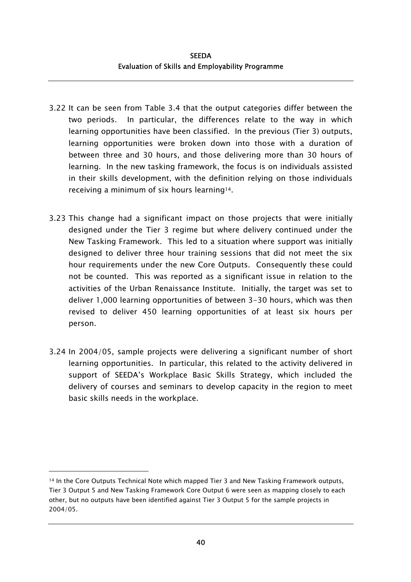- 3.22 It can be seen from Table 3.4 that the output categories differ between the two periods. In particular, the differences relate to the way in which learning opportunities have been classified. In the previous (Tier 3) outputs, learning opportunities were broken down into those with a duration of between three and 30 hours, and those delivering more than 30 hours of learning. In the new tasking framework, the focus is on individuals assisted in their skills development, with the definition relying on those individuals receiving a minimum of six hours learning[14.](#page-69-0)
- 3.23 This change had a significant impact on those projects that were initially designed under the Tier 3 regime but where delivery continued under the New Tasking Framework. This led to a situation where support was initially designed to deliver three hour training sessions that did not meet the six hour requirements under the new Core Outputs. Consequently these could not be counted. This was reported as a significant issue in relation to the activities of the Urban Renaissance Institute. Initially, the target was set to deliver 1,000 learning opportunities of between 3-30 hours, which was then revised to deliver 450 learning opportunities of at least six hours per person.
- 3.24 In 2004/05, sample projects were delivering a significant number of short learning opportunities. In particular, this related to the activity delivered in support of SEEDA's Workplace Basic Skills Strategy, which included the delivery of courses and seminars to develop capacity in the region to meet basic skills needs in the workplace.

1

<span id="page-69-0"></span><sup>14</sup> In the Core Outputs Technical Note which mapped Tier 3 and New Tasking Framework outputs, Tier 3 Output 5 and New Tasking Framework Core Output 6 were seen as mapping closely to each other, but no outputs have been identified against Tier 3 Output 5 for the sample projects in 2004/05.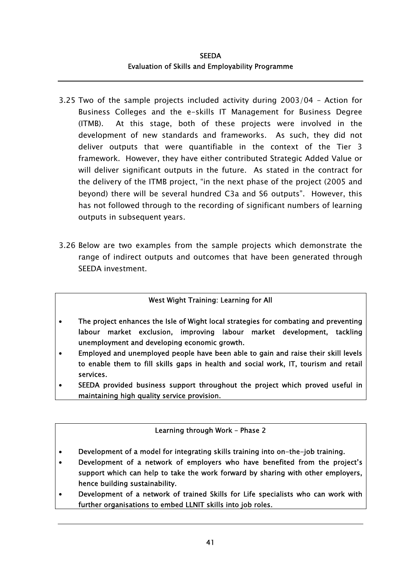- 3.25 Two of the sample projects included activity during 2003/04 Action for Business Colleges and the e-skills IT Management for Business Degree (ITMB). At this stage, both of these projects were involved in the development of new standards and frameworks. As such, they did not deliver outputs that were quantifiable in the context of the Tier 3 framework. However, they have either contributed Strategic Added Value or will deliver significant outputs in the future. As stated in the contract for the delivery of the ITMB project, "in the next phase of the project (2005 and beyond) there will be several hundred C3a and S6 outputs". However, this has not followed through to the recording of significant numbers of learning outputs in subsequent years.
- 3.26 Below are two examples from the sample projects which demonstrate the range of indirect outputs and outcomes that have been generated through SEEDA investment.

### West Wight Training: Learning for All

- The project enhances the Isle of Wight local strategies for combating and preventing labour market exclusion, improving labour market development, tackling unemployment and developing economic growth.
- Employed and unemployed people have been able to gain and raise their skill levels to enable them to fill skills gaps in health and social work, IT, tourism and retail services.
- SEEDA provided business support throughout the project which proved useful in maintaining high quality service provision.

### Learning through Work – Phase 2

- Development of a model for integrating skills training into on-the-job training.
- Development of a network of employers who have benefited from the project's support which can help to take the work forward by sharing with other employers, hence building sustainability.
- Development of a network of trained Skills for Life specialists who can work with further organisations to embed LLNIT skills into job roles.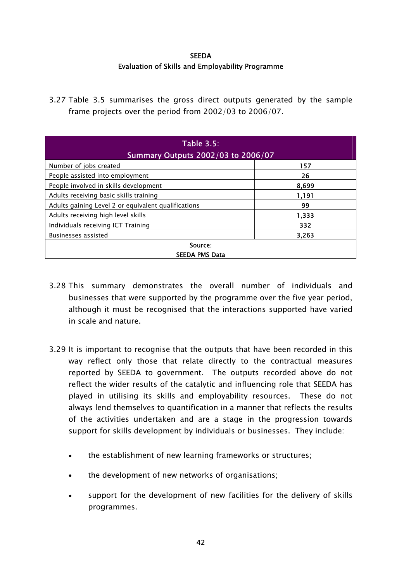**SEEDA** Evaluation of Skills and Employability Programme

3.27 Table 3.5 summarises the gross direct outputs generated by the sample frame projects over the period from 2002/03 to 2006/07.

| <b>Table 3.5:</b><br>Summary Outputs 2002/03 to 2006/07 |       |  |  |  |  |
|---------------------------------------------------------|-------|--|--|--|--|
| Number of jobs created                                  | 157   |  |  |  |  |
| People assisted into employment                         | 26    |  |  |  |  |
| People involved in skills development                   | 8,699 |  |  |  |  |
| Adults receiving basic skills training                  | 1,191 |  |  |  |  |
| Adults gaining Level 2 or equivalent qualifications     | 99    |  |  |  |  |
| Adults receiving high level skills                      | 1,333 |  |  |  |  |
| Individuals receiving ICT Training                      | 332   |  |  |  |  |
| Businesses assisted                                     | 3,263 |  |  |  |  |
| Source:                                                 |       |  |  |  |  |
| <b>SEEDA PMS Data</b>                                   |       |  |  |  |  |

- 3.28 This summary demonstrates the overall number of individuals and businesses that were supported by the programme over the five year period, although it must be recognised that the interactions supported have varied in scale and nature.
- 3.29 It is important to recognise that the outputs that have been recorded in this way reflect only those that relate directly to the contractual measures reported by SEEDA to government. The outputs recorded above do not reflect the wider results of the catalytic and influencing role that SEEDA has played in utilising its skills and employability resources. These do not always lend themselves to quantification in a manner that reflects the results of the activities undertaken and are a stage in the progression towards support for skills development by individuals or businesses. They include:
	- the establishment of new learning frameworks or structures;
	- the development of new networks of organisations;
	- support for the development of new facilities for the delivery of skills programmes.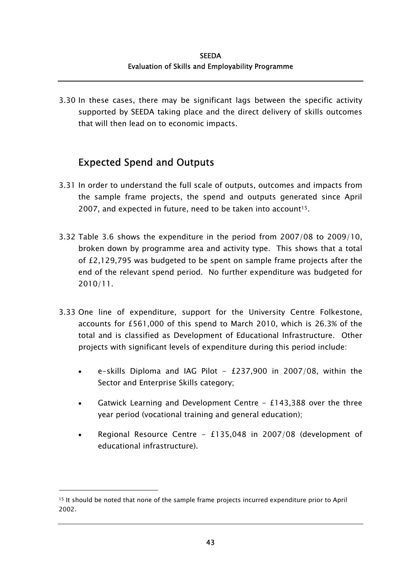3.30 In these cases, there may be significant lags between the specific activity supported by SEEDA taking place and the direct delivery of skills outcomes that will then lead on to economic impacts.

## Expected Spend and Outputs

- 3.31 In order to understand the full scale of outputs, outcomes and impacts from the sample frame projects, the spend and outputs generated since April 2007, and expected in future, need to be taken into account<sup>15</sup>.
- 3.32 Table 3.6 shows the expenditure in the period from 2007/08 to 2009/10, broken down by programme area and activity type. This shows that a total of £2,129,795 was budgeted to be spent on sample frame projects after the end of the relevant spend period. No further expenditure was budgeted for 2010/11.
- 3.33 One line of expenditure, support for the University Centre Folkestone, accounts for £561,000 of this spend to March 2010, which is 26.3% of the total and is classified as Development of Educational Infrastructure. Other projects with significant levels of expenditure during this period include:
	- e-skills Diploma and IAG Pilot -  $£237,900$  in 2007/08, within the Sector and Enterprise Skills category;
	- $\bullet$ Gatwick Learning and Development Centre  $-$  £143,388 over the three year period (vocational training and general education);
	- Regional Resource Centre - £135,048 in 2007/08 (development of educational infrastructure).

<span id="page-72-0"></span><sup>15</sup> It should be noted that none of the sample frame projects incurred expenditure prior to April 2002.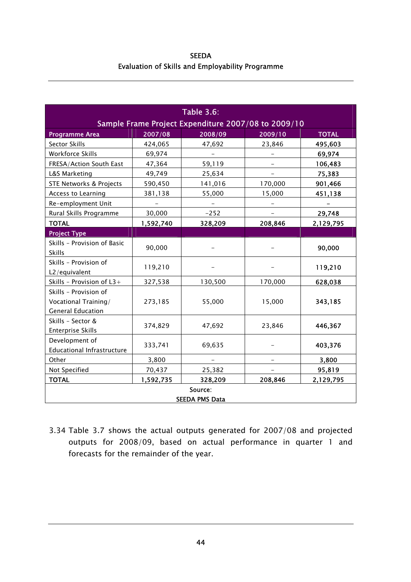SEEDA Evaluation of Skills and Employability Programme

| <b>Table 3.6:</b>                                                         |                          |                                                     |                          |              |
|---------------------------------------------------------------------------|--------------------------|-----------------------------------------------------|--------------------------|--------------|
|                                                                           |                          | Sample Frame Project Expenditure 2007/08 to 2009/10 |                          |              |
| <b>Programme Area</b>                                                     | 2007/08                  | 2008/09                                             | 2009/10                  | <b>TOTAL</b> |
| Sector Skills                                                             | 424,065                  | 47,692                                              | 23,846                   | 495,603      |
| Workforce Skills                                                          | 69,974                   |                                                     |                          | 69,974       |
| FRESA/Action South East                                                   | 47,364                   | 59,119                                              |                          | 106,483      |
| L&S Marketing                                                             | 49,749                   | 25,634                                              |                          | 75,383       |
| STE Networks & Projects                                                   | 590,450                  | 141,016                                             | 170,000                  | 901,466      |
| Access to Learning                                                        | 381,138                  | 55,000                                              | 15,000                   | 451,138      |
| Re-employment Unit                                                        | $\overline{\phantom{a}}$ | $\overline{\phantom{a}}$                            | $\overline{\phantom{a}}$ |              |
| Rural Skills Programme                                                    | 30,000                   | $-252$                                              |                          | 29,748       |
| <b>TOTAL</b>                                                              | 1,592,740                | 328,209                                             | 208,846                  | 2,129,795    |
| <b>Project Type</b>                                                       |                          |                                                     |                          |              |
| Skills - Provision of Basic<br><b>Skills</b>                              | 90,000                   |                                                     | $\qquad \qquad -$        | 90,000       |
| Skills - Provision of<br>L2/equivalent                                    | 119,210                  |                                                     |                          | 119,210      |
| Skills - Provision of L3+                                                 | 327,538                  | 130,500                                             | 170,000                  | 628,038      |
| Skills - Provision of<br>Vocational Training/<br><b>General Education</b> | 273,185                  | 55,000                                              | 15,000                   | 343,185      |
| Skills - Sector &<br><b>Enterprise Skills</b>                             | 374,829                  | 47,692                                              | 23,846                   | 446,367      |
| Development of<br><b>Educational Infrastructure</b>                       | 333,741                  | 69,635                                              |                          | 403,376      |
| Other                                                                     | 3,800                    | $\overline{\phantom{0}}$                            |                          | 3,800        |
| Not Specified                                                             | 70,437                   | 25,382                                              |                          | 95,819       |
| <b>TOTAL</b>                                                              | 1,592,735                | 328,209                                             | 208,846                  | 2,129,795    |
| Source:<br><b>SEEDA PMS Data</b>                                          |                          |                                                     |                          |              |

3.34 Table 3.7 shows the actual outputs generated for 2007/08 and projected outputs for 2008/09, based on actual performance in quarter 1 and forecasts for the remainder of the year.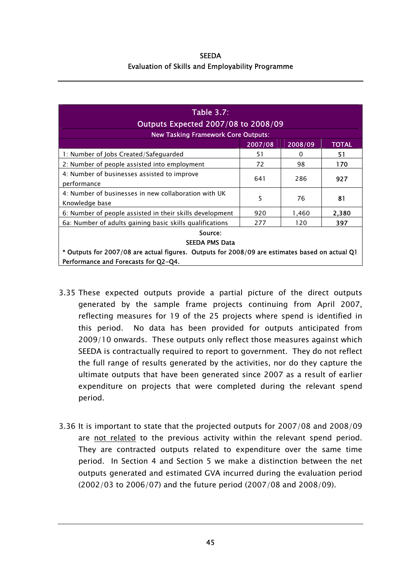| <b>SEEDA</b>                                            |  |  |
|---------------------------------------------------------|--|--|
| <b>Evaluation of Skills and Employability Programme</b> |  |  |

| <b>Table 3.7:</b><br>Outputs Expected 2007/08 to 2008/09                                       |         |         |              |
|------------------------------------------------------------------------------------------------|---------|---------|--------------|
| <b>New Tasking Framework Core Outputs:</b>                                                     |         |         |              |
|                                                                                                | 2007/08 | 2008/09 | <b>TOTAL</b> |
| 1: Number of Jobs Created/Safeguarded                                                          | 51      | 0       | 51           |
| 2: Number of people assisted into employment                                                   | 72      | 98      | 170          |
| 4: Number of businesses assisted to improve<br>performance                                     | 641     | 286     | 927          |
| 4: Number of businesses in new collaboration with UK<br>Knowledge base                         | 5       | 76      | 81           |
| 6: Number of people assisted in their skills development                                       | 920     | 1,460   | 2.380        |
| 6a: Number of adults gaining basic skills qualifications                                       | 277     | 120     | 397          |
| Source:                                                                                        |         |         |              |
| <b>SEEDA PMS Data</b>                                                                          |         |         |              |
| * Outputs for 2007/08 are actual figures. Outputs for 2008/09 are estimates based on actual Q1 |         |         |              |
| Performance and Forecasts for Q2-Q4.                                                           |         |         |              |

- 3.35 These expected outputs provide a partial picture of the direct outputs generated by the sample frame projects continuing from April 2007, reflecting measures for 19 of the 25 projects where spend is identified in this period. No data has been provided for outputs anticipated from 2009/10 onwards. These outputs only reflect those measures against which SEEDA is contractually required to report to government. They do not reflect the full range of results generated by the activities, nor do they capture the ultimate outputs that have been generated since 2007 as a result of earlier expenditure on projects that were completed during the relevant spend period.
- 3.36 It is important to state that the projected outputs for 2007/08 and 2008/09 are not related to the previous activity within the relevant spend period. They are contracted outputs related to expenditure over the same time period. In Section 4 and Section 5 we make a distinction between the net outputs generated and estimated GVA incurred during the evaluation period (2002/03 to 2006/07) and the future period (2007/08 and 2008/09).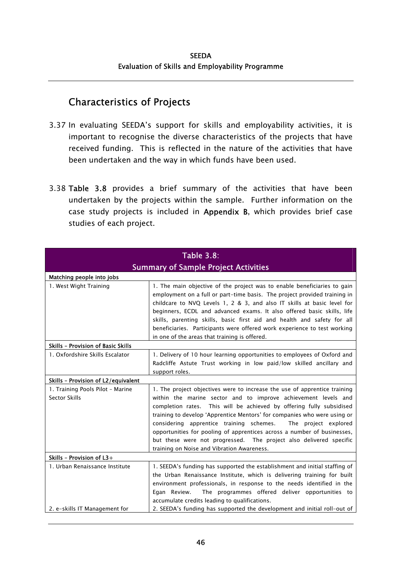## Characteristics of Projects

- 3.37 In evaluating SEEDA's support for skills and employability activities, it is important to recognise the diverse characteristics of the projects that have received funding. This is reflected in the nature of the activities that have been undertaken and the way in which funds have been used.
- 3.38 Table 3.8 provides a brief summary of the activities that have been undertaken by the projects within the sample. Further information on the case study projects is included in Appendix B, which provides brief case studies of each project.

| <b>Table 3.8:</b>                                 |                                                                                                                                                                                                                                                                                                                                                                                                                                                                                                                                                                    |  |
|---------------------------------------------------|--------------------------------------------------------------------------------------------------------------------------------------------------------------------------------------------------------------------------------------------------------------------------------------------------------------------------------------------------------------------------------------------------------------------------------------------------------------------------------------------------------------------------------------------------------------------|--|
| <b>Summary of Sample Project Activities</b>       |                                                                                                                                                                                                                                                                                                                                                                                                                                                                                                                                                                    |  |
| Matching people into jobs                         |                                                                                                                                                                                                                                                                                                                                                                                                                                                                                                                                                                    |  |
| 1. West Wight Training                            | 1. The main objective of the project was to enable beneficiaries to gain<br>employment on a full or part-time basis. The project provided training in<br>childcare to NVQ Levels 1, 2 & 3, and also IT skills at basic level for<br>beginners, ECDL and advanced exams. It also offered basic skills, life<br>skills, parenting skills, basic first aid and health and safety for all<br>beneficiaries. Participants were offered work experience to test working<br>in one of the areas that training is offered.                                                 |  |
| Skills - Provision of Basic Skills                |                                                                                                                                                                                                                                                                                                                                                                                                                                                                                                                                                                    |  |
| 1. Oxfordshire Skills Escalator                   | 1. Delivery of 10 hour learning opportunities to employees of Oxford and<br>Radcliffe Astute Trust working in low paid/low skilled ancillary and<br>support roles.                                                                                                                                                                                                                                                                                                                                                                                                 |  |
| Skills - Provision of L2/equivalent               |                                                                                                                                                                                                                                                                                                                                                                                                                                                                                                                                                                    |  |
| 1. Training Pools Pilot - Marine<br>Sector Skills | 1. The project objectives were to increase the use of apprentice training<br>within the marine sector and to improve achievement levels and<br>completion rates. This will be achieved by offering fully subsidised<br>training to develop 'Apprentice Mentors' for companies who were using or<br>considering apprentice training schemes.<br>The project explored<br>opportunities for pooling of apprentices across a number of businesses,<br>but these were not progressed. The project also delivered specific<br>training on Noise and Vibration Awareness. |  |
| Skills - Provision of L3+                         |                                                                                                                                                                                                                                                                                                                                                                                                                                                                                                                                                                    |  |
| 1. Urban Renaissance Institute                    | 1. SEEDA's funding has supported the establishment and initial staffing of<br>the Urban Renaissance Institute, which is delivering training for built<br>environment professionals, in response to the needs identified in the<br>The programmes offered deliver opportunities to<br>Egan Review.<br>accumulate credits leading to qualifications.                                                                                                                                                                                                                 |  |
| 2. e-skills IT Management for                     | 2. SEEDA's funding has supported the development and initial roll-out of                                                                                                                                                                                                                                                                                                                                                                                                                                                                                           |  |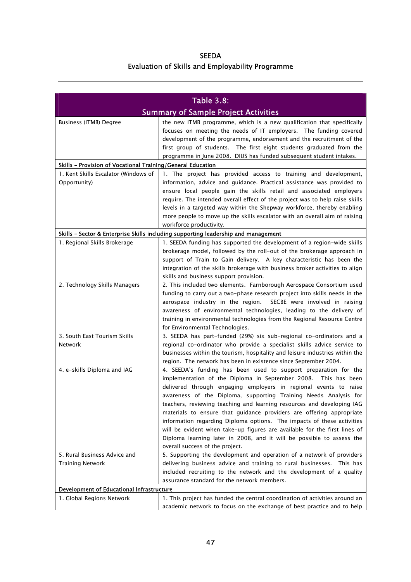| <b>SEEDA</b>                                            |
|---------------------------------------------------------|
| <b>Evaluation of Skills and Employability Programme</b> |

| <b>Table 3.8:</b>                                           |                                                                                    |  |
|-------------------------------------------------------------|------------------------------------------------------------------------------------|--|
| <b>Summary of Sample Project Activities</b>                 |                                                                                    |  |
| Business (ITMB) Degree                                      | the new ITMB programme, which is a new qualification that specifically             |  |
|                                                             | focuses on meeting the needs of IT employers. The funding covered                  |  |
|                                                             | development of the programme, endorsement and the recruitment of the               |  |
|                                                             | first group of students. The first eight students graduated from the               |  |
|                                                             | programme in June 2008. DIUS has funded subsequent student intakes.                |  |
| Skills - Provision of Vocational Training/General Education |                                                                                    |  |
| 1. Kent Skills Escalator (Windows of                        | 1. The project has provided access to training and development,                    |  |
| Opportunity)                                                | information, advice and quidance. Practical assistance was provided to             |  |
|                                                             | ensure local people gain the skills retail and associated employers                |  |
|                                                             | require. The intended overall effect of the project was to help raise skills       |  |
|                                                             | levels in a targeted way within the Shepway workforce, thereby enabling            |  |
|                                                             | more people to move up the skills escalator with an overall aim of raising         |  |
|                                                             | workforce productivity.                                                            |  |
|                                                             | Skills - Sector & Enterprise Skills including supporting leadership and management |  |
| 1. Regional Skills Brokerage                                | 1. SEEDA funding has supported the development of a region-wide skills             |  |
|                                                             | brokerage model, followed by the roll-out of the brokerage approach in             |  |
|                                                             | support of Train to Gain delivery. A key characteristic has been the               |  |
|                                                             | integration of the skills brokerage with business broker activities to align       |  |
|                                                             | skills and business support provision.                                             |  |
| 2. Technology Skills Managers                               | 2. This included two elements. Farnborough Aerospace Consortium used               |  |
|                                                             | funding to carry out a two-phase research project into skills needs in the         |  |
|                                                             | aerospace industry in the region.<br>SECBE were involved in raising                |  |
|                                                             | awareness of environmental technologies, leading to the delivery of                |  |
|                                                             | training in environmental technologies from the Regional Resource Centre           |  |
|                                                             | for Environmental Technologies.                                                    |  |
| 3. South East Tourism Skills                                | 3. SEEDA has part-funded (29%) six sub-regional co-ordinators and a                |  |
| Network                                                     | regional co-ordinator who provide a specialist skills advice service to            |  |
|                                                             | businesses within the tourism, hospitality and leisure industries within the       |  |
|                                                             | region. The network has been in existence since September 2004.                    |  |
| 4. e-skills Diploma and IAG                                 | 4. SEEDA's funding has been used to support preparation for the                    |  |
|                                                             | implementation of the Diploma in September 2008. This has been                     |  |
|                                                             | delivered through engaging employers in regional events to raise                   |  |
|                                                             | awareness of the Diploma, supporting Training Needs Analysis for                   |  |
|                                                             | teachers, reviewing teaching and learning resources and developing IAG             |  |
|                                                             | materials to ensure that guidance providers are offering appropriate               |  |
|                                                             | information regarding Diploma options. The impacts of these activities             |  |
|                                                             | will be evident when take-up figures are available for the first lines of          |  |
|                                                             | Diploma learning later in 2008, and it will be possible to assess the              |  |
|                                                             | overall success of the project.                                                    |  |
| 5. Rural Business Advice and                                | 5. Supporting the development and operation of a network of providers              |  |
| <b>Training Network</b>                                     | delivering business advice and training to rural businesses. This has              |  |
|                                                             | included recruiting to the network and the development of a quality                |  |
|                                                             | assurance standard for the network members.                                        |  |
| Development of Educational Infrastructure                   |                                                                                    |  |
| 1. Global Regions Network                                   | 1. This project has funded the central coordination of activities around an        |  |
|                                                             | academic network to focus on the exchange of best practice and to help             |  |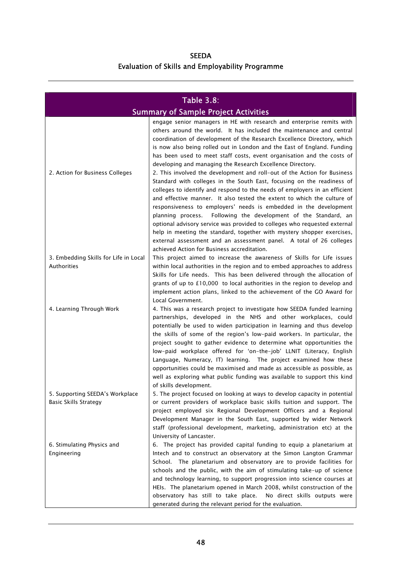| <b>SEEDA</b>                                            |
|---------------------------------------------------------|
| <b>Evaluation of Skills and Employability Programme</b> |

| <b>Table 3.8:</b><br><b>Summary of Sample Project Activities</b> |                                                                                                    |  |
|------------------------------------------------------------------|----------------------------------------------------------------------------------------------------|--|
|                                                                  | engage senior managers in HE with research and enterprise remits with                              |  |
|                                                                  | others around the world. It has included the maintenance and central                               |  |
|                                                                  | coordination of development of the Research Excellence Directory, which                            |  |
|                                                                  | is now also being rolled out in London and the East of England. Funding                            |  |
|                                                                  | has been used to meet staff costs, event organisation and the costs of                             |  |
|                                                                  | developing and managing the Research Excellence Directory.                                         |  |
| 2. Action for Business Colleges                                  | 2. This involved the development and roll-out of the Action for Business                           |  |
|                                                                  | Standard with colleges in the South East, focusing on the readiness of                             |  |
|                                                                  | colleges to identify and respond to the needs of employers in an efficient                         |  |
|                                                                  | and effective manner. It also tested the extent to which the culture of                            |  |
|                                                                  | responsiveness to employers' needs is embedded in the development                                  |  |
|                                                                  | planning process. Following the development of the Standard, an                                    |  |
|                                                                  | optional advisory service was provided to colleges who requested external                          |  |
|                                                                  | help in meeting the standard, together with mystery shopper exercises,                             |  |
|                                                                  | external assessment and an assessment panel. A total of 26 colleges                                |  |
|                                                                  | achieved Action for Business accreditation.                                                        |  |
| 3. Embedding Skills for Life in Local                            | This project aimed to increase the awareness of Skills for Life issues                             |  |
| <b>Authorities</b>                                               | within local authorities in the region and to embed approaches to address                          |  |
|                                                                  | Skills for Life needs. This has been delivered through the allocation of                           |  |
|                                                                  | grants of up to £10,000 to local authorities in the region to develop and                          |  |
|                                                                  | implement action plans, linked to the achievement of the GO Award for                              |  |
|                                                                  | Local Government.                                                                                  |  |
| 4. Learning Through Work                                         | 4. This was a research project to investigate how SEEDA funded learning                            |  |
|                                                                  | partnerships, developed in the NHS and other workplaces, could                                     |  |
|                                                                  | potentially be used to widen participation in learning and thus develop                            |  |
|                                                                  | the skills of some of the region's low-paid workers. In particular, the                            |  |
|                                                                  | project sought to gather evidence to determine what opportunities the                              |  |
|                                                                  | low-paid workplace offered for 'on-the-job' LLNIT (Literacy, English                               |  |
|                                                                  | Language, Numeracy, IT) learning. The project examined how these                                   |  |
|                                                                  | opportunities could be maximised and made as accessible as possible, as                            |  |
|                                                                  | well as exploring what public funding was available to support this kind<br>of skills development. |  |
| 5. Supporting SEEDA's Workplace                                  | 5. The project focused on looking at ways to develop capacity in potential                         |  |
| <b>Basic Skills Strategy</b>                                     | or current providers of workplace basic skills tuition and support. The                            |  |
|                                                                  | project employed six Regional Development Officers and a Regional                                  |  |
|                                                                  | Development Manager in the South East, supported by wider Network                                  |  |
|                                                                  | staff (professional development, marketing, administration etc) at the                             |  |
|                                                                  | University of Lancaster.                                                                           |  |
| 6. Stimulating Physics and                                       | 6. The project has provided capital funding to equip a planetarium at                              |  |
| Engineering                                                      | Intech and to construct an observatory at the Simon Langton Grammar                                |  |
|                                                                  | School. The planetarium and observatory are to provide facilities for                              |  |
|                                                                  | schools and the public, with the aim of stimulating take-up of science                             |  |
|                                                                  | and technology learning, to support progression into science courses at                            |  |
|                                                                  | HEIs. The planetarium opened in March 2008, whilst construction of the                             |  |
|                                                                  | observatory has still to take place.<br>No direct skills outputs were                              |  |
|                                                                  | generated during the relevant period for the evaluation.                                           |  |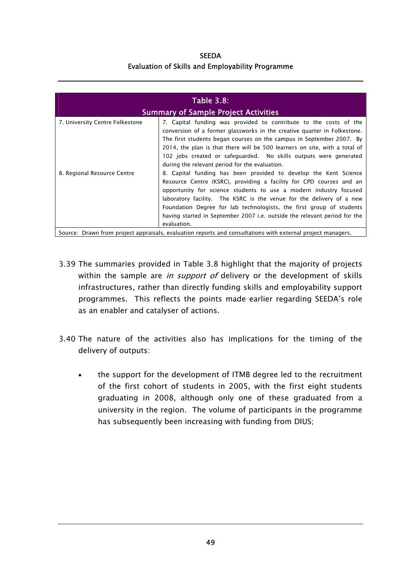**SEEDA** Evaluation of Skills and Employability Programme

| <b>Table 3.8:</b><br><b>Summary of Sample Project Activities</b> |                                                                                                                                                                                                                                                                                                                                                                                                                                                          |  |
|------------------------------------------------------------------|----------------------------------------------------------------------------------------------------------------------------------------------------------------------------------------------------------------------------------------------------------------------------------------------------------------------------------------------------------------------------------------------------------------------------------------------------------|--|
| 7. University Centre Folkestone                                  | 7. Capital funding was provided to contribute to the costs of the<br>conversion of a former glassworks in the creative quarter in Folkestone.<br>The first students began courses on the campus in September 2007. By<br>2014, the plan is that there will be 500 learners on site, with a total of<br>102 jobs created or safeguarded. No skills outputs were generated<br>during the relevant period for the evaluation.                               |  |
| 8. Regional Resource Centre                                      | 8. Capital funding has been provided to develop the Kent Science<br>Resource Centre (KSRC), providing a facility for CPD courses and an<br>opportunity for science students to use a modern industry focused<br>laboratory facility. The KSRC is the venue for the delivery of a new<br>Foundation Degree for lab technologists, the first group of students<br>having started in September 2007 i.e. outside the relevant period for the<br>evaluation. |  |

- 3.39 The summaries provided in Table 3.8 highlight that the majority of projects within the sample are *in support of* delivery or the development of skills infrastructures, rather than directly funding skills and employability support programmes. This reflects the points made earlier regarding SEEDA's role as an enabler and catalyser of actions.
- 3.40 The nature of the activities also has implications for the timing of the delivery of outputs:
	- the support for the development of ITMB degree led to the recruitment of the first cohort of students in 2005, with the first eight students graduating in 2008, although only one of these graduated from a university in the region. The volume of participants in the programme has subsequently been increasing with funding from DIUS; •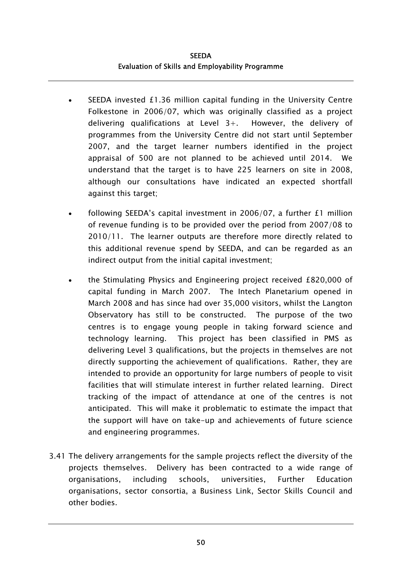- SEEDA invested £1.36 million capital funding in the University Centre Folkestone in 2006/07, which was originally classified as a project delivering qualifications at Level 3+. However, the delivery of programmes from the University Centre did not start until September 2007, and the target learner numbers identified in the project appraisal of 500 are not planned to be achieved until 2014. We understand that the target is to have 225 learners on site in 2008, although our consultations have indicated an expected shortfall against this target; •
- following SEEDA's capital investment in 2006/07, a further £1 million of revenue funding is to be provided over the period from 2007/08 to 2010/11. The learner outputs are therefore more directly related to this additional revenue spend by SEEDA, and can be regarded as an indirect output from the initial capital investment;
- the Stimulating Physics and Engineering project received £820,000 of capital funding in March 2007. The Intech Planetarium opened in March 2008 and has since had over 35,000 visitors, whilst the Langton Observatory has still to be constructed. The purpose of the two centres is to engage young people in taking forward science and technology learning. This project has been classified in PMS as delivering Level 3 qualifications, but the projects in themselves are not directly supporting the achievement of qualifications. Rather, they are intended to provide an opportunity for large numbers of people to visit facilities that will stimulate interest in further related learning. Direct tracking of the impact of attendance at one of the centres is not anticipated. This will make it problematic to estimate the impact that the support will have on take-up and achievements of future science and engineering programmes.
- 3.41 The delivery arrangements for the sample projects reflect the diversity of the projects themselves. Delivery has been contracted to a wide range of organisations, including schools, universities, Further Education organisations, sector consortia, a Business Link, Sector Skills Council and other bodies.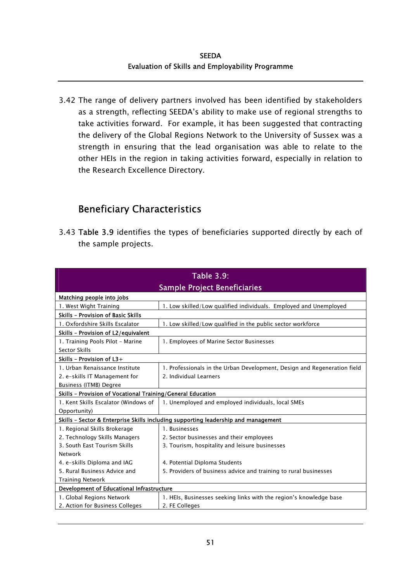3.42 The range of delivery partners involved has been identified by stakeholders as a strength, reflecting SEEDA's ability to make use of regional strengths to take activities forward. For example, it has been suggested that contracting the delivery of the Global Regions Network to the University of Sussex was a strength in ensuring that the lead organisation was able to relate to the other HEIs in the region in taking activities forward, especially in relation to the Research Excellence Directory.

## Beneficiary Characteristics

3.43 Table 3.9 identifies the types of beneficiaries supported directly by each of the sample projects.

| <b>Table 3.9:</b>                                                                  |                                                                          |  |
|------------------------------------------------------------------------------------|--------------------------------------------------------------------------|--|
| <b>Sample Project Beneficiaries</b>                                                |                                                                          |  |
| Matching people into jobs                                                          |                                                                          |  |
| 1. West Wight Training                                                             | 1. Low skilled/Low qualified individuals. Employed and Unemployed        |  |
| Skills - Provision of Basic Skills                                                 |                                                                          |  |
| 1. Oxfordshire Skills Escalator                                                    | 1. Low skilled/Low qualified in the public sector workforce              |  |
| Skills - Provision of L2/equivalent                                                |                                                                          |  |
| 1. Training Pools Pilot - Marine                                                   | 1. Employees of Marine Sector Businesses                                 |  |
| Sector Skills                                                                      |                                                                          |  |
| Skills - Provision of $L3+$                                                        |                                                                          |  |
| 1. Urban Renaissance Institute                                                     | 1. Professionals in the Urban Development, Design and Regeneration field |  |
| 2. e-skills IT Management for                                                      | 2. Individual Learners                                                   |  |
| Business (ITMB) Degree                                                             |                                                                          |  |
| Skills - Provision of Vocational Training/General Education                        |                                                                          |  |
| 1. Kent Skills Escalator (Windows of                                               | 1. Unemployed and employed individuals, local SMEs                       |  |
| Opportunity)                                                                       |                                                                          |  |
| Skills - Sector & Enterprise Skills including supporting leadership and management |                                                                          |  |
| 1. Regional Skills Brokerage                                                       | 1. Businesses                                                            |  |
| 2. Technology Skills Managers                                                      | 2. Sector businesses and their employees                                 |  |
| 3. South East Tourism Skills                                                       | 3. Tourism, hospitality and leisure businesses                           |  |
| <b>Network</b>                                                                     |                                                                          |  |
| 4. e-skills Diploma and IAG                                                        | 4. Potential Diploma Students                                            |  |
| 5. Rural Business Advice and                                                       | 5. Providers of business advice and training to rural businesses         |  |
| <b>Training Network</b>                                                            |                                                                          |  |
| Development of Educational Infrastructure                                          |                                                                          |  |
| 1. Global Regions Network                                                          | 1. HEIs, Businesses seeking links with the region's knowledge base       |  |
| 2. Action for Business Colleges                                                    | 2. FE Colleges                                                           |  |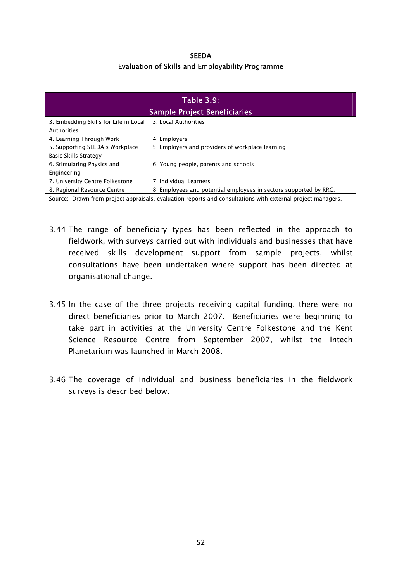**SEEDA** Evaluation of Skills and Employability Programme

| <b>Table 3.9:</b>                                                                                           |                                                                   |  |
|-------------------------------------------------------------------------------------------------------------|-------------------------------------------------------------------|--|
| <b>Sample Project Beneficiaries</b>                                                                         |                                                                   |  |
| 3. Embedding Skills for Life in Local                                                                       | 3. Local Authorities                                              |  |
| Authorities                                                                                                 |                                                                   |  |
| 4. Learning Through Work                                                                                    | 4. Employers                                                      |  |
| 5. Supporting SEEDA's Workplace                                                                             | 5. Employers and providers of workplace learning                  |  |
| Basic Skills Strategy                                                                                       |                                                                   |  |
| 6. Stimulating Physics and                                                                                  | 6. Young people, parents and schools                              |  |
| Engineering                                                                                                 |                                                                   |  |
| 7. University Centre Folkestone                                                                             | 7. Individual Learners                                            |  |
| 8. Regional Resource Centre                                                                                 | 8. Employees and potential employees in sectors supported by RRC. |  |
| Source: Drawn from project appraisals, evaluation reports and consultations with external project managers. |                                                                   |  |

- 3.44 The range of beneficiary types has been reflected in the approach to fieldwork, with surveys carried out with individuals and businesses that have received skills development support from sample projects, whilst consultations have been undertaken where support has been directed at organisational change.
- 3.45 In the case of the three projects receiving capital funding, there were no direct beneficiaries prior to March 2007. Beneficiaries were beginning to take part in activities at the University Centre Folkestone and the Kent Science Resource Centre from September 2007, whilst the Intech Planetarium was launched in March 2008.
- 3.46 The coverage of individual and business beneficiaries in the fieldwork surveys is described below.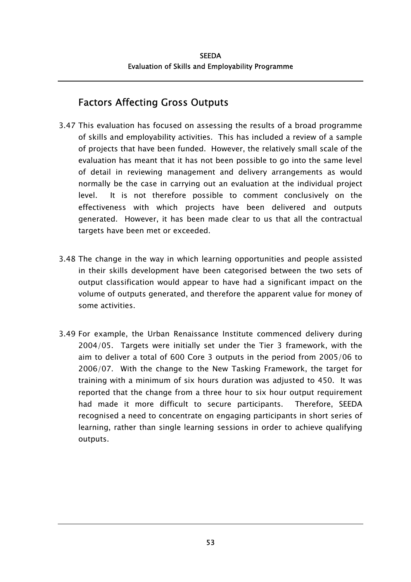# Factors Affecting Gross Outputs

- 3.47 This evaluation has focused on assessing the results of a broad programme of skills and employability activities. This has included a review of a sample of projects that have been funded. However, the relatively small scale of the evaluation has meant that it has not been possible to go into the same level of detail in reviewing management and delivery arrangements as would normally be the case in carrying out an evaluation at the individual project level. It is not therefore possible to comment conclusively on the effectiveness with which projects have been delivered and outputs generated. However, it has been made clear to us that all the contractual targets have been met or exceeded.
- 3.48 The change in the way in which learning opportunities and people assisted in their skills development have been categorised between the two sets of output classification would appear to have had a significant impact on the volume of outputs generated, and therefore the apparent value for money of some activities.
- 3.49 For example, the Urban Renaissance Institute commenced delivery during 2004/05. Targets were initially set under the Tier 3 framework, with the aim to deliver a total of 600 Core 3 outputs in the period from 2005/06 to 2006/07. With the change to the New Tasking Framework, the target for training with a minimum of six hours duration was adjusted to 450. It was reported that the change from a three hour to six hour output requirement had made it more difficult to secure participants. Therefore, SEEDA recognised a need to concentrate on engaging participants in short series of learning, rather than single learning sessions in order to achieve qualifying outputs.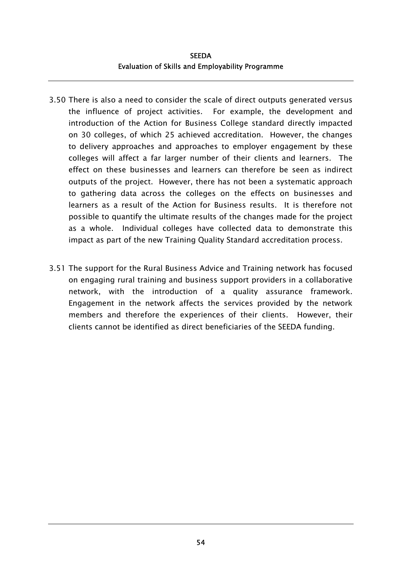- 3.50 There is also a need to consider the scale of direct outputs generated versus the influence of project activities. For example, the development and introduction of the Action for Business College standard directly impacted on 30 colleges, of which 25 achieved accreditation. However, the changes to delivery approaches and approaches to employer engagement by these colleges will affect a far larger number of their clients and learners. The effect on these businesses and learners can therefore be seen as indirect outputs of the project. However, there has not been a systematic approach to gathering data across the colleges on the effects on businesses and learners as a result of the Action for Business results. It is therefore not possible to quantify the ultimate results of the changes made for the project as a whole. Individual colleges have collected data to demonstrate this impact as part of the new Training Quality Standard accreditation process.
- 3.51 The support for the Rural Business Advice and Training network has focused on engaging rural training and business support providers in a collaborative network, with the introduction of a quality assurance framework. Engagement in the network affects the services provided by the network members and therefore the experiences of their clients. However, their clients cannot be identified as direct beneficiaries of the SEEDA funding.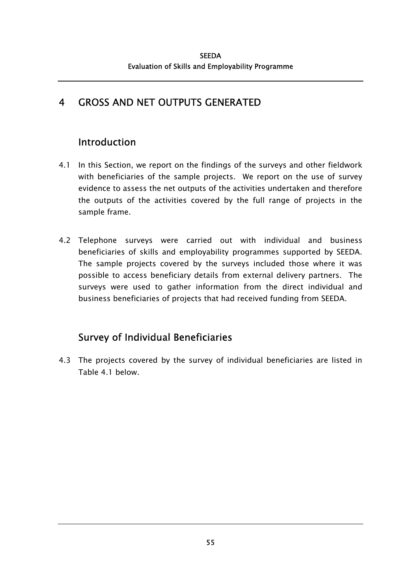# 4 GROSS AND NET OUTPUTS GENERATED

# Introduction

- 4.1 In this Section, we report on the findings of the surveys and other fieldwork with beneficiaries of the sample projects. We report on the use of survey evidence to assess the net outputs of the activities undertaken and therefore the outputs of the activities covered by the full range of projects in the sample frame.
- 4.2 Telephone surveys were carried out with individual and business beneficiaries of skills and employability programmes supported by SEEDA. The sample projects covered by the surveys included those where it was possible to access beneficiary details from external delivery partners. The surveys were used to gather information from the direct individual and business beneficiaries of projects that had received funding from SEEDA.

# Survey of Individual Beneficiaries

4.3 The projects covered by the survey of individual beneficiaries are listed in Table 4.1 below.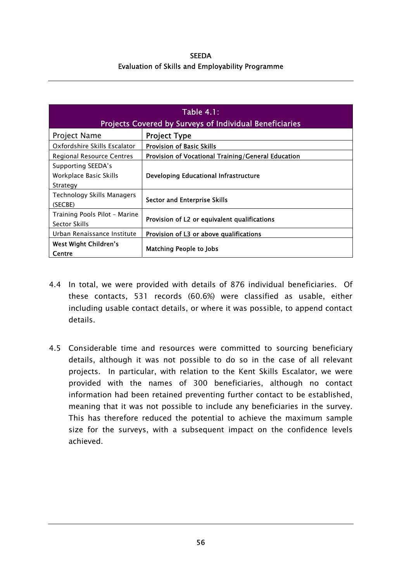**SEEDA** Evaluation of Skills and Employability Programme

| Table $4.1$ :<br><b>Projects Covered by Surveys of Individual Beneficiaries</b> |                                                    |  |
|---------------------------------------------------------------------------------|----------------------------------------------------|--|
| <b>Project Name</b>                                                             | <b>Project Type</b>                                |  |
| Oxfordshire Skills Escalator                                                    | <b>Provision of Basic Skills</b>                   |  |
| Regional Resource Centres                                                       | Provision of Vocational Training/General Education |  |
| Supporting SEEDA's<br>Workplace Basic Skills<br>Strategy                        | Developing Educational Infrastructure              |  |
| Technology Skills Managers<br>(SECBE)                                           | Sector and Enterprise Skills                       |  |
| Training Pools Pilot - Marine<br>Sector Skills                                  | Provision of L2 or equivalent qualifications       |  |
| Urban Renaissance Institute                                                     | Provision of L3 or above qualifications            |  |
| West Wight Children's<br>Centre                                                 | <b>Matching People to Jobs</b>                     |  |

- 4.4 In total, we were provided with details of 876 individual beneficiaries. Of these contacts, 531 records (60.6%) were classified as usable, either including usable contact details, or where it was possible, to append contact details.
- 4.5 Considerable time and resources were committed to sourcing beneficiary details, although it was not possible to do so in the case of all relevant projects. In particular, with relation to the Kent Skills Escalator, we were provided with the names of 300 beneficiaries, although no contact information had been retained preventing further contact to be established, meaning that it was not possible to include any beneficiaries in the survey. This has therefore reduced the potential to achieve the maximum sample size for the surveys, with a subsequent impact on the confidence levels achieved.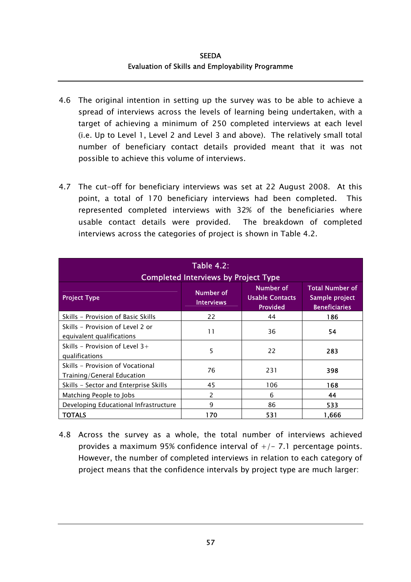- 4.6 The original intention in setting up the survey was to be able to achieve a spread of interviews across the levels of learning being undertaken, with a target of achieving a minimum of 250 completed interviews at each level (i.e. Up to Level 1, Level 2 and Level 3 and above). The relatively small total number of beneficiary contact details provided meant that it was not possible to achieve this volume of interviews.
- 4.7 The cut-off for beneficiary interviews was set at 22 August 2008. At this point, a total of 170 beneficiary interviews had been completed. This represented completed interviews with 32% of the beneficiaries where usable contact details were provided. The breakdown of completed interviews across the categories of project is shown in Table 4.2.

| <b>Table 4.2:</b><br><b>Completed Interviews by Project Type</b> |                                |                                                        |                                                                  |  |  |  |  |
|------------------------------------------------------------------|--------------------------------|--------------------------------------------------------|------------------------------------------------------------------|--|--|--|--|
| <b>Project Type</b>                                              | Number of<br><b>Interviews</b> | Number of<br><b>Usable Contacts</b><br><b>Provided</b> | <b>Total Number of</b><br>Sample project<br><b>Beneficiaries</b> |  |  |  |  |
| Skills - Provision of Basic Skills                               | 22                             | 44                                                     | 186                                                              |  |  |  |  |
| Skills - Provision of Level 2 or<br>equivalent qualifications    | 11                             | 36                                                     | 54                                                               |  |  |  |  |
| Skills – Provision of Level $3+$<br>qualifications               | 5                              | 22                                                     | 283                                                              |  |  |  |  |
| Skills - Provision of Vocational<br>Training/General Education   | 76                             | 231                                                    | 398                                                              |  |  |  |  |
| Skills - Sector and Enterprise Skills                            | 45                             | 106                                                    | 168                                                              |  |  |  |  |
| Matching People to Jobs                                          | 2                              | 6                                                      | 44                                                               |  |  |  |  |
| Developing Educational Infrastructure                            | 9                              | 86                                                     | 533                                                              |  |  |  |  |
| <b>TOTALS</b>                                                    | 170                            | 531                                                    | 1.666                                                            |  |  |  |  |

4.8 Across the survey as a whole, the total number of interviews achieved provides a maximum 95% confidence interval of  $+/- 7.1$  percentage points. However, the number of completed interviews in relation to each category of project means that the confidence intervals by project type are much larger: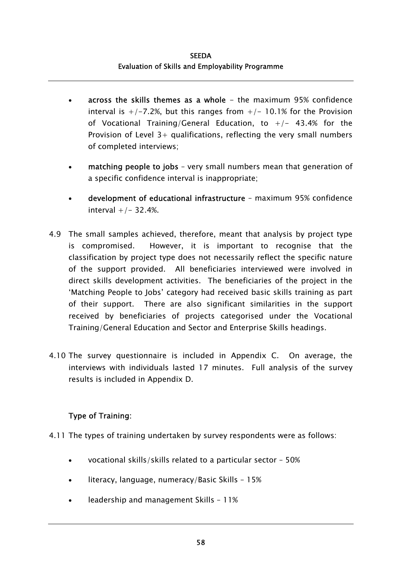- across the skills themes as a whole  $-$  the maximum 95% confidence interval is  $+/-7.2\%$ , but this ranges from  $+/-10.1\%$  for the Provision of Vocational Training/General Education, to  $+/-$  43.4% for the Provision of Level  $3+$  qualifications, reflecting the very small numbers of completed interviews; •
- matching people to jobs – very small numbers mean that generation of a specific confidence interval is inappropriate;
- development of educational infrastructure – maximum 95% confidence interval +/- 32.4%.
- 4.9 The small samples achieved, therefore, meant that analysis by project type is compromised. However, it is important to recognise that the classification by project type does not necessarily reflect the specific nature of the support provided. All beneficiaries interviewed were involved in direct skills development activities. The beneficiaries of the project in the 'Matching People to Jobs' category had received basic skills training as part of their support. There are also significant similarities in the support received by beneficiaries of projects categorised under the Vocational Training/General Education and Sector and Enterprise Skills headings.
- 4.10 The survey questionnaire is included in Appendix C. On average, the interviews with individuals lasted 17 minutes. Full analysis of the survey results is included in Appendix D.

## Type of Training:

- 4.11 The types of training undertaken by survey respondents were as follows:
	- vocational skills/skills related to a particular sector – 50%
	- literacy, language, numeracy/Basic Skills – 15%
	- leadership and management Skills – 11%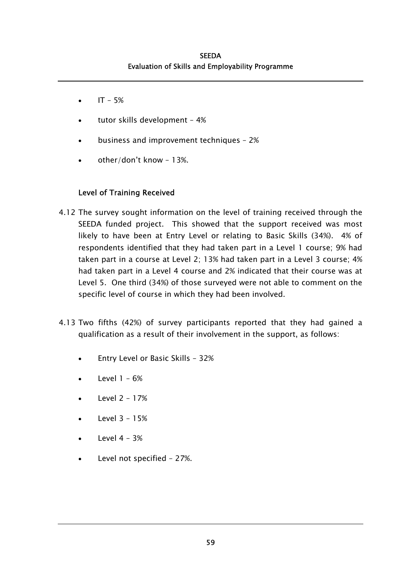- $IT 5%$
- tutor skills development – 4%
- business and improvement techniques – 2%
- other/don't know – 13%.

## Level of Training Received

- 4.12 The survey sought information on the level of training received through the SEEDA funded project. This showed that the support received was most likely to have been at Entry Level or relating to Basic Skills (34%). 4% of respondents identified that they had taken part in a Level 1 course; 9% had taken part in a course at Level 2; 13% had taken part in a Level 3 course; 4% had taken part in a Level 4 course and 2% indicated that their course was at Level 5. One third (34%) of those surveyed were not able to comment on the specific level of course in which they had been involved.
- 4.13 Two fifths (42%) of survey participants reported that they had gained a qualification as a result of their involvement in the support, as follows:
	- Entry Level or Basic Skills – 32%
	- Level 1 – 6%
	- Level 2 – 17%
	- Level 3 – 15%
	- Level 4 – 3%
	- Level not specified – 27%.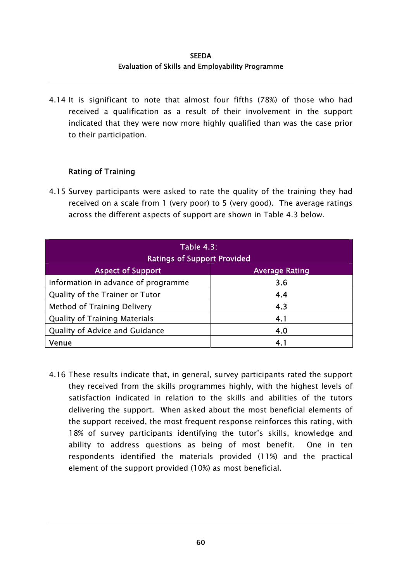4.14 It is significant to note that almost four fifths (78%) of those who had received a qualification as a result of their involvement in the support indicated that they were now more highly qualified than was the case prior to their participation.

## Rating of Training

4.15 Survey participants were asked to rate the quality of the training they had received on a scale from 1 (very poor) to 5 (very good). The average ratings across the different aspects of support are shown in Table 4.3 below.

| <b>Table 4.3:</b><br><b>Ratings of Support Provided</b> |                       |  |  |  |
|---------------------------------------------------------|-----------------------|--|--|--|
| <b>Aspect of Support</b>                                | <b>Average Rating</b> |  |  |  |
| Information in advance of programme                     | 3.6                   |  |  |  |
| Quality of the Trainer or Tutor                         | 4.4                   |  |  |  |
| Method of Training Delivery                             | 4.3                   |  |  |  |
| <b>Quality of Training Materials</b>                    | 4.1                   |  |  |  |
| Quality of Advice and Guidance                          | 4.0                   |  |  |  |
| Venue                                                   | 4.1                   |  |  |  |

4.16 These results indicate that, in general, survey participants rated the support they received from the skills programmes highly, with the highest levels of satisfaction indicated in relation to the skills and abilities of the tutors delivering the support. When asked about the most beneficial elements of the support received, the most frequent response reinforces this rating, with 18% of survey participants identifying the tutor's skills, knowledge and ability to address questions as being of most benefit. One in ten respondents identified the materials provided (11%) and the practical element of the support provided (10%) as most beneficial.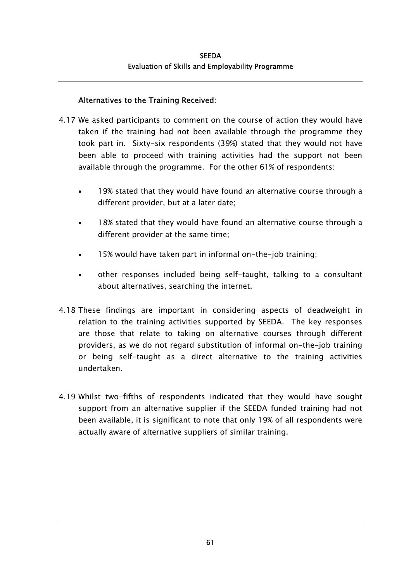## Alternatives to the Training Received:

- 4.17 We asked participants to comment on the course of action they would have taken if the training had not been available through the programme they took part in. Sixty-six respondents (39%) stated that they would not have been able to proceed with training activities had the support not been available through the programme. For the other 61% of respondents:
	- 19% stated that they would have found an alternative course through a different provider, but at a later date; •
	- 18% stated that they would have found an alternative course through a different provider at the same time;
	- 15% would have taken part in informal on-the-job training;
	- other responses included being self-taught, talking to a consultant about alternatives, searching the internet.
- 4.18 These findings are important in considering aspects of deadweight in relation to the training activities supported by SEEDA. The key responses are those that relate to taking on alternative courses through different providers, as we do not regard substitution of informal on-the-job training or being self-taught as a direct alternative to the training activities undertaken.
- 4.19 Whilst two-fifths of respondents indicated that they would have sought support from an alternative supplier if the SEEDA funded training had not been available, it is significant to note that only 19% of all respondents were actually aware of alternative suppliers of similar training.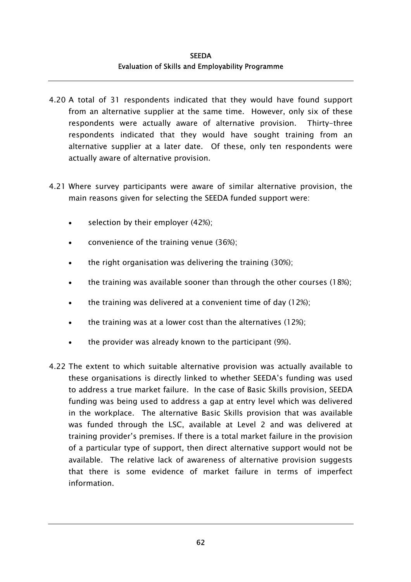- 4.20 A total of 31 respondents indicated that they would have found support from an alternative supplier at the same time. However, only six of these respondents were actually aware of alternative provision. Thirty-three respondents indicated that they would have sought training from an alternative supplier at a later date. Of these, only ten respondents were actually aware of alternative provision.
- 4.21 Where survey participants were aware of similar alternative provision, the main reasons given for selecting the SEEDA funded support were:
	- selection by their employer (42%);
	- convenience of the training venue (36%);
	- the right organisation was delivering the training (30%);
	- the training was available sooner than through the other courses (18%);
	- the training was delivered at a convenient time of day (12%);
	- the training was at a lower cost than the alternatives (12%);
	- the provider was already known to the participant (9%).
- 4.22 The extent to which suitable alternative provision was actually available to these organisations is directly linked to whether SEEDA's funding was used to address a true market failure. In the case of Basic Skills provision, SEEDA funding was being used to address a gap at entry level which was delivered in the workplace. The alternative Basic Skills provision that was available was funded through the LSC, available at Level 2 and was delivered at training provider's premises. If there is a total market failure in the provision of a particular type of support, then direct alternative support would not be available. The relative lack of awareness of alternative provision suggests that there is some evidence of market failure in terms of imperfect information.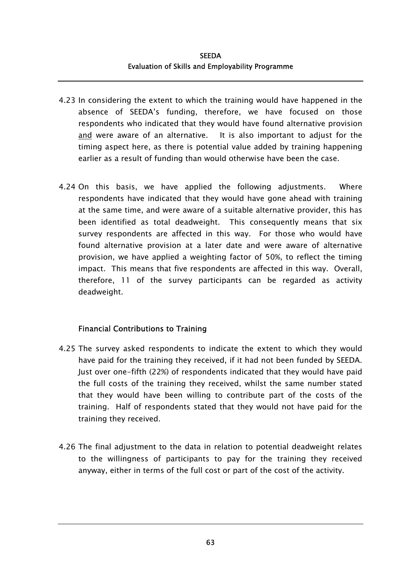- 4.23 In considering the extent to which the training would have happened in the absence of SEEDA's funding, therefore, we have focused on those respondents who indicated that they would have found alternative provision and were aware of an alternative. It is also important to adjust for the timing aspect here, as there is potential value added by training happening earlier as a result of funding than would otherwise have been the case.
- 4.24 On this basis, we have applied the following adjustments. Where respondents have indicated that they would have gone ahead with training at the same time, and were aware of a suitable alternative provider, this has been identified as total deadweight. This consequently means that six survey respondents are affected in this way. For those who would have found alternative provision at a later date and were aware of alternative provision, we have applied a weighting factor of 50%, to reflect the timing impact. This means that five respondents are affected in this way. Overall, therefore, 11 of the survey participants can be regarded as activity deadweight.

## Financial Contributions to Training

- 4.25 The survey asked respondents to indicate the extent to which they would have paid for the training they received, if it had not been funded by SEEDA. Just over one-fifth (22%) of respondents indicated that they would have paid the full costs of the training they received, whilst the same number stated that they would have been willing to contribute part of the costs of the training. Half of respondents stated that they would not have paid for the training they received.
- 4.26 The final adjustment to the data in relation to potential deadweight relates to the willingness of participants to pay for the training they received anyway, either in terms of the full cost or part of the cost of the activity.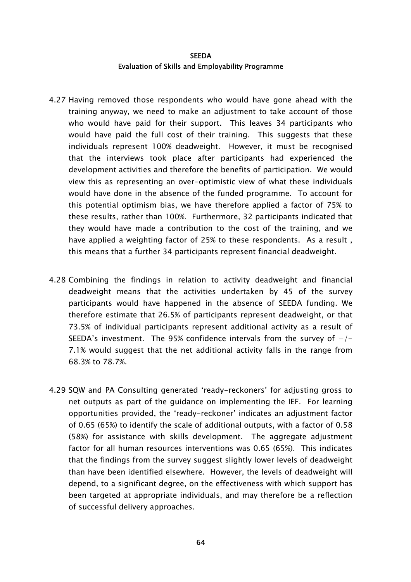**SEEDA** Evaluation of Skills and Employability Programme

- 4.27 Having removed those respondents who would have gone ahead with the training anyway, we need to make an adjustment to take account of those who would have paid for their support. This leaves 34 participants who would have paid the full cost of their training. This suggests that these individuals represent 100% deadweight. However, it must be recognised that the interviews took place after participants had experienced the development activities and therefore the benefits of participation. We would view this as representing an over-optimistic view of what these individuals would have done in the absence of the funded programme. To account for this potential optimism bias, we have therefore applied a factor of 75% to these results, rather than 100%. Furthermore, 32 participants indicated that they would have made a contribution to the cost of the training, and we have applied a weighting factor of 25% to these respondents. As a result , this means that a further 34 participants represent financial deadweight.
- 4.28 Combining the findings in relation to activity deadweight and financial deadweight means that the activities undertaken by 45 of the survey participants would have happened in the absence of SEEDA funding. We therefore estimate that 26.5% of participants represent deadweight, or that 73.5% of individual participants represent additional activity as a result of SEEDA's investment. The 95% confidence intervals from the survey of  $+/-$ 7.1% would suggest that the net additional activity falls in the range from 68.3% to 78.7%.
- 4.29 SQW and PA Consulting generated 'ready-reckoners' for adjusting gross to net outputs as part of the guidance on implementing the IEF. For learning opportunities provided, the 'ready-reckoner' indicates an adjustment factor of 0.65 (65%) to identify the scale of additional outputs, with a factor of 0.58 (58%) for assistance with skills development. The aggregate adjustment factor for all human resources interventions was 0.65 (65%). This indicates that the findings from the survey suggest slightly lower levels of deadweight than have been identified elsewhere. However, the levels of deadweight will depend, to a significant degree, on the effectiveness with which support has been targeted at appropriate individuals, and may therefore be a reflection of successful delivery approaches.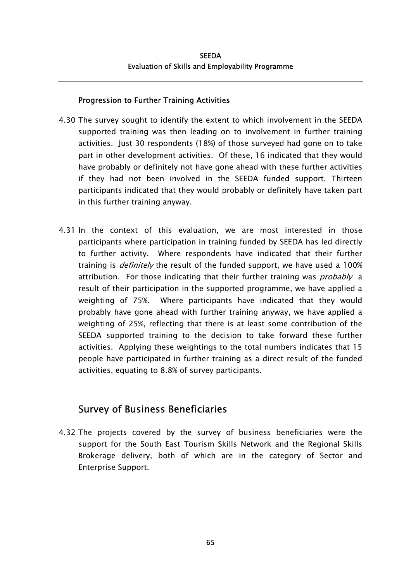## Progression to Further Training Activities

- 4.30 The survey sought to identify the extent to which involvement in the SEEDA supported training was then leading on to involvement in further training activities. Just 30 respondents (18%) of those surveyed had gone on to take part in other development activities. Of these, 16 indicated that they would have probably or definitely not have gone ahead with these further activities if they had not been involved in the SEEDA funded support. Thirteen participants indicated that they would probably or definitely have taken part in this further training anyway.
- 4.31 In the context of this evaluation, we are most interested in those participants where participation in training funded by SEEDA has led directly to further activity. Where respondents have indicated that their further training is *definitely* the result of the funded support, we have used a 100% attribution. For those indicating that their further training was *probably* a result of their participation in the supported programme, we have applied a weighting of 75%. Where participants have indicated that they would probably have gone ahead with further training anyway, we have applied a weighting of 25%, reflecting that there is at least some contribution of the SEEDA supported training to the decision to take forward these further activities. Applying these weightings to the total numbers indicates that 15 people have participated in further training as a direct result of the funded activities, equating to 8.8% of survey participants.

# Survey of Business Beneficiaries

4.32 The projects covered by the survey of business beneficiaries were the support for the South East Tourism Skills Network and the Regional Skills Brokerage delivery, both of which are in the category of Sector and Enterprise Support.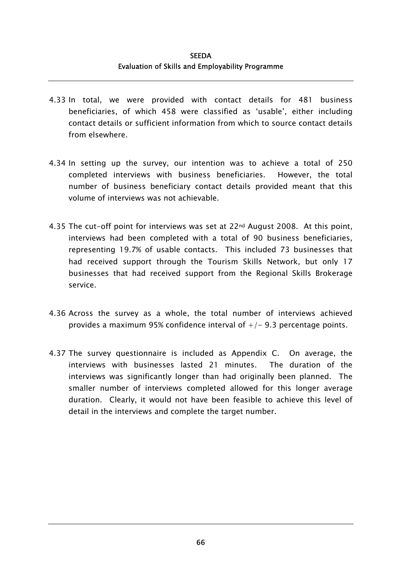- 4.33 In total, we were provided with contact details for 481 business beneficiaries, of which 458 were classified as 'usable', either including contact details or sufficient information from which to source contact details from elsewhere.
- 4.34 In setting up the survey, our intention was to achieve a total of 250 completed interviews with business beneficiaries. However, the total number of business beneficiary contact details provided meant that this volume of interviews was not achievable.
- 4.35 The cut-off point for interviews was set at 22nd August 2008. At this point, interviews had been completed with a total of 90 business beneficiaries, representing 19.7% of usable contacts. This included 73 businesses that had received support through the Tourism Skills Network, but only 17 businesses that had received support from the Regional Skills Brokerage service.
- 4.36 Across the survey as a whole, the total number of interviews achieved provides a maximum 95% confidence interval of  $+/-$  9.3 percentage points.
- 4.37 The survey questionnaire is included as Appendix C. On average, the interviews with businesses lasted 21 minutes. The duration of the interviews was significantly longer than had originally been planned. The smaller number of interviews completed allowed for this longer average duration. Clearly, it would not have been feasible to achieve this level of detail in the interviews and complete the target number.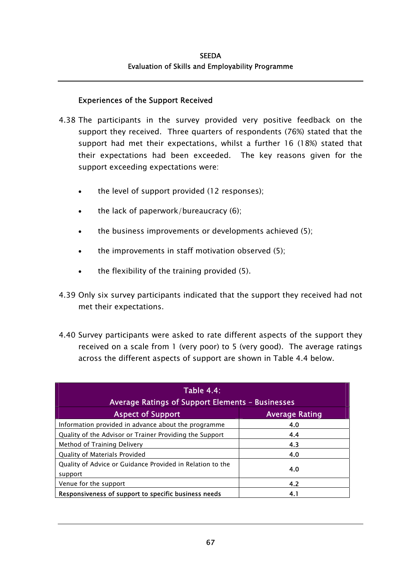## Experiences of the Support Received

- 4.38 The participants in the survey provided very positive feedback on the support they received. Three quarters of respondents (76%) stated that the support had met their expectations, whilst a further 16 (18%) stated that their expectations had been exceeded. The key reasons given for the support exceeding expectations were:
	- the level of support provided (12 responses);
	- the lack of paperwork/bureaucracy (6);
	- the business improvements or developments achieved (5);
	- the improvements in staff motivation observed (5);
	- the flexibility of the training provided (5).
- 4.39 Only six survey participants indicated that the support they received had not met their expectations.
- 4.40 Survey participants were asked to rate different aspects of the support they received on a scale from 1 (very poor) to 5 (very good). The average ratings across the different aspects of support are shown in Table 4.4 below.

| <b>Table 4.4:</b><br>Average Ratings of Support Elements - Businesses |                       |  |  |  |
|-----------------------------------------------------------------------|-----------------------|--|--|--|
| <b>Aspect of Support</b>                                              | <b>Average Rating</b> |  |  |  |
| Information provided in advance about the programme                   | 4.0                   |  |  |  |
| Quality of the Advisor or Trainer Providing the Support               | 4.4                   |  |  |  |
| Method of Training Delivery                                           | 4.3                   |  |  |  |
| Quality of Materials Provided                                         | 4.0                   |  |  |  |
| Quality of Advice or Guidance Provided in Relation to the<br>support  | 4.0                   |  |  |  |
| Venue for the support                                                 | 4.2                   |  |  |  |
| Responsiveness of support to specific business needs                  | 4.1                   |  |  |  |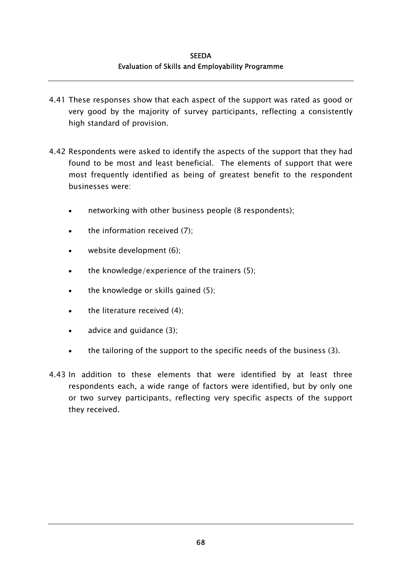- 4.41 These responses show that each aspect of the support was rated as good or very good by the majority of survey participants, reflecting a consistently high standard of provision.
- 4.42 Respondents were asked to identify the aspects of the support that they had found to be most and least beneficial. The elements of support that were most frequently identified as being of greatest benefit to the respondent businesses were:
	- networking with other business people (8 respondents);
	- the information received (7);
	- website development (6);
	- the knowledge/experience of the trainers (5);
	- the knowledge or skills gained (5);
	- the literature received (4);
	- advice and guidance (3);
	- the tailoring of the support to the specific needs of the business (3).
- 4.43 In addition to these elements that were identified by at least three respondents each, a wide range of factors were identified, but by only one or two survey participants, reflecting very specific aspects of the support they received.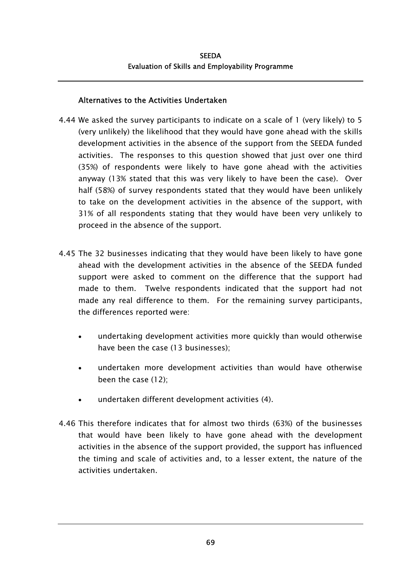## Alternatives to the Activities Undertaken

- 4.44 We asked the survey participants to indicate on a scale of 1 (very likely) to 5 (very unlikely) the likelihood that they would have gone ahead with the skills development activities in the absence of the support from the SEEDA funded activities. The responses to this question showed that just over one third (35%) of respondents were likely to have gone ahead with the activities anyway (13% stated that this was very likely to have been the case). Over half (58%) of survey respondents stated that they would have been unlikely to take on the development activities in the absence of the support, with 31% of all respondents stating that they would have been very unlikely to proceed in the absence of the support.
- 4.45 The 32 businesses indicating that they would have been likely to have gone ahead with the development activities in the absence of the SEEDA funded support were asked to comment on the difference that the support had made to them. Twelve respondents indicated that the support had not made any real difference to them. For the remaining survey participants, the differences reported were:
	- undertaking development activities more quickly than would otherwise have been the case (13 businesses); •
	- undertaken more development activities than would have otherwise been the case (12);
	- undertaken different development activities (4).
- 4.46 This therefore indicates that for almost two thirds (63%) of the businesses that would have been likely to have gone ahead with the development activities in the absence of the support provided, the support has influenced the timing and scale of activities and, to a lesser extent, the nature of the activities undertaken.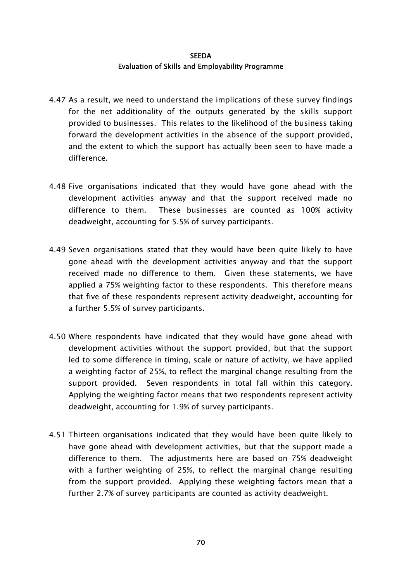- 4.47 As a result, we need to understand the implications of these survey findings for the net additionality of the outputs generated by the skills support provided to businesses. This relates to the likelihood of the business taking forward the development activities in the absence of the support provided, and the extent to which the support has actually been seen to have made a difference.
- 4.48 Five organisations indicated that they would have gone ahead with the development activities anyway and that the support received made no difference to them. These businesses are counted as 100% activity deadweight, accounting for 5.5% of survey participants.
- 4.49 Seven organisations stated that they would have been quite likely to have gone ahead with the development activities anyway and that the support received made no difference to them. Given these statements, we have applied a 75% weighting factor to these respondents. This therefore means that five of these respondents represent activity deadweight, accounting for a further 5.5% of survey participants.
- 4.50 Where respondents have indicated that they would have gone ahead with development activities without the support provided, but that the support led to some difference in timing, scale or nature of activity, we have applied a weighting factor of 25%, to reflect the marginal change resulting from the support provided. Seven respondents in total fall within this category. Applying the weighting factor means that two respondents represent activity deadweight, accounting for 1.9% of survey participants.
- 4.51 Thirteen organisations indicated that they would have been quite likely to have gone ahead with development activities, but that the support made a difference to them. The adjustments here are based on 75% deadweight with a further weighting of 25%, to reflect the marginal change resulting from the support provided. Applying these weighting factors mean that a further 2.7% of survey participants are counted as activity deadweight.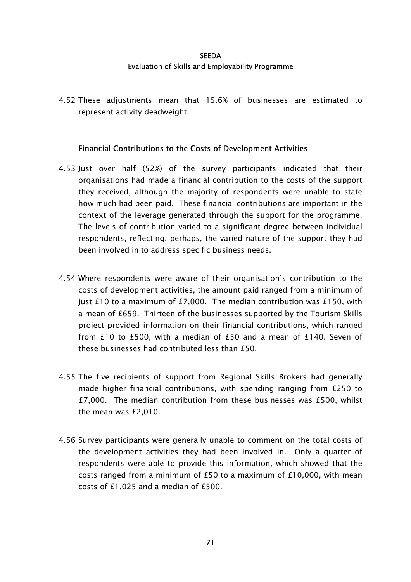4.52 These adjustments mean that 15.6% of businesses are estimated to represent activity deadweight.

## Financial Contributions to the Costs of Development Activities

- 4.53 Just over half (52%) of the survey participants indicated that their organisations had made a financial contribution to the costs of the support they received, although the majority of respondents were unable to state how much had been paid. These financial contributions are important in the context of the leverage generated through the support for the programme. The levels of contribution varied to a significant degree between individual respondents, reflecting, perhaps, the varied nature of the support they had been involved in to address specific business needs.
- 4.54 Where respondents were aware of their organisation's contribution to the costs of development activities, the amount paid ranged from a minimum of just £10 to a maximum of £7,000. The median contribution was £150, with a mean of £659. Thirteen of the businesses supported by the Tourism Skills project provided information on their financial contributions, which ranged from £10 to £500, with a median of £50 and a mean of £140. Seven of these businesses had contributed less than £50.
- 4.55 The five recipients of support from Regional Skills Brokers had generally made higher financial contributions, with spending ranging from £250 to £7,000. The median contribution from these businesses was £500, whilst the mean was £2,010.
- 4.56 Survey participants were generally unable to comment on the total costs of the development activities they had been involved in. Only a quarter of respondents were able to provide this information, which showed that the costs ranged from a minimum of £50 to a maximum of £10,000, with mean costs of £1,025 and a median of £500.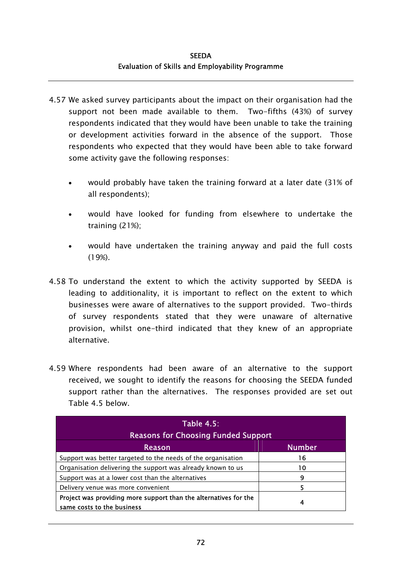- 4.57 We asked survey participants about the impact on their organisation had the support not been made available to them. Two-fifths (43%) of survey respondents indicated that they would have been unable to take the training or development activities forward in the absence of the support. Those respondents who expected that they would have been able to take forward some activity gave the following responses:
	- would probably have taken the training forward at a later date (31% of all respondents); •
	- would have looked for funding from elsewhere to undertake the training (21%);
	- would have undertaken the training anyway and paid the full costs (19%).
- 4.58 To understand the extent to which the activity supported by SEEDA is leading to additionality, it is important to reflect on the extent to which businesses were aware of alternatives to the support provided. Two-thirds of survey respondents stated that they were unaware of alternative provision, whilst one-third indicated that they knew of an appropriate alternative.
- 4.59 Where respondents had been aware of an alternative to the support received, we sought to identify the reasons for choosing the SEEDA funded support rather than the alternatives. The responses provided are set out Table 4.5 below.

| Table 4.5:<br><b>Reasons for Choosing Funded Support</b>                                       |               |  |  |  |
|------------------------------------------------------------------------------------------------|---------------|--|--|--|
| <b>Reason</b>                                                                                  | <b>Number</b> |  |  |  |
| Support was better targeted to the needs of the organisation                                   | 16            |  |  |  |
| Organisation delivering the support was already known to us                                    | 10            |  |  |  |
| Support was at a lower cost than the alternatives                                              | 9             |  |  |  |
| Delivery venue was more convenient                                                             |               |  |  |  |
| Project was providing more support than the alternatives for the<br>same costs to the business | 4             |  |  |  |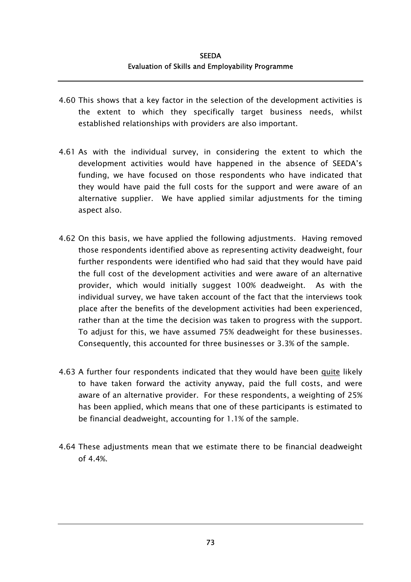- 4.60 This shows that a key factor in the selection of the development activities is the extent to which they specifically target business needs, whilst established relationships with providers are also important.
- 4.61 As with the individual survey, in considering the extent to which the development activities would have happened in the absence of SEEDA's funding, we have focused on those respondents who have indicated that they would have paid the full costs for the support and were aware of an alternative supplier. We have applied similar adjustments for the timing aspect also.
- 4.62 On this basis, we have applied the following adjustments. Having removed those respondents identified above as representing activity deadweight, four further respondents were identified who had said that they would have paid the full cost of the development activities and were aware of an alternative provider, which would initially suggest 100% deadweight. As with the individual survey, we have taken account of the fact that the interviews took place after the benefits of the development activities had been experienced, rather than at the time the decision was taken to progress with the support. To adjust for this, we have assumed 75% deadweight for these businesses. Consequently, this accounted for three businesses or 3.3% of the sample.
- 4.63 A further four respondents indicated that they would have been quite likely to have taken forward the activity anyway, paid the full costs, and were aware of an alternative provider. For these respondents, a weighting of 25% has been applied, which means that one of these participants is estimated to be financial deadweight, accounting for 1.1% of the sample.
- 4.64 These adjustments mean that we estimate there to be financial deadweight of 4.4%.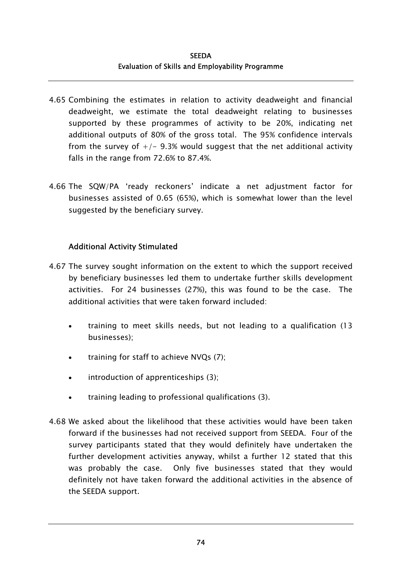- 4.65 Combining the estimates in relation to activity deadweight and financial deadweight, we estimate the total deadweight relating to businesses supported by these programmes of activity to be 20%, indicating net additional outputs of 80% of the gross total. The 95% confidence intervals from the survey of  $+/-$  9.3% would suggest that the net additional activity falls in the range from 72.6% to 87.4%.
- 4.66 The SQW/PA 'ready reckoners' indicate a net adjustment factor for businesses assisted of 0.65 (65%), which is somewhat lower than the level suggested by the beneficiary survey.

## Additional Activity Stimulated

- 4.67 The survey sought information on the extent to which the support received by beneficiary businesses led them to undertake further skills development activities. For 24 businesses (27%), this was found to be the case. The additional activities that were taken forward included:
	- training to meet skills needs, but not leading to a qualification (13 businesses); •
	- training for staff to achieve NVQs (7);
	- introduction of apprenticeships (3);
	- training leading to professional qualifications (3).
- 4.68 We asked about the likelihood that these activities would have been taken forward if the businesses had not received support from SEEDA. Four of the survey participants stated that they would definitely have undertaken the further development activities anyway, whilst a further 12 stated that this was probably the case. Only five businesses stated that they would definitely not have taken forward the additional activities in the absence of the SEEDA support.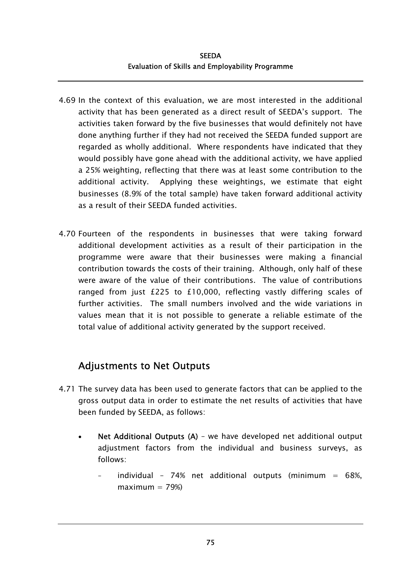- 4.69 In the context of this evaluation, we are most interested in the additional activity that has been generated as a direct result of SEEDA's support. The activities taken forward by the five businesses that would definitely not have done anything further if they had not received the SEEDA funded support are regarded as wholly additional. Where respondents have indicated that they would possibly have gone ahead with the additional activity, we have applied a 25% weighting, reflecting that there was at least some contribution to the additional activity. Applying these weightings, we estimate that eight businesses (8.9% of the total sample) have taken forward additional activity as a result of their SEEDA funded activities.
- 4.70 Fourteen of the respondents in businesses that were taking forward additional development activities as a result of their participation in the programme were aware that their businesses were making a financial contribution towards the costs of their training. Although, only half of these were aware of the value of their contributions. The value of contributions ranged from just £225 to £10,000, reflecting vastly differing scales of further activities. The small numbers involved and the wide variations in values mean that it is not possible to generate a reliable estimate of the total value of additional activity generated by the support received.

# Adjustments to Net Outputs

- 4.71 The survey data has been used to generate factors that can be applied to the gross output data in order to estimate the net results of activities that have been funded by SEEDA, as follows:
	- Net Additional Outputs (A) we have developed net additional output adjustment factors from the individual and business surveys, as follows: •
		- individual 74% net additional outputs (minimum =  $68\%$ ,  $maximum = 79\%)$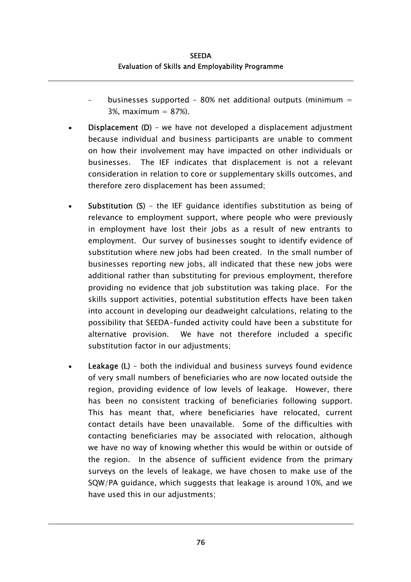- businesses supported 80% net additional outputs (minimum  $=$ 3%, maximum  $= 87%$ .
- Displacement (D) we have not developed a displacement adjustment because individual and business participants are unable to comment on how their involvement may have impacted on other individuals or businesses. The IEF indicates that displacement is not a relevant consideration in relation to core or supplementary skills outcomes, and therefore zero displacement has been assumed; •
- Substitution (S) – the IEF guidance identifies substitution as being of relevance to employment support, where people who were previously in employment have lost their jobs as a result of new entrants to employment. Our survey of businesses sought to identify evidence of substitution where new jobs had been created. In the small number of businesses reporting new jobs, all indicated that these new jobs were additional rather than substituting for previous employment, therefore providing no evidence that job substitution was taking place. For the skills support activities, potential substitution effects have been taken into account in developing our deadweight calculations, relating to the possibility that SEEDA-funded activity could have been a substitute for alternative provision. We have not therefore included a specific substitution factor in our adjustments;
- Leakage (L) - both the individual and business surveys found evidence of very small numbers of beneficiaries who are now located outside the region, providing evidence of low levels of leakage. However, there has been no consistent tracking of beneficiaries following support. This has meant that, where beneficiaries have relocated, current contact details have been unavailable. Some of the difficulties with contacting beneficiaries may be associated with relocation, although we have no way of knowing whether this would be within or outside of the region. In the absence of sufficient evidence from the primary surveys on the levels of leakage, we have chosen to make use of the SQW/PA guidance, which suggests that leakage is around 10%, and we have used this in our adjustments;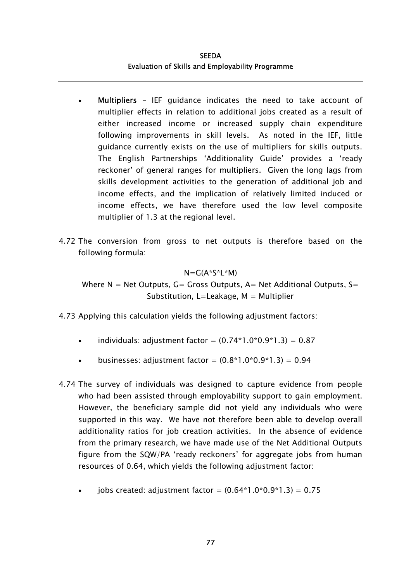- Multipliers IEF guidance indicates the need to take account of multiplier effects in relation to additional jobs created as a result of either increased income or increased supply chain expenditure following improvements in skill levels. As noted in the IEF, little guidance currently exists on the use of multipliers for skills outputs. The English Partnerships 'Additionality Guide' provides a 'ready reckoner' of general ranges for multipliers. Given the long lags from skills development activities to the generation of additional job and income effects, and the implication of relatively limited induced or income effects, we have therefore used the low level composite multiplier of 1.3 at the regional level. •
- 4.72 The conversion from gross to net outputs is therefore based on the following formula:

## $N=G(A*S*L*M)$

Where  $N = Net$  Outputs,  $G =$  Gross Outputs, A= Net Additional Outputs, S= Substitution, L=Leakage,  $M =$  Multiplier

4.73 Applying this calculation yields the following adjustment factors:

- individuals: adjustment factor =  $(0.74*1.0*0.9*1.3) = 0.87$
- businesses: adjustment factor =  $(0.8*1.0*0.9*1.3) = 0.94$
- 4.74 The survey of individuals was designed to capture evidence from people who had been assisted through employability support to gain employment. However, the beneficiary sample did not yield any individuals who were supported in this way. We have not therefore been able to develop overall additionality ratios for job creation activities. In the absence of evidence from the primary research, we have made use of the Net Additional Outputs figure from the SQW/PA 'ready reckoners' for aggregate jobs from human resources of 0.64, which yields the following adjustment factor:
	- iobs created: adjustment factor =  $(0.64*1.0*0.9*1.3) = 0.75$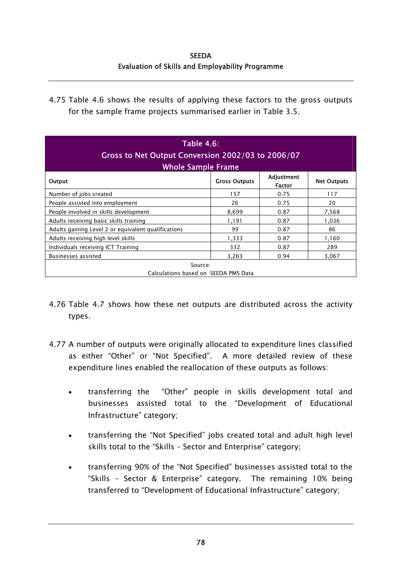**SEEDA** Evaluation of Skills and Employability Programme

4.75 Table 4.6 shows the results of applying these factors to the gross outputs for the sample frame projects summarised earlier in Table 3.5.

| <b>Table 4.6:</b><br>Gross to Net Output Conversion 2002/03 to 2006/07<br><b>Whole Sample Frame</b> |                      |                             |                    |  |  |  |
|-----------------------------------------------------------------------------------------------------|----------------------|-----------------------------|--------------------|--|--|--|
| Output                                                                                              | <b>Gross Outputs</b> | Adjustment<br><b>Factor</b> | <b>Net Outputs</b> |  |  |  |
| Number of jobs created                                                                              | 157                  | 0.75                        | 117                |  |  |  |
| People assisted into employment                                                                     | 26                   | 0.75                        | 20                 |  |  |  |
| People involved in skills development                                                               | 8,699                | 0.87                        | 7,568              |  |  |  |
| Adults receiving basic skills training                                                              | 1,191                | 0.87                        | 1,036              |  |  |  |
| Adults gaining Level 2 or equivalent qualifications                                                 | 99                   | 0.87                        | 86                 |  |  |  |
| Adults receiving high level skills                                                                  | 1,333                | 0.87                        | 1,160              |  |  |  |
| Individuals receiving ICT Training                                                                  | 332                  | 0.87                        | 289                |  |  |  |
| <b>Businesses assisted</b>                                                                          | 3,263                | 0.94                        | 3,067              |  |  |  |
| Source:<br>Calculations based on SEEDA PMS Data                                                     |                      |                             |                    |  |  |  |

- 4.76 Table 4.7 shows how these net outputs are distributed across the activity types.
- 4.77 A number of outputs were originally allocated to expenditure lines classified as either "Other" or "Not Specified". A more detailed review of these expenditure lines enabled the reallocation of these outputs as follows:
	- transferring the "Other" people in skills development total and businesses assisted total to the "Development of Educational Infrastructure" category; •
	- transferring the "Not Specified" jobs created total and adult high level skills total to the "Skills – Sector and Enterprise" category;
	- transferring 90% of the "Not Specified" businesses assisted total to the "Skills – Sector & Enterprise" category. The remaining 10% being transferred to "Development of Educational Infrastructure" category;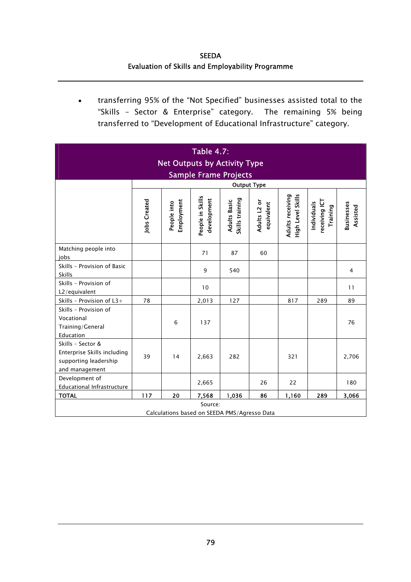SEEDA Evaluation of Skills and Employability Programme

• transferring 95% of the "Not Specified" businesses assisted total to the "Skills – Sector & Enterprise" category. The remaining 5% being transferred to "Development of Educational Infrastructure" category.

| <b>Table 4.7:</b><br><b>Net Outputs by Activity Type</b><br><b>Sample Frame Projects</b>    |                     |                           |                                 |                                        |                            |                                       |                                          |                               |  |
|---------------------------------------------------------------------------------------------|---------------------|---------------------------|---------------------------------|----------------------------------------|----------------------------|---------------------------------------|------------------------------------------|-------------------------------|--|
| <b>Output Type</b>                                                                          |                     |                           |                                 |                                        |                            |                                       |                                          |                               |  |
|                                                                                             | <b>Jobs Created</b> | Employment<br>People into | People in Skills<br>development | Skills training<br><b>Adults Basic</b> | Adults L2 or<br>equivalent | Adults receiving<br>High Level Skills | receiving ICT<br>Individuals<br>Training | <b>Businesses</b><br>Assisted |  |
| Matching people into<br>jobs                                                                |                     |                           | 71                              | 87                                     | 60                         |                                       |                                          |                               |  |
| Skills - Provision of Basic<br>Skills                                                       |                     |                           | 9                               | 540                                    |                            |                                       |                                          | $\overline{4}$                |  |
| Skills - Provision of<br>L2/equivalent                                                      |                     |                           | 10                              |                                        |                            |                                       |                                          | 11                            |  |
| Skills - Provision of L3+                                                                   | 78                  |                           | 2,013                           | 127                                    |                            | 817                                   | 289                                      | 89                            |  |
| Skills - Provision of<br>Vocational<br>Training/General<br>Education                        |                     | 6                         | 137                             |                                        |                            |                                       |                                          | 76                            |  |
| Skills - Sector &<br>Enterprise Skills including<br>supporting leadership<br>and management | 39                  | 14                        | 2,663                           | 282                                    |                            | 321                                   |                                          | 2,706                         |  |
| Development of<br>Educational Infrastructure                                                |                     |                           | 2,665                           |                                        | 26                         | 22                                    |                                          | 180                           |  |
| <b>TOTAL</b>                                                                                | 117                 | 20                        | 7,568                           | 1,036                                  | 86                         | 1,160                                 | 289                                      | 3,066                         |  |
| Source:<br>Calculations based on SEEDA PMS/Agresso Data                                     |                     |                           |                                 |                                        |                            |                                       |                                          |                               |  |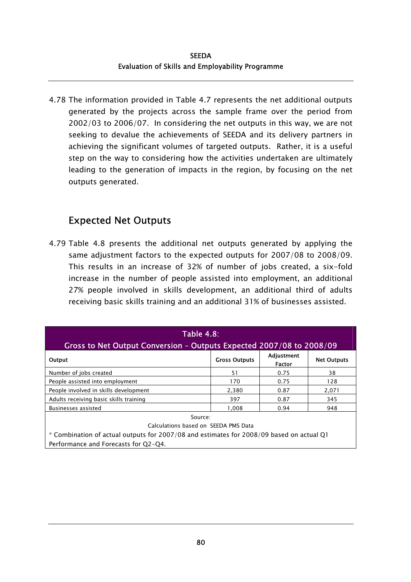4.78 The information provided in Table 4.7 represents the net additional outputs generated by the projects across the sample frame over the period from 2002/03 to 2006/07. In considering the net outputs in this way, we are not seeking to devalue the achievements of SEEDA and its delivery partners in achieving the significant volumes of targeted outputs. Rather, it is a useful step on the way to considering how the activities undertaken are ultimately leading to the generation of impacts in the region, by focusing on the net outputs generated.

### Expected Net Outputs

4.79 Table 4.8 presents the additional net outputs generated by applying the same adjustment factors to the expected outputs for 2007/08 to 2008/09. This results in an increase of 32% of number of jobs created, a six-fold increase in the number of people assisted into employment, an additional 27% people involved in skills development, an additional third of adults receiving basic skills training and an additional 31% of businesses assisted.

| <b>Table 4.8:</b>                                                                        |                      |                             |                    |  |  |  |  |  |
|------------------------------------------------------------------------------------------|----------------------|-----------------------------|--------------------|--|--|--|--|--|
| Gross to Net Output Conversion - Outputs Expected 2007/08 to 2008/09                     |                      |                             |                    |  |  |  |  |  |
| Output                                                                                   | <b>Gross Outputs</b> | Adjustment<br><b>Factor</b> | <b>Net Outputs</b> |  |  |  |  |  |
| Number of jobs created                                                                   | 51                   | 0.75                        | 38                 |  |  |  |  |  |
| People assisted into employment                                                          | 170                  | 0.75                        | 128                |  |  |  |  |  |
| People involved in skills development                                                    | 2,380                | 0.87                        | 2,071              |  |  |  |  |  |
| Adults receiving basic skills training                                                   | 397                  | 0.87                        | 345                |  |  |  |  |  |
| <b>Businesses assisted</b>                                                               | 1.008                | 0.94                        | 948                |  |  |  |  |  |
| Source:                                                                                  |                      |                             |                    |  |  |  |  |  |
| Calculations based on SEEDA PMS Data                                                     |                      |                             |                    |  |  |  |  |  |
| * Combination of actual outputs for 2007/08 and estimates for 2008/09 based on actual Q1 |                      |                             |                    |  |  |  |  |  |
| Performance and Forecasts for Q2-Q4.                                                     |                      |                             |                    |  |  |  |  |  |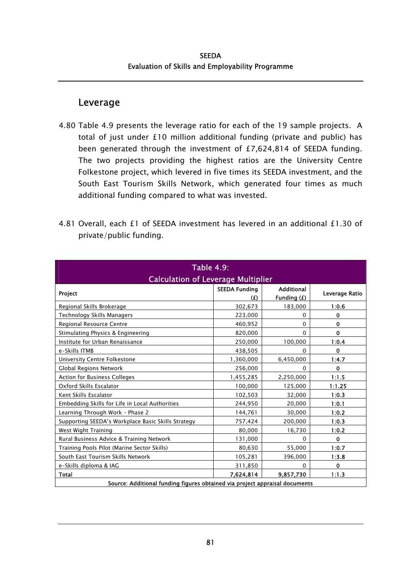### Leverage

- 4.80 Table 4.9 presents the leverage ratio for each of the 19 sample projects. A total of just under £10 million additional funding (private and public) has been generated through the investment of £7,624,814 of SEEDA funding. The two projects providing the highest ratios are the University Centre Folkestone project, which levered in five times its SEEDA investment, and the South East Tourism Skills Network, which generated four times as much additional funding compared to what was invested.
- 4.81 Overall, each £1 of SEEDA investment has levered in an additional £1.30 of private/public funding.

| <b>Table 4.9:</b>                                                           |                |                        |             |  |  |  |  |
|-----------------------------------------------------------------------------|----------------|------------------------|-------------|--|--|--|--|
| <b>Calculation of Leverage Multiplier</b><br>Project                        | Leverage Ratio |                        |             |  |  |  |  |
| Regional Skills Brokerage                                                   | (E)<br>302,673 | Funding (£)<br>183,000 | 1:0.6       |  |  |  |  |
| Technology Skills Managers                                                  | 223,000        | $\Omega$               | $\mathbf 0$ |  |  |  |  |
| Regional Resource Centre                                                    | 460,952        | 0                      | 0           |  |  |  |  |
| Stimulating Physics & Engineering                                           | 820,000        | $\Omega$               | $\mathbf 0$ |  |  |  |  |
| Institute for Urban Renaissance                                             | 250,000        | 100,000                | 1:0.4       |  |  |  |  |
| e-Skills ITMB                                                               | 438,505        | $\Omega$               | $\mathbf 0$ |  |  |  |  |
| University Centre Folkestone                                                | 1,360,000      | 6,450,000              | 1:4.7       |  |  |  |  |
| <b>Global Regions Network</b>                                               | 256,000        | $\Omega$               | 0           |  |  |  |  |
| Action for Business Colleges                                                | 1,455,285      | 2,250,000              | 1:1.5       |  |  |  |  |
| Oxford Skills Escalator                                                     | 100,000        | 125,000                | 1:1.25      |  |  |  |  |
| Kent Skills Escalator                                                       | 102,503        | 32,000                 | 1:0.3       |  |  |  |  |
| Embedding Skills for Life in Local Authorities                              | 244,950        | 20,000                 | 1:0.1       |  |  |  |  |
| Learning Through Work - Phase 2                                             | 144,761        | 30,000                 | 1:0.2       |  |  |  |  |
| Supporting SEEDA's Workplace Basic Skills Strategy                          | 757,424        | 200,000                | 1:0.3       |  |  |  |  |
| West Wight Training                                                         | 80,000         | 16,730                 | 1:0.2       |  |  |  |  |
| Rural Business Advice & Training Network                                    | 131,000        | $\Omega$               | 0           |  |  |  |  |
| Training Pools Pilot (Marine Sector Skills)                                 | 80,630         | 55,000                 | 1:0.7       |  |  |  |  |
| South East Tourism Skills Network                                           | 105,281        | 396,000                | 1:3.8       |  |  |  |  |
| e-Skills diploma & IAG                                                      | 311,850        | $\Omega$               | $\mathbf 0$ |  |  |  |  |
| Total                                                                       | 7.624.814      | 9.857.730              | 1:1.3       |  |  |  |  |
| Source: Additional funding figures obtained via project appraisal documents |                |                        |             |  |  |  |  |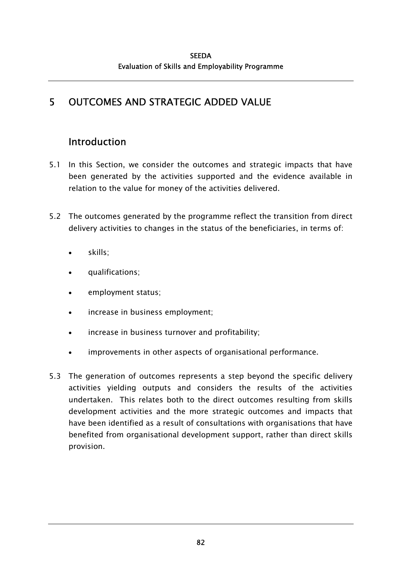# 5 OUTCOMES AND STRATEGIC ADDED VALUE

# Introduction

- 5.1 In this Section, we consider the outcomes and strategic impacts that have been generated by the activities supported and the evidence available in relation to the value for money of the activities delivered.
- 5.2 The outcomes generated by the programme reflect the transition from direct delivery activities to changes in the status of the beneficiaries, in terms of:
	- skills;
	- qualifications;
	- employment status;
	- increase in business employment;
	- increase in business turnover and profitability;
	- improvements in other aspects of organisational performance.
- 5.3 The generation of outcomes represents a step beyond the specific delivery activities yielding outputs and considers the results of the activities undertaken. This relates both to the direct outcomes resulting from skills development activities and the more strategic outcomes and impacts that have been identified as a result of consultations with organisations that have benefited from organisational development support, rather than direct skills provision.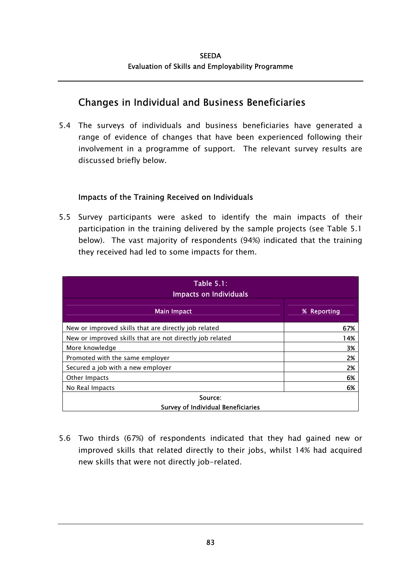### Changes in Individual and Business Beneficiaries

5.4 The surveys of individuals and business beneficiaries have generated a range of evidence of changes that have been experienced following their involvement in a programme of support. The relevant survey results are discussed briefly below.

### Impacts of the Training Received on Individuals

5.5 Survey participants were asked to identify the main impacts of their participation in the training delivered by the sample projects (see Table 5.1 below). The vast majority of respondents (94%) indicated that the training they received had led to some impacts for them.

| <b>Table 5.1:</b><br><b>Impacts on Individuals</b>       |             |  |  |  |  |  |
|----------------------------------------------------------|-------------|--|--|--|--|--|
| <b>Main Impact</b>                                       | % Reporting |  |  |  |  |  |
| New or improved skills that are directly job related     | 67%         |  |  |  |  |  |
| New or improved skills that are not directly job related | 14%         |  |  |  |  |  |
| More knowledge                                           | 3%          |  |  |  |  |  |
| Promoted with the same employer                          | 2%          |  |  |  |  |  |
| Secured a job with a new employer                        | 2%          |  |  |  |  |  |
| Other Impacts                                            | 6%          |  |  |  |  |  |
| No Real Impacts                                          | 6%          |  |  |  |  |  |
| Source:<br><b>Survey of Individual Beneficiaries</b>     |             |  |  |  |  |  |

5.6 Two thirds (67%) of respondents indicated that they had gained new or improved skills that related directly to their jobs, whilst 14% had acquired new skills that were not directly job-related.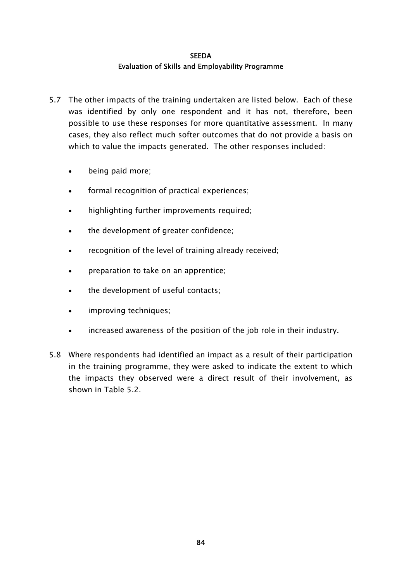- 5.7 The other impacts of the training undertaken are listed below. Each of these was identified by only one respondent and it has not, therefore, been possible to use these responses for more quantitative assessment. In many cases, they also reflect much softer outcomes that do not provide a basis on which to value the impacts generated. The other responses included:
	- being paid more;
	- formal recognition of practical experiences;
	- highlighting further improvements required;
	- the development of greater confidence;
	- recognition of the level of training already received;
	- preparation to take on an apprentice;
	- the development of useful contacts;
	- improving techniques;
	- increased awareness of the position of the job role in their industry.
- 5.8 Where respondents had identified an impact as a result of their participation in the training programme, they were asked to indicate the extent to which the impacts they observed were a direct result of their involvement, as shown in Table 5.2.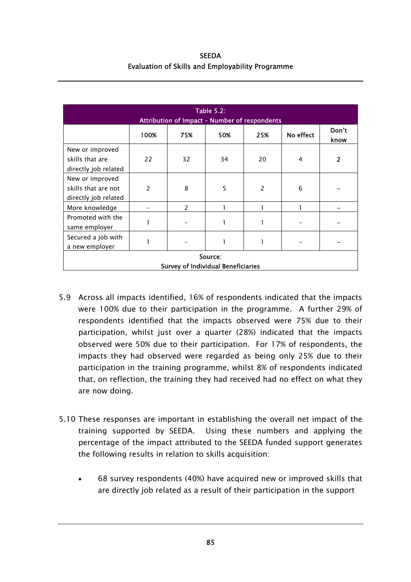| <b>SEEDA</b>                                            |  |  |  |  |  |  |  |  |
|---------------------------------------------------------|--|--|--|--|--|--|--|--|
| <b>Evaluation of Skills and Employability Programme</b> |  |  |  |  |  |  |  |  |

| <b>Table 5.2:</b><br>Attribution of Impact - Number of respondents |                                                      |               |              |                |           |               |  |  |
|--------------------------------------------------------------------|------------------------------------------------------|---------------|--------------|----------------|-----------|---------------|--|--|
|                                                                    | 100%                                                 | 75%           | 50%          | 25%            | No effect | Don't<br>know |  |  |
| New or improved<br>skills that are<br>directly job related         | 22                                                   | 32            | 34           | 20             | 4         | 2             |  |  |
| New or improved<br>skills that are not<br>directly job related     | $\mathcal{P}$                                        | 8             | 5            | $\overline{2}$ | 6         |               |  |  |
| More knowledge                                                     |                                                      | $\mathcal{P}$ |              |                |           |               |  |  |
| Promoted with the<br>same employer                                 |                                                      |               | 1            |                |           |               |  |  |
| Secured a job with<br>a new employer                               | 1                                                    |               | $\mathbf{1}$ | 1              |           |               |  |  |
|                                                                    | Source:<br><b>Survey of Individual Beneficiaries</b> |               |              |                |           |               |  |  |

- 5.9 Across all impacts identified, 16% of respondents indicated that the impacts were 100% due to their participation in the programme. A further 29% of respondents identified that the impacts observed were 75% due to their participation, whilst just over a quarter (28%) indicated that the impacts observed were 50% due to their participation. For 17% of respondents, the impacts they had observed were regarded as being only 25% due to their participation in the training programme, whilst 8% of respondents indicated that, on reflection, the training they had received had no effect on what they are now doing.
- 5.10 These responses are important in establishing the overall net impact of the training supported by SEEDA. Using these numbers and applying the percentage of the impact attributed to the SEEDA funded support generates the following results in relation to skills acquisition:
	- 68 survey respondents (40%) have acquired new or improved skills that are directly job related as a result of their participation in the support •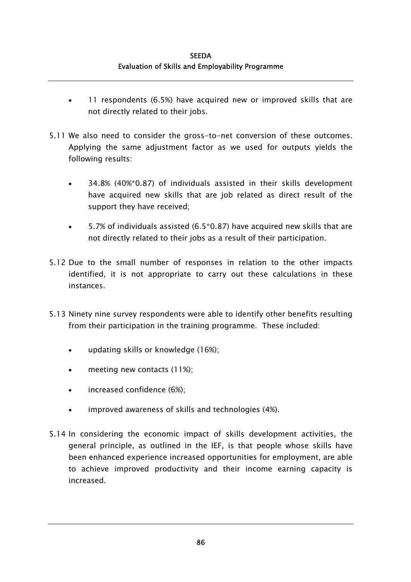- 11 respondents (6.5%) have acquired new or improved skills that are not directly related to their jobs. •
- 5.11 We also need to consider the gross-to-net conversion of these outcomes. Applying the same adjustment factor as we used for outputs yields the following results:
	- 34.8% (40%\*0.87) of individuals assisted in their skills development have acquired new skills that are job related as direct result of the support they have received;
	- 5.7% of individuals assisted (6.5\*0.87) have acquired new skills that are not directly related to their jobs as a result of their participation.
- 5.12 Due to the small number of responses in relation to the other impacts identified, it is not appropriate to carry out these calculations in these instances.
- 5.13 Ninety nine survey respondents were able to identify other benefits resulting from their participation in the training programme. These included:
	- updating skills or knowledge (16%);
	- meeting new contacts (11%);
	- increased confidence (6%);
	- improved awareness of skills and technologies (4%).
- 5.14 In considering the economic impact of skills development activities, the general principle, as outlined in the IEF, is that people whose skills have been enhanced experience increased opportunities for employment, are able to achieve improved productivity and their income earning capacity is increased.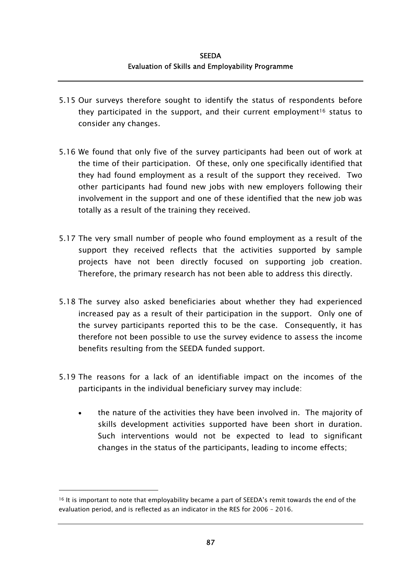- 5.15 Our surveys therefore sought to identify the status of respondents before they participated in the support, and their current employment<sup>16</sup> status to consider any changes.
- 5.16 We found that only five of the survey participants had been out of work at the time of their participation. Of these, only one specifically identified that they had found employment as a result of the support they received. Two other participants had found new jobs with new employers following their involvement in the support and one of these identified that the new job was totally as a result of the training they received.
- 5.17 The very small number of people who found employment as a result of the support they received reflects that the activities supported by sample projects have not been directly focused on supporting job creation. Therefore, the primary research has not been able to address this directly.
- 5.18 The survey also asked beneficiaries about whether they had experienced increased pay as a result of their participation in the support. Only one of the survey participants reported this to be the case. Consequently, it has therefore not been possible to use the survey evidence to assess the income benefits resulting from the SEEDA funded support.
- 5.19 The reasons for a lack of an identifiable impact on the incomes of the participants in the individual beneficiary survey may include:
	- the nature of the activities they have been involved in. The majority of skills development activities supported have been short in duration. Such interventions would not be expected to lead to significant changes in the status of the participants, leading to income effects;

<span id="page-116-0"></span><sup>16</sup> It is important to note that employability became a part of SEEDA's remit towards the end of the evaluation period, and is reflected as an indicator in the RES for 2006 – 2016.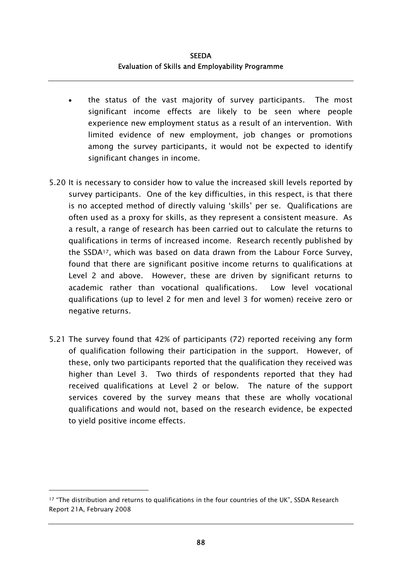- the status of the vast majority of survey participants. The most significant income effects are likely to be seen where people experience new employment status as a result of an intervention. With limited evidence of new employment, job changes or promotions among the survey participants, it would not be expected to identify significant changes in income.
- 5.20 It is necessary to consider how to value the increased skill levels reported by survey participants. One of the key difficulties, in this respect, is that there is no accepted method of directly valuing 'skills' per se. Qualifications are often used as a proxy for skills, as they represent a consistent measure. As a result, a range of research has been carried out to calculate the returns to qualifications in terms of increased income. Research recently published by the SSDA[17,](#page-117-0) which was based on data drawn from the Labour Force Survey, found that there are significant positive income returns to qualifications at Level 2 and above. However, these are driven by significant returns to academic rather than vocational qualifications. Low level vocational qualifications (up to level 2 for men and level 3 for women) receive zero or negative returns.
- 5.21 The survey found that 42% of participants (72) reported receiving any form of qualification following their participation in the support. However, of these, only two participants reported that the qualification they received was higher than Level 3. Two thirds of respondents reported that they had received qualifications at Level 2 or below. The nature of the support services covered by the survey means that these are wholly vocational qualifications and would not, based on the research evidence, be expected to yield positive income effects.

<span id="page-117-0"></span><sup>17 &</sup>quot;The distribution and returns to qualifications in the four countries of the UK", SSDA Research Report 21A, February 2008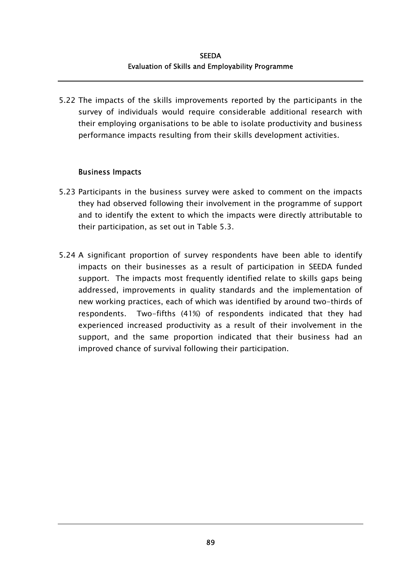5.22 The impacts of the skills improvements reported by the participants in the survey of individuals would require considerable additional research with their employing organisations to be able to isolate productivity and business performance impacts resulting from their skills development activities.

### Business Impacts

- 5.23 Participants in the business survey were asked to comment on the impacts they had observed following their involvement in the programme of support and to identify the extent to which the impacts were directly attributable to their participation, as set out in Table 5.3.
- 5.24 A significant proportion of survey respondents have been able to identify impacts on their businesses as a result of participation in SEEDA funded support. The impacts most frequently identified relate to skills gaps being addressed, improvements in quality standards and the implementation of new working practices, each of which was identified by around two-thirds of respondents. Two-fifths (41%) of respondents indicated that they had experienced increased productivity as a result of their involvement in the support, and the same proportion indicated that their business had an improved chance of survival following their participation.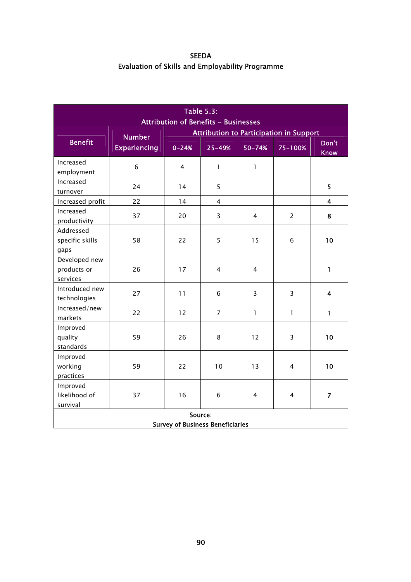SEEDA Evaluation of Skills and Employability Programme

| <b>Table 5.3:</b><br><b>Attribution of Benefits - Businesses</b> |                     |                                                |                |                |                |                      |  |  |
|------------------------------------------------------------------|---------------------|------------------------------------------------|----------------|----------------|----------------|----------------------|--|--|
|                                                                  | <b>Number</b>       | <b>Attribution to Participation in Support</b> |                |                |                |                      |  |  |
| <b>Benefit</b>                                                   | <b>Experiencing</b> | $0 - 24%$                                      | 25-49%         | 50-74%         | 75-100%        | Don't<br><b>Know</b> |  |  |
| Increased<br>employment                                          | 6                   | 4                                              | $\mathbf{1}$   | 1              |                |                      |  |  |
| Increased<br>turnover                                            | 24                  | 14                                             | 5              |                |                | 5                    |  |  |
| Increased profit                                                 | 22                  | 14                                             | $\overline{4}$ |                |                | 4                    |  |  |
| Increased<br>productivity                                        | 37                  | 20                                             | 3              | $\overline{4}$ | $\overline{2}$ | 8                    |  |  |
| Addressed<br>specific skills<br>gaps                             | 58                  | 22                                             | 5              | 15             | 6              | 10                   |  |  |
| Developed new<br>products or<br>services                         | 26                  | 17                                             | 4              | $\overline{4}$ |                | $\mathbf{1}$         |  |  |
| Introduced new<br>technologies                                   | 27                  | 11                                             | 6              | 3              | 3              | 4                    |  |  |
| Increased/new<br>markets                                         | 22                  | 12                                             | $\overline{7}$ | $\mathbf{I}$   | $\mathbf{1}$   | $\mathbf{1}$         |  |  |
| Improved<br>quality<br>standards                                 | 59                  | 26                                             | 8              | 12             | 3              | 10                   |  |  |
| Improved<br>working<br>practices                                 | 59                  | 22                                             | 10             | 13             | 4              | 10                   |  |  |
| Improved<br>likelihood of<br>survival                            | 37                  | 16                                             | 6              | 4              | 4              | $\overline{7}$       |  |  |
| Source:<br><b>Survey of Business Beneficiaries</b>               |                     |                                                |                |                |                |                      |  |  |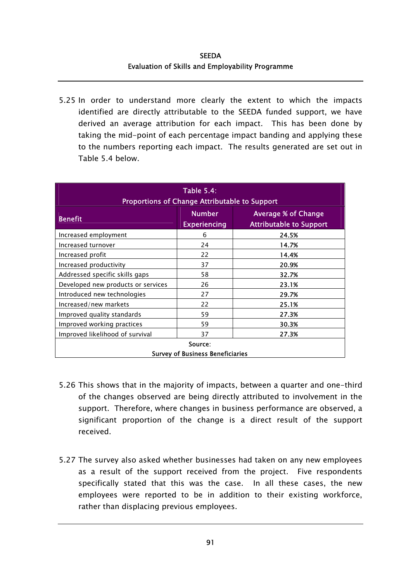5.25 In order to understand more clearly the extent to which the impacts identified are directly attributable to the SEEDA funded support, we have derived an average attribution for each impact. This has been done by taking the mid-point of each percentage impact banding and applying these to the numbers reporting each impact. The results generated are set out in Table 5.4 below.

| <b>Table 5.4:</b><br>Proportions of Change Attributable to Support |                                         |                                                              |  |  |  |  |
|--------------------------------------------------------------------|-----------------------------------------|--------------------------------------------------------------|--|--|--|--|
| <b>Benefit</b>                                                     | <b>Number</b><br><b>Experiencing</b>    | <b>Average % of Change</b><br><b>Attributable to Support</b> |  |  |  |  |
| Increased employment                                               | 6                                       | 24.5%                                                        |  |  |  |  |
| Increased turnover                                                 | 24                                      | 14.7%                                                        |  |  |  |  |
| Increased profit                                                   | 22                                      | 14.4%                                                        |  |  |  |  |
| Increased productivity                                             | 37                                      | 20.9%                                                        |  |  |  |  |
| Addressed specific skills gaps                                     | 58                                      | 32.7%                                                        |  |  |  |  |
| Developed new products or services                                 | 26                                      | 23.1%                                                        |  |  |  |  |
| Introduced new technologies                                        | 27                                      | 29.7%                                                        |  |  |  |  |
| Increased/new markets                                              | 22                                      | 25.1%                                                        |  |  |  |  |
| Improved quality standards                                         | 59                                      | 27.3%                                                        |  |  |  |  |
| Improved working practices                                         | 59                                      | 30.3%                                                        |  |  |  |  |
| Improved likelihood of survival                                    | 37                                      | 27.3%                                                        |  |  |  |  |
| Source:                                                            |                                         |                                                              |  |  |  |  |
|                                                                    | <b>Survey of Business Beneficiaries</b> |                                                              |  |  |  |  |

- 5.26 This shows that in the majority of impacts, between a quarter and one-third of the changes observed are being directly attributed to involvement in the support. Therefore, where changes in business performance are observed, a significant proportion of the change is a direct result of the support received.
- 5.27 The survey also asked whether businesses had taken on any new employees as a result of the support received from the project. Five respondents specifically stated that this was the case. In all these cases, the new employees were reported to be in addition to their existing workforce, rather than displacing previous employees.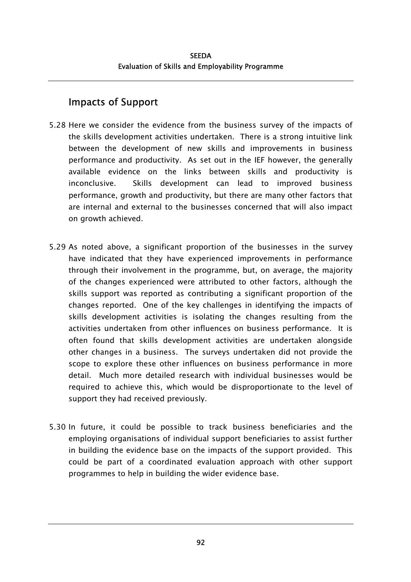## Impacts of Support

- 5.28 Here we consider the evidence from the business survey of the impacts of the skills development activities undertaken. There is a strong intuitive link between the development of new skills and improvements in business performance and productivity. As set out in the IEF however, the generally available evidence on the links between skills and productivity is inconclusive. Skills development can lead to improved business performance, growth and productivity, but there are many other factors that are internal and external to the businesses concerned that will also impact on growth achieved.
- 5.29 As noted above, a significant proportion of the businesses in the survey have indicated that they have experienced improvements in performance through their involvement in the programme, but, on average, the majority of the changes experienced were attributed to other factors, although the skills support was reported as contributing a significant proportion of the changes reported. One of the key challenges in identifying the impacts of skills development activities is isolating the changes resulting from the activities undertaken from other influences on business performance. It is often found that skills development activities are undertaken alongside other changes in a business. The surveys undertaken did not provide the scope to explore these other influences on business performance in more detail. Much more detailed research with individual businesses would be required to achieve this, which would be disproportionate to the level of support they had received previously.
- 5.30 In future, it could be possible to track business beneficiaries and the employing organisations of individual support beneficiaries to assist further in building the evidence base on the impacts of the support provided. This could be part of a coordinated evaluation approach with other support programmes to help in building the wider evidence base.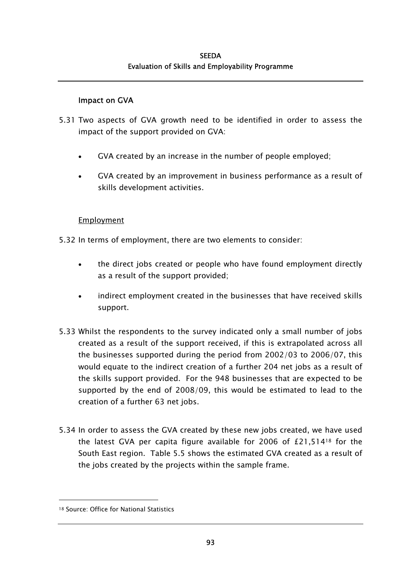### Impact on GVA

- 5.31 Two aspects of GVA growth need to be identified in order to assess the impact of the support provided on GVA:
	- GVA created by an increase in the number of people employed;
	- GVA created by an improvement in business performance as a result of skills development activities.

### **Employment**

- 5.32 In terms of employment, there are two elements to consider:
	- the direct jobs created or people who have found employment directly as a result of the support provided;
	- indirect employment created in the businesses that have received skills support.
- 5.33 Whilst the respondents to the survey indicated only a small number of jobs created as a result of the support received, if this is extrapolated across all the businesses supported during the period from 2002/03 to 2006/07, this would equate to the indirect creation of a further 204 net jobs as a result of the skills support provided. For the 948 businesses that are expected to be supported by the end of 2008/09, this would be estimated to lead to the creation of a further 63 net jobs.
- 5.34 In order to assess the GVA created by these new jobs created, we have used the latest GVA per capita figure available for 2006 of £21,514[18](#page-122-0) for the South East region. Table 5.5 shows the estimated GVA created as a result of the jobs created by the projects within the sample frame.

l

<span id="page-122-0"></span><sup>18</sup> Source: Office for National Statistics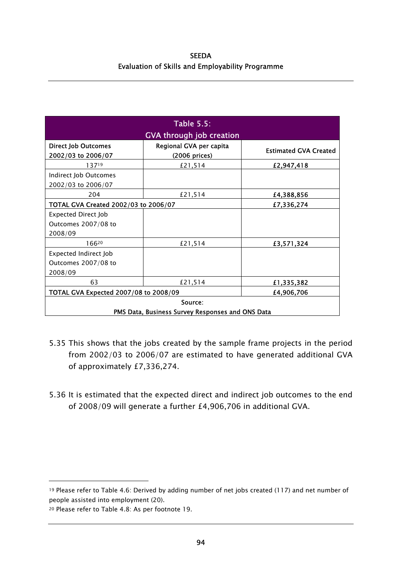**SEEDA** Evaluation of Skills and Employability Programme

| <b>Table 5.5:</b>                                |                                                  |                              |  |  |  |  |  |
|--------------------------------------------------|--------------------------------------------------|------------------------------|--|--|--|--|--|
| <b>GVA through job creation</b>                  |                                                  |                              |  |  |  |  |  |
| <b>Direct Job Outcomes</b><br>2002/03 to 2006/07 | Regional GVA per capita<br>(2006 prices)         | <b>Estimated GVA Created</b> |  |  |  |  |  |
| 13719                                            | £21,514                                          | £2,947,418                   |  |  |  |  |  |
| Indirect Job Outcomes<br>2002/03 to 2006/07      |                                                  |                              |  |  |  |  |  |
| 204                                              | £21,514                                          | £4,388,856                   |  |  |  |  |  |
| TOTAL GVA Created 2002/03 to 2006/07             | £7,336,274                                       |                              |  |  |  |  |  |
| <b>Expected Direct Job</b>                       |                                                  |                              |  |  |  |  |  |
| Outcomes 2007/08 to                              |                                                  |                              |  |  |  |  |  |
| 2008/09                                          |                                                  |                              |  |  |  |  |  |
| 16620                                            | £21,514                                          | £3,571,324                   |  |  |  |  |  |
| <b>Expected Indirect Job</b>                     |                                                  |                              |  |  |  |  |  |
| Outcomes 2007/08 to                              |                                                  |                              |  |  |  |  |  |
| 2008/09                                          |                                                  |                              |  |  |  |  |  |
| 63                                               | £21,514                                          | £1,335,382                   |  |  |  |  |  |
| TOTAL GVA Expected 2007/08 to 2008/09            | £4,906,706                                       |                              |  |  |  |  |  |
| Source:                                          |                                                  |                              |  |  |  |  |  |
|                                                  | PMS Data, Business Survey Responses and ONS Data |                              |  |  |  |  |  |

- 5.35 This shows that the jobs created by the sample frame projects in the period from 2002/03 to 2006/07 are estimated to have generated additional GVA of approximately £7,336,274.
- 5.36 It is estimated that the expected direct and indirect job outcomes to the end of 2008/09 will generate a further £4,906,706 in additional GVA.

<span id="page-123-0"></span><sup>19</sup> Please refer to Table 4.6: Derived by adding number of net jobs created (117) and net number of people assisted into employment (20).

<span id="page-123-1"></span><sup>20</sup> Please refer to Table 4.8: As per footnote 19.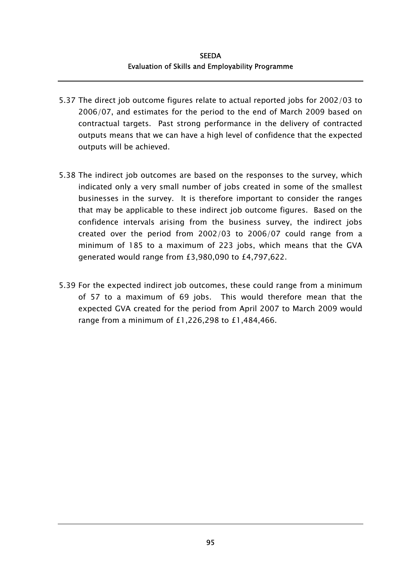- 5.37 The direct job outcome figures relate to actual reported jobs for 2002/03 to 2006/07, and estimates for the period to the end of March 2009 based on contractual targets. Past strong performance in the delivery of contracted outputs means that we can have a high level of confidence that the expected outputs will be achieved.
- 5.38 The indirect job outcomes are based on the responses to the survey, which indicated only a very small number of jobs created in some of the smallest businesses in the survey. It is therefore important to consider the ranges that may be applicable to these indirect job outcome figures. Based on the confidence intervals arising from the business survey, the indirect jobs created over the period from 2002/03 to 2006/07 could range from a minimum of 185 to a maximum of 223 jobs, which means that the GVA generated would range from £3,980,090 to £4,797,622.
- 5.39 For the expected indirect job outcomes, these could range from a minimum of 57 to a maximum of 69 jobs. This would therefore mean that the expected GVA created for the period from April 2007 to March 2009 would range from a minimum of £1,226,298 to £1,484,466.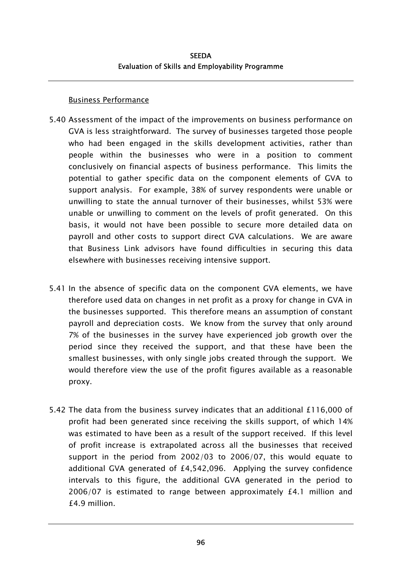#### Business Performance

- 5.40 Assessment of the impact of the improvements on business performance on GVA is less straightforward. The survey of businesses targeted those people who had been engaged in the skills development activities, rather than people within the businesses who were in a position to comment conclusively on financial aspects of business performance. This limits the potential to gather specific data on the component elements of GVA to support analysis. For example, 38% of survey respondents were unable or unwilling to state the annual turnover of their businesses, whilst 53% were unable or unwilling to comment on the levels of profit generated. On this basis, it would not have been possible to secure more detailed data on payroll and other costs to support direct GVA calculations. We are aware that Business Link advisors have found difficulties in securing this data elsewhere with businesses receiving intensive support.
- 5.41 In the absence of specific data on the component GVA elements, we have therefore used data on changes in net profit as a proxy for change in GVA in the businesses supported. This therefore means an assumption of constant payroll and depreciation costs. We know from the survey that only around 7% of the businesses in the survey have experienced job growth over the period since they received the support, and that these have been the smallest businesses, with only single jobs created through the support. We would therefore view the use of the profit figures available as a reasonable proxy.
- 5.42 The data from the business survey indicates that an additional £116,000 of profit had been generated since receiving the skills support, of which 14% was estimated to have been as a result of the support received. If this level of profit increase is extrapolated across all the businesses that received support in the period from 2002/03 to 2006/07, this would equate to additional GVA generated of £4,542,096. Applying the survey confidence intervals to this figure, the additional GVA generated in the period to 2006/07 is estimated to range between approximately £4.1 million and £4.9 million.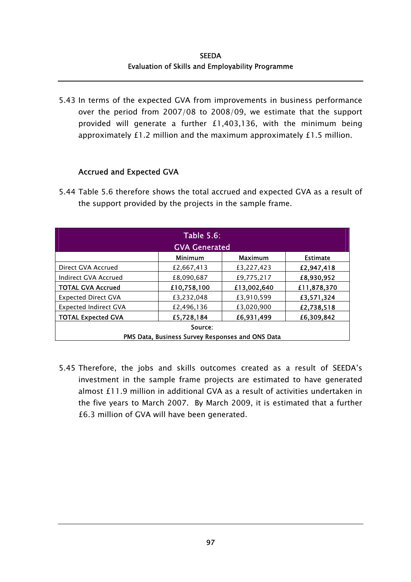5.43 In terms of the expected GVA from improvements in business performance over the period from 2007/08 to 2008/09, we estimate that the support provided will generate a further £1,403,136, with the minimum being approximately £1.2 million and the maximum approximately £1.5 million.

### Accrued and Expected GVA

5.44 Table 5.6 therefore shows the total accrued and expected GVA as a result of the support provided by the projects in the sample frame.

| <b>Table 5.6:</b><br><b>GVA Generated</b> |                                                  |                |                 |  |  |  |  |
|-------------------------------------------|--------------------------------------------------|----------------|-----------------|--|--|--|--|
|                                           | <b>Minimum</b>                                   | <b>Maximum</b> | <b>Estimate</b> |  |  |  |  |
| Direct GVA Accrued                        | £2,667,413                                       | £3.227.423     | £2,947,418      |  |  |  |  |
| Indirect GVA Accrued                      | £8,090,687                                       | £9,775,217     | £8,930,952      |  |  |  |  |
| <b>TOTAL GVA Accrued</b>                  | £10,758,100                                      | £13,002,640    | £11,878,370     |  |  |  |  |
| <b>Expected Direct GVA</b>                | £3,232,048                                       | £3,910,599     | £3,571,324      |  |  |  |  |
| <b>Expected Indirect GVA</b>              | £2,496,136                                       | £3,020,900     | £2,738,518      |  |  |  |  |
| <b>TOTAL Expected GVA</b>                 | £5,728,184                                       | £6,931,499     | £6,309,842      |  |  |  |  |
| Source:                                   |                                                  |                |                 |  |  |  |  |
|                                           | PMS Data, Business Survey Responses and ONS Data |                |                 |  |  |  |  |

5.45 Therefore, the jobs and skills outcomes created as a result of SEEDA's investment in the sample frame projects are estimated to have generated almost £11.9 million in additional GVA as a result of activities undertaken in the five years to March 2007. By March 2009, it is estimated that a further £6.3 million of GVA will have been generated.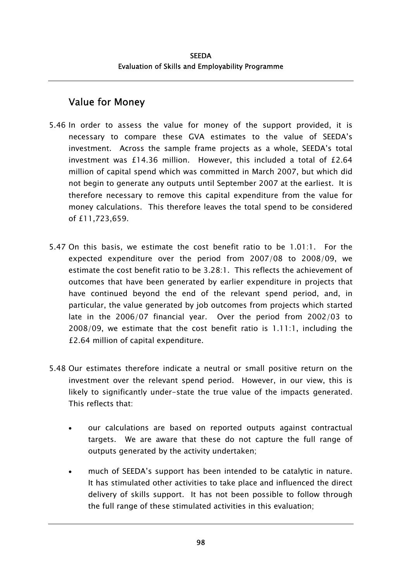## Value for Money

- 5.46 In order to assess the value for money of the support provided, it is necessary to compare these GVA estimates to the value of SEEDA's investment. Across the sample frame projects as a whole, SEEDA's total investment was £14.36 million. However, this included a total of  $£2.64$ million of capital spend which was committed in March 2007, but which did not begin to generate any outputs until September 2007 at the earliest. It is therefore necessary to remove this capital expenditure from the value for money calculations. This therefore leaves the total spend to be considered of £11,723,659.
- 5.47 On this basis, we estimate the cost benefit ratio to be 1.01:1. For the expected expenditure over the period from 2007/08 to 2008/09, we estimate the cost benefit ratio to be 3.28:1. This reflects the achievement of outcomes that have been generated by earlier expenditure in projects that have continued beyond the end of the relevant spend period, and, in particular, the value generated by job outcomes from projects which started late in the 2006/07 financial year. Over the period from 2002/03 to 2008/09, we estimate that the cost benefit ratio is 1.11:1, including the £2.64 million of capital expenditure.
- 5.48 Our estimates therefore indicate a neutral or small positive return on the investment over the relevant spend period. However, in our view, this is likely to significantly under-state the true value of the impacts generated. This reflects that:
	- our calculations are based on reported outputs against contractual targets. We are aware that these do not capture the full range of outputs generated by the activity undertaken; •
	- much of SEEDA's support has been intended to be catalytic in nature. It has stimulated other activities to take place and influenced the direct delivery of skills support. It has not been possible to follow through the full range of these stimulated activities in this evaluation;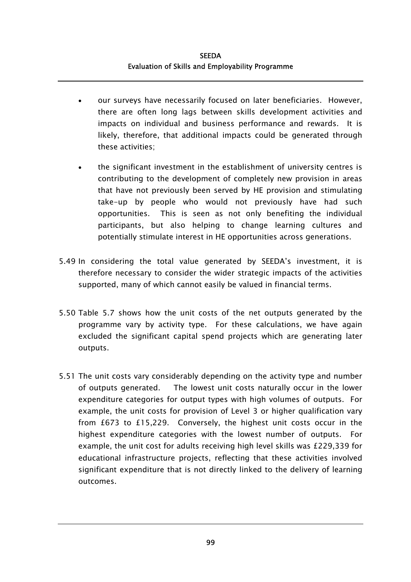- our surveys have necessarily focused on later beneficiaries. However, there are often long lags between skills development activities and impacts on individual and business performance and rewards. It is likely, therefore, that additional impacts could be generated through these activities; •
- the significant investment in the establishment of university centres is contributing to the development of completely new provision in areas that have not previously been served by HE provision and stimulating take-up by people who would not previously have had such opportunities. This is seen as not only benefiting the individual participants, but also helping to change learning cultures and potentially stimulate interest in HE opportunities across generations.
- 5.49 In considering the total value generated by SEEDA's investment, it is therefore necessary to consider the wider strategic impacts of the activities supported, many of which cannot easily be valued in financial terms.
- 5.50 Table 5.7 shows how the unit costs of the net outputs generated by the programme vary by activity type. For these calculations, we have again excluded the significant capital spend projects which are generating later outputs.
- 5.51 The unit costs vary considerably depending on the activity type and number of outputs generated. The lowest unit costs naturally occur in the lower expenditure categories for output types with high volumes of outputs. For example, the unit costs for provision of Level 3 or higher qualification vary from £673 to £15,229. Conversely, the highest unit costs occur in the highest expenditure categories with the lowest number of outputs. For example, the unit cost for adults receiving high level skills was £229,339 for educational infrastructure projects, reflecting that these activities involved significant expenditure that is not directly linked to the delivery of learning outcomes.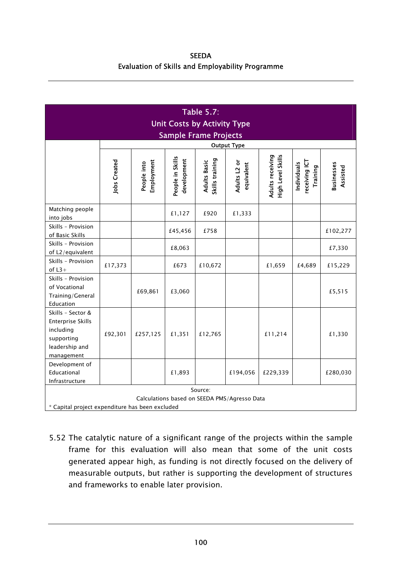SEEDA Evaluation of Skills and Employability Programme

| <b>Table 5.7:</b><br><b>Unit Costs by Activity Type</b><br><b>Sample Frame Projects</b><br><b>Output Type</b> |                                                                                                            |                           |                                 |                                        |                            |                                       |                                          |                               |
|---------------------------------------------------------------------------------------------------------------|------------------------------------------------------------------------------------------------------------|---------------------------|---------------------------------|----------------------------------------|----------------------------|---------------------------------------|------------------------------------------|-------------------------------|
|                                                                                                               | <b>Jobs Created</b>                                                                                        | Employment<br>People into | People in Skills<br>development | Skills training<br><b>Adults Basic</b> | Adults L2 or<br>equivalent | Adults receiving<br>High Level Skills | receiving ICT<br>Individuals<br>Training | <b>Businesses</b><br>Assisted |
| Matching people<br>into jobs                                                                                  |                                                                                                            |                           | £1,127                          | £920                                   | £1,333                     |                                       |                                          |                               |
| Skills - Provision<br>of Basic Skills                                                                         |                                                                                                            |                           | £45,456                         | £758                                   |                            |                                       |                                          | £102,277                      |
| Skills - Provision<br>of L2/equivalent                                                                        |                                                                                                            |                           | £8,063                          |                                        |                            |                                       |                                          | £7,330                        |
| Skills - Provision<br>of $L3+$                                                                                | £17,373                                                                                                    |                           | £673                            | £10,672                                |                            | £1,659                                | £4,689                                   | £15,229                       |
| Skills - Provision<br>of Vocational<br>Training/General<br>Education                                          |                                                                                                            | £69,861                   | £3,060                          |                                        |                            |                                       |                                          | £5,515                        |
| Skills - Sector &<br><b>Enterprise Skills</b><br>including<br>supporting<br>leadership and<br>management      | £92,301                                                                                                    | £257,125                  | £1,351                          | £12,765                                |                            | £11,214                               |                                          | £1,330                        |
| Development of<br>Educational<br>Infrastructure                                                               |                                                                                                            |                           | £1,893                          |                                        | £194,056                   | £229,339                              |                                          | £280,030                      |
|                                                                                                               | Source:<br>Calculations based on SEEDA PMS/Agresso Data<br>* Capital project expenditure has been excluded |                           |                                 |                                        |                            |                                       |                                          |                               |

5.52 The catalytic nature of a significant range of the projects within the sample frame for this evaluation will also mean that some of the unit costs generated appear high, as funding is not directly focused on the delivery of measurable outputs, but rather is supporting the development of structures and frameworks to enable later provision.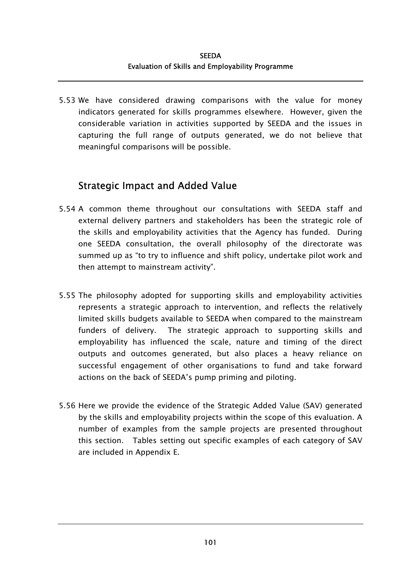5.53 We have considered drawing comparisons with the value for money indicators generated for skills programmes elsewhere. However, given the considerable variation in activities supported by SEEDA and the issues in capturing the full range of outputs generated, we do not believe that meaningful comparisons will be possible.

### Strategic Impact and Added Value

- 5.54 A common theme throughout our consultations with SEEDA staff and external delivery partners and stakeholders has been the strategic role of the skills and employability activities that the Agency has funded. During one SEEDA consultation, the overall philosophy of the directorate was summed up as "to try to influence and shift policy, undertake pilot work and then attempt to mainstream activity".
- 5.55 The philosophy adopted for supporting skills and employability activities represents a strategic approach to intervention, and reflects the relatively limited skills budgets available to SEEDA when compared to the mainstream funders of delivery. The strategic approach to supporting skills and employability has influenced the scale, nature and timing of the direct outputs and outcomes generated, but also places a heavy reliance on successful engagement of other organisations to fund and take forward actions on the back of SEEDA's pump priming and piloting.
- 5.56 Here we provide the evidence of the Strategic Added Value (SAV) generated by the skills and employability projects within the scope of this evaluation. A number of examples from the sample projects are presented throughout this section. Tables setting out specific examples of each category of SAV are included in Appendix E.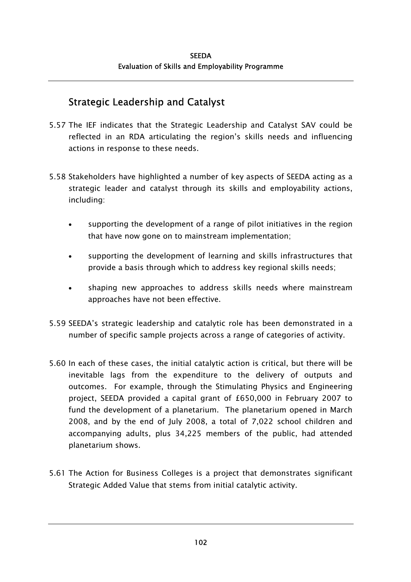### Strategic Leadership and Catalyst

- 5.57 The IEF indicates that the Strategic Leadership and Catalyst SAV could be reflected in an RDA articulating the region's skills needs and influencing actions in response to these needs.
- 5.58 Stakeholders have highlighted a number of key aspects of SEEDA acting as a strategic leader and catalyst through its skills and employability actions, including:
	- supporting the development of a range of pilot initiatives in the region that have now gone on to mainstream implementation; •
	- supporting the development of learning and skills infrastructures that provide a basis through which to address key regional skills needs;
	- shaping new approaches to address skills needs where mainstream approaches have not been effective.
- 5.59 SEEDA's strategic leadership and catalytic role has been demonstrated in a number of specific sample projects across a range of categories of activity.
- 5.60 In each of these cases, the initial catalytic action is critical, but there will be inevitable lags from the expenditure to the delivery of outputs and outcomes. For example, through the Stimulating Physics and Engineering project, SEEDA provided a capital grant of £650,000 in February 2007 to fund the development of a planetarium. The planetarium opened in March 2008, and by the end of July 2008, a total of 7,022 school children and accompanying adults, plus 34,225 members of the public, had attended planetarium shows.
- 5.61 The Action for Business Colleges is a project that demonstrates significant Strategic Added Value that stems from initial catalytic activity.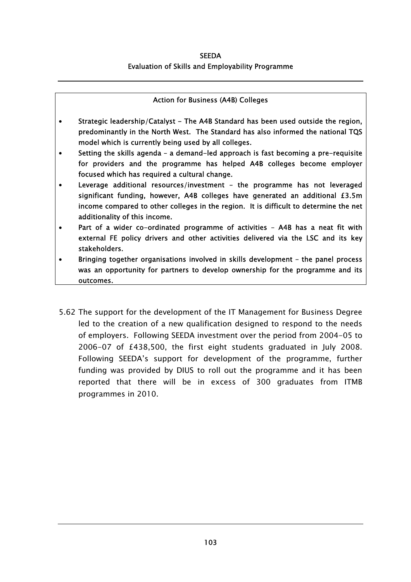#### Action for Business (A4B) Colleges

- Strategic leadership/Catalyst The A4B Standard has been used outside the region, predominantly in the North West. The Standard has also informed the national TQS model which is currently being used by all colleges.
- Setting the skills agenda a demand-led approach is fast becoming a pre-requisite for providers and the programme has helped A4B colleges become employer focused which has required a cultural change.
- Leverage additional resources/investment the programme has not leveraged significant funding, however, A4B colleges have generated an additional £3.5m income compared to other colleges in the region. It is difficult to determine the net additionality of this income.
- Part of a wider co-ordinated programme of activities A4B has a neat fit with external FE policy drivers and other activities delivered via the LSC and its key stakeholders.
- Bringing together organisations involved in skills development the panel process was an opportunity for partners to develop ownership for the programme and its outcomes.
- 5.62 The support for the development of the IT Management for Business Degree led to the creation of a new qualification designed to respond to the needs of employers. Following SEEDA investment over the period from 2004-05 to 2006-07 of £438,500, the first eight students graduated in July 2008. Following SEEDA's support for development of the programme, further funding was provided by DIUS to roll out the programme and it has been reported that there will be in excess of 300 graduates from ITMB programmes in 2010.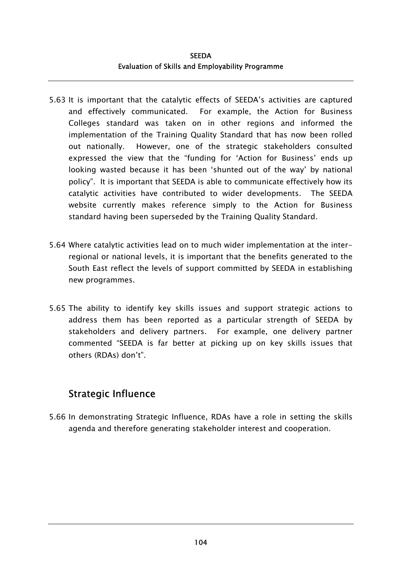- 5.63 It is important that the catalytic effects of SEEDA's activities are captured and effectively communicated. For example, the Action for Business Colleges standard was taken on in other regions and informed the implementation of the Training Quality Standard that has now been rolled out nationally. However, one of the strategic stakeholders consulted expressed the view that the "funding for 'Action for Business' ends up looking wasted because it has been 'shunted out of the way' by national policy". It is important that SEEDA is able to communicate effectively how its catalytic activities have contributed to wider developments. The SEEDA website currently makes reference simply to the Action for Business standard having been superseded by the Training Quality Standard.
- 5.64 Where catalytic activities lead on to much wider implementation at the interregional or national levels, it is important that the benefits generated to the South East reflect the levels of support committed by SEEDA in establishing new programmes.
- 5.65 The ability to identify key skills issues and support strategic actions to address them has been reported as a particular strength of SEEDA by stakeholders and delivery partners. For example, one delivery partner commented "SEEDA is far better at picking up on key skills issues that others (RDAs) don't".

### Strategic Influence

5.66 In demonstrating Strategic Influence, RDAs have a role in setting the skills agenda and therefore generating stakeholder interest and cooperation.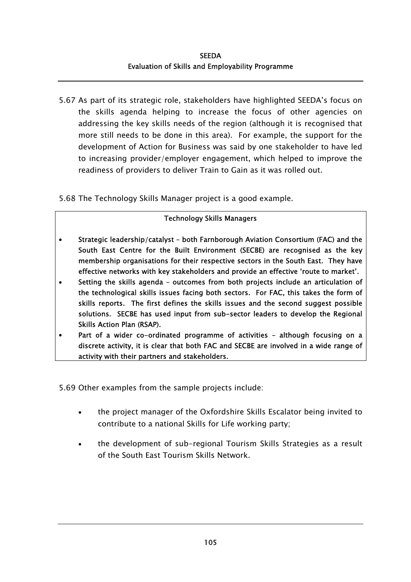5.67 As part of its strategic role, stakeholders have highlighted SEEDA's focus on the skills agenda helping to increase the focus of other agencies on addressing the key skills needs of the region (although it is recognised that more still needs to be done in this area). For example, the support for the development of Action for Business was said by one stakeholder to have led to increasing provider/employer engagement, which helped to improve the readiness of providers to deliver Train to Gain as it was rolled out.

5.68 The Technology Skills Manager project is a good example.

### Technology Skills Managers

- Strategic leadership/catalyst both Farnborough Aviation Consortium (FAC) and the South East Centre for the Built Environment (SECBE) are recognised as the key membership organisations for their respective sectors in the South East. They have effective networks with key stakeholders and provide an effective 'route to market'.
- Setting the skills agenda outcomes from both projects include an articulation of the technological skills issues facing both sectors. For FAC, this takes the form of skills reports. The first defines the skills issues and the second suggest possible solutions. SECBE has used input from sub-sector leaders to develop the Regional Skills Action Plan (RSAP).
- Part of a wider co-ordinated programme of activities although focusing on a discrete activity, it is clear that both FAC and SECBE are involved in a wide range of activity with their partners and stakeholders.

5.69 Other examples from the sample projects include:

- the project manager of the Oxfordshire Skills Escalator being invited to contribute to a national Skills for Life working party; •
- the development of sub-regional Tourism Skills Strategies as a result of the South East Tourism Skills Network.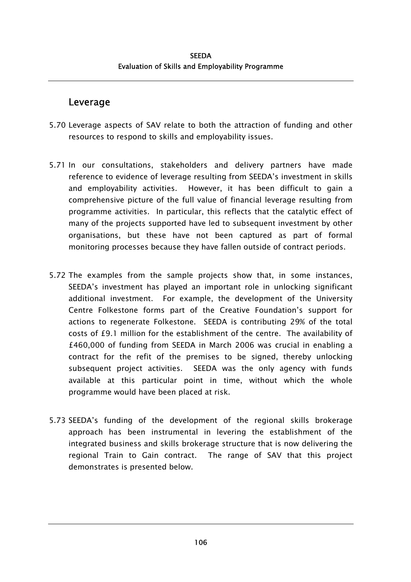### Leverage

- 5.70 Leverage aspects of SAV relate to both the attraction of funding and other resources to respond to skills and employability issues.
- 5.71 In our consultations, stakeholders and delivery partners have made reference to evidence of leverage resulting from SEEDA's investment in skills and employability activities. However, it has been difficult to gain a comprehensive picture of the full value of financial leverage resulting from programme activities. In particular, this reflects that the catalytic effect of many of the projects supported have led to subsequent investment by other organisations, but these have not been captured as part of formal monitoring processes because they have fallen outside of contract periods.
- 5.72 The examples from the sample projects show that, in some instances, SEEDA's investment has played an important role in unlocking significant additional investment. For example, the development of the University Centre Folkestone forms part of the Creative Foundation's support for actions to regenerate Folkestone. SEEDA is contributing 29% of the total costs of £9.1 million for the establishment of the centre. The availability of £460,000 of funding from SEEDA in March 2006 was crucial in enabling a contract for the refit of the premises to be signed, thereby unlocking subsequent project activities. SEEDA was the only agency with funds available at this particular point in time, without which the whole programme would have been placed at risk.
- 5.73 SEEDA's funding of the development of the regional skills brokerage approach has been instrumental in levering the establishment of the integrated business and skills brokerage structure that is now delivering the regional Train to Gain contract. The range of SAV that this project demonstrates is presented below.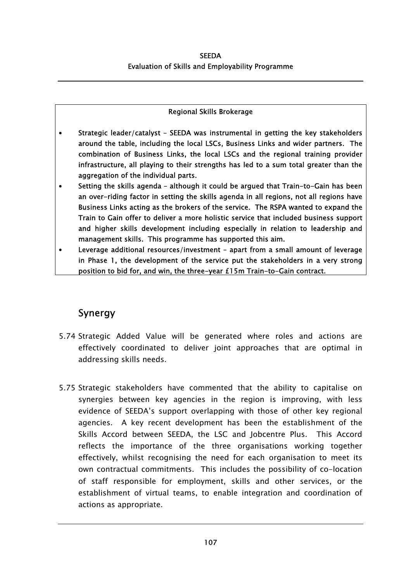### Regional Skills Brokerage

- Strategic leader/catalyst SEEDA was instrumental in getting the key stakeholders around the table, including the local LSCs, Business Links and wider partners. The combination of Business Links, the local LSCs and the regional training provider infrastructure, all playing to their strengths has led to a sum total greater than the aggregation of the individual parts.
- Setting the skills agenda although it could be argued that Train-to-Gain has been an over-riding factor in setting the skills agenda in all regions, not all regions have Business Links acting as the brokers of the service. The RSPA wanted to expand the Train to Gain offer to deliver a more holistic service that included business support and higher skills development including especially in relation to leadership and management skills. This programme has supported this aim.
- Leverage additional resources/investment apart from a small amount of leverage in Phase 1, the development of the service put the stakeholders in a very strong position to bid for, and win, the three-year £15m Train-to-Gain contract.

### Synergy

- 5.74 Strategic Added Value will be generated where roles and actions are effectively coordinated to deliver joint approaches that are optimal in addressing skills needs.
- 5.75 Strategic stakeholders have commented that the ability to capitalise on synergies between key agencies in the region is improving, with less evidence of SEEDA's support overlapping with those of other key regional agencies. A key recent development has been the establishment of the Skills Accord between SEEDA, the LSC and Jobcentre Plus. This Accord reflects the importance of the three organisations working together effectively, whilst recognising the need for each organisation to meet its own contractual commitments. This includes the possibility of co-location of staff responsible for employment, skills and other services, or the establishment of virtual teams, to enable integration and coordination of actions as appropriate.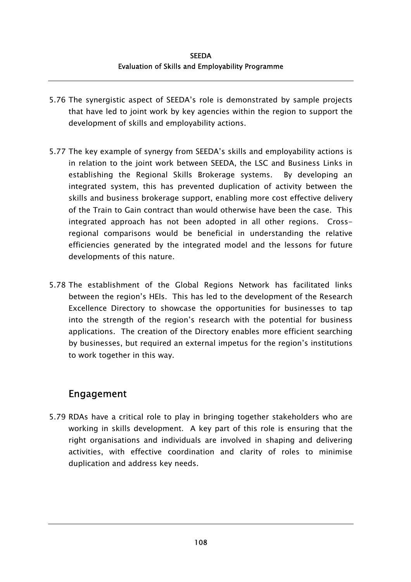- 5.76 The synergistic aspect of SEEDA's role is demonstrated by sample projects that have led to joint work by key agencies within the region to support the development of skills and employability actions.
- 5.77 The key example of synergy from SEEDA's skills and employability actions is in relation to the joint work between SEEDA, the LSC and Business Links in establishing the Regional Skills Brokerage systems. By developing an integrated system, this has prevented duplication of activity between the skills and business brokerage support, enabling more cost effective delivery of the Train to Gain contract than would otherwise have been the case. This integrated approach has not been adopted in all other regions. Crossregional comparisons would be beneficial in understanding the relative efficiencies generated by the integrated model and the lessons for future developments of this nature.
- 5.78 The establishment of the Global Regions Network has facilitated links between the region's HEIs. This has led to the development of the Research Excellence Directory to showcase the opportunities for businesses to tap into the strength of the region's research with the potential for business applications. The creation of the Directory enables more efficient searching by businesses, but required an external impetus for the region's institutions to work together in this way.

### Engagement

5.79 RDAs have a critical role to play in bringing together stakeholders who are working in skills development. A key part of this role is ensuring that the right organisations and individuals are involved in shaping and delivering activities, with effective coordination and clarity of roles to minimise duplication and address key needs.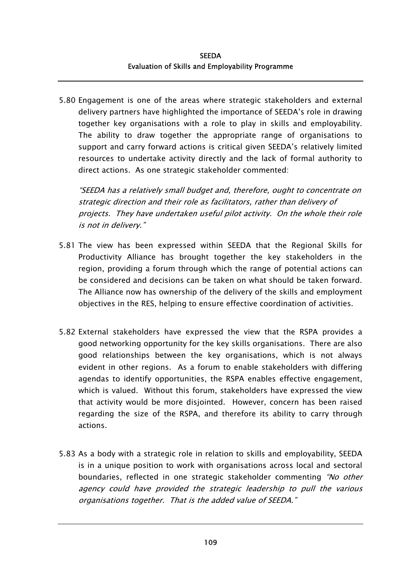5.80 Engagement is one of the areas where strategic stakeholders and external delivery partners have highlighted the importance of SEEDA's role in drawing together key organisations with a role to play in skills and employability. The ability to draw together the appropriate range of organisations to support and carry forward actions is critical given SEEDA's relatively limited resources to undertake activity directly and the lack of formal authority to direct actions. As one strategic stakeholder commented:

"SEEDA has a relatively small budget and, therefore, ought to concentrate on strategic direction and their role as facilitators, rather than delivery of projects. They have undertaken useful pilot activity. On the whole their role is not in delivery."

- 5.81 The view has been expressed within SEEDA that the Regional Skills for Productivity Alliance has brought together the key stakeholders in the region, providing a forum through which the range of potential actions can be considered and decisions can be taken on what should be taken forward. The Alliance now has ownership of the delivery of the skills and employment objectives in the RES, helping to ensure effective coordination of activities.
- 5.82 External stakeholders have expressed the view that the RSPA provides a good networking opportunity for the key skills organisations. There are also good relationships between the key organisations, which is not always evident in other regions. As a forum to enable stakeholders with differing agendas to identify opportunities, the RSPA enables effective engagement, which is valued. Without this forum, stakeholders have expressed the view that activity would be more disjointed. However, concern has been raised regarding the size of the RSPA, and therefore its ability to carry through actions.
- 5.83 As a body with a strategic role in relation to skills and employability, SEEDA is in a unique position to work with organisations across local and sectoral boundaries, reflected in one strategic stakeholder commenting "No other agency could have provided the strategic leadership to pull the various organisations together. That is the added value of SEEDA."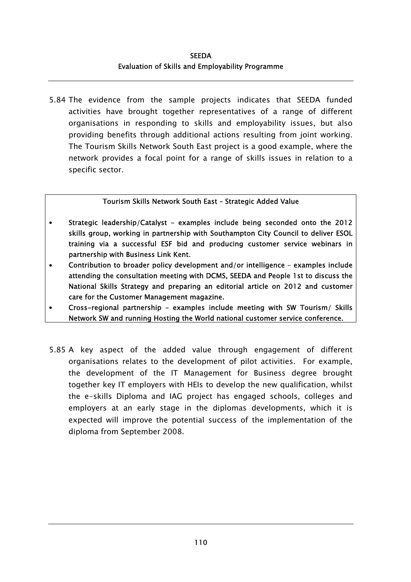5.84 The evidence from the sample projects indicates that SEEDA funded activities have brought together representatives of a range of different organisations in responding to skills and employability issues, but also providing benefits through additional actions resulting from joint working. The Tourism Skills Network South East project is a good example, where the network provides a focal point for a range of skills issues in relation to a specific sector.

### Tourism Skills Network South East – Strategic Added Value

- Strategic leadership/Catalyst examples include being seconded onto the 2012 skills group, working in partnership with Southampton City Council to deliver ESOL training via a successful ESF bid and producing customer service webinars in partnership with Business Link Kent.
- Contribution to broader policy development and/or intelligence examples include attending the consultation meeting with DCMS, SEEDA and People 1st to discuss the National Skills Strategy and preparing an editorial article on 2012 and customer care for the Customer Management magazine.
- Cross-regional partnership examples include meeting with SW Tourism/ Skills Network SW and running Hosting the World national customer service conference.
- 5.85 A key aspect of the added value through engagement of different organisations relates to the development of pilot activities. For example, the development of the IT Management for Business degree brought together key IT employers with HEIs to develop the new qualification, whilst the e-skills Diploma and IAG project has engaged schools, colleges and employers at an early stage in the diplomas developments, which it is expected will improve the potential success of the implementation of the diploma from September 2008.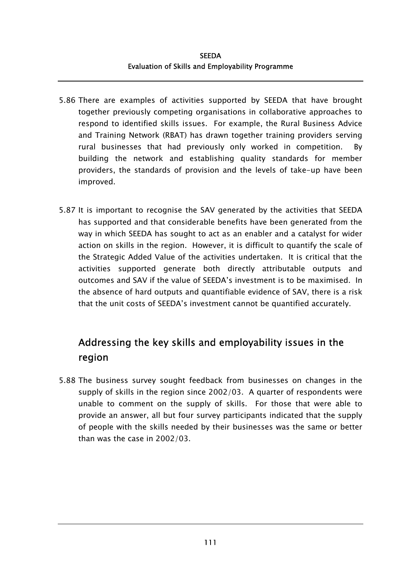- 5.86 There are examples of activities supported by SEEDA that have brought together previously competing organisations in collaborative approaches to respond to identified skills issues. For example, the Rural Business Advice and Training Network (RBAT) has drawn together training providers serving rural businesses that had previously only worked in competition. By building the network and establishing quality standards for member providers, the standards of provision and the levels of take-up have been improved.
- 5.87 It is important to recognise the SAV generated by the activities that SEEDA has supported and that considerable benefits have been generated from the way in which SEEDA has sought to act as an enabler and a catalyst for wider action on skills in the region. However, it is difficult to quantify the scale of the Strategic Added Value of the activities undertaken. It is critical that the activities supported generate both directly attributable outputs and outcomes and SAV if the value of SEEDA's investment is to be maximised. In the absence of hard outputs and quantifiable evidence of SAV, there is a risk that the unit costs of SEEDA's investment cannot be quantified accurately.

# Addressing the key skills and employability issues in the region

5.88 The business survey sought feedback from businesses on changes in the supply of skills in the region since 2002/03. A quarter of respondents were unable to comment on the supply of skills. For those that were able to provide an answer, all but four survey participants indicated that the supply of people with the skills needed by their businesses was the same or better than was the case in 2002/03.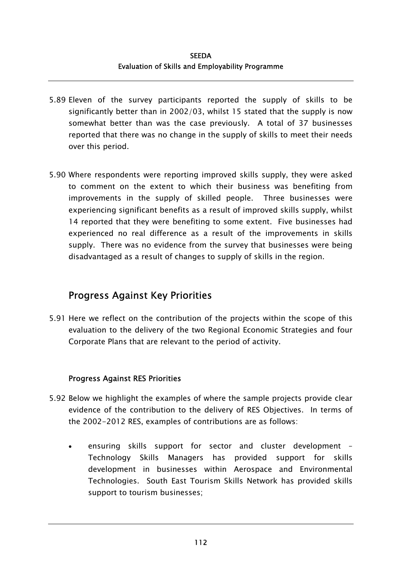- 5.89 Eleven of the survey participants reported the supply of skills to be significantly better than in 2002/03, whilst 15 stated that the supply is now somewhat better than was the case previously. A total of 37 businesses reported that there was no change in the supply of skills to meet their needs over this period.
- 5.90 Where respondents were reporting improved skills supply, they were asked to comment on the extent to which their business was benefiting from improvements in the supply of skilled people. Three businesses were experiencing significant benefits as a result of improved skills supply, whilst 14 reported that they were benefiting to some extent. Five businesses had experienced no real difference as a result of the improvements in skills supply. There was no evidence from the survey that businesses were being disadvantaged as a result of changes to supply of skills in the region.

### Progress Against Key Priorities

5.91 Here we reflect on the contribution of the projects within the scope of this evaluation to the delivery of the two Regional Economic Strategies and four Corporate Plans that are relevant to the period of activity.

### Progress Against RES Priorities

- 5.92 Below we highlight the examples of where the sample projects provide clear evidence of the contribution to the delivery of RES Objectives. In terms of the 2002-2012 RES, examples of contributions are as follows:
	- ensuring skills support for sector and cluster development Technology Skills Managers has provided support for skills development in businesses within Aerospace and Environmental Technologies. South East Tourism Skills Network has provided skills support to tourism businesses;  $\bullet$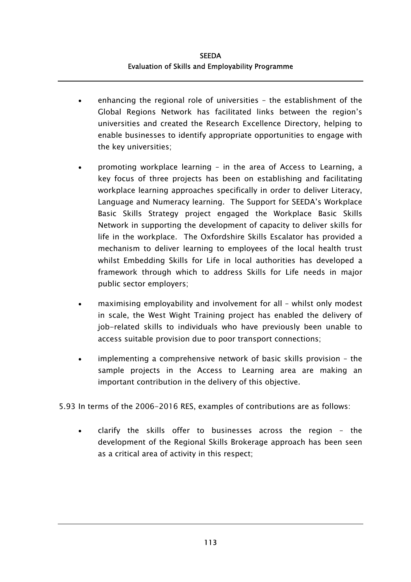- enhancing the regional role of universities the establishment of the Global Regions Network has facilitated links between the region's universities and created the Research Excellence Directory, helping to enable businesses to identify appropriate opportunities to engage with the key universities; •
- promoting workplace learning – in the area of Access to Learning, a key focus of three projects has been on establishing and facilitating workplace learning approaches specifically in order to deliver Literacy, Language and Numeracy learning. The Support for SEEDA's Workplace Basic Skills Strategy project engaged the Workplace Basic Skills Network in supporting the development of capacity to deliver skills for life in the workplace. The Oxfordshire Skills Escalator has provided a mechanism to deliver learning to employees of the local health trust whilst Embedding Skills for Life in local authorities has developed a framework through which to address Skills for Life needs in major public sector employers;
- maximising employability and involvement for all – whilst only modest in scale, the West Wight Training project has enabled the delivery of job-related skills to individuals who have previously been unable to access suitable provision due to poor transport connections;
- implementing a comprehensive network of basic skills provision – the sample projects in the Access to Learning area are making an important contribution in the delivery of this objective.

5.93 In terms of the 2006-2016 RES, examples of contributions are as follows:

• clarify the skills offer to businesses across the region – the development of the Regional Skills Brokerage approach has been seen as a critical area of activity in this respect;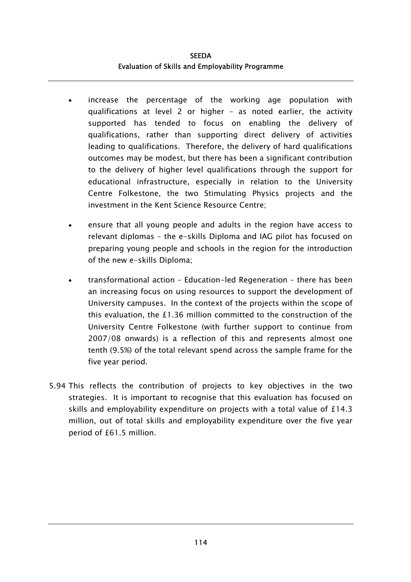- increase the percentage of the working age population with qualifications at level 2 or higher – as noted earlier, the activity supported has tended to focus on enabling the delivery of qualifications, rather than supporting direct delivery of activities leading to qualifications. Therefore, the delivery of hard qualifications outcomes may be modest, but there has been a significant contribution to the delivery of higher level qualifications through the support for educational infrastructure, especially in relation to the University Centre Folkestone, the two Stimulating Physics projects and the investment in the Kent Science Resource Centre; •
- ensure that all young people and adults in the region have access to relevant diplomas – the e-skills Diploma and IAG pilot has focused on preparing young people and schools in the region for the introduction of the new e-skills Diploma;
- transformational action – Education-led Regeneration – there has been an increasing focus on using resources to support the development of University campuses. In the context of the projects within the scope of this evaluation, the £1.36 million committed to the construction of the University Centre Folkestone (with further support to continue from 2007/08 onwards) is a reflection of this and represents almost one tenth (9.5%) of the total relevant spend across the sample frame for the five year period.
- 5.94 This reflects the contribution of projects to key objectives in the two strategies. It is important to recognise that this evaluation has focused on skills and employability expenditure on projects with a total value of £14.3 million, out of total skills and employability expenditure over the five year period of £61.5 million.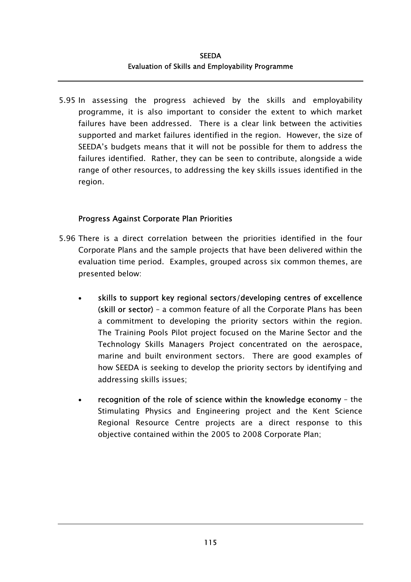#### **SEEDA** Evaluation of Skills and Employability Programme

5.95 In assessing the progress achieved by the skills and employability programme, it is also important to consider the extent to which market failures have been addressed. There is a clear link between the activities supported and market failures identified in the region. However, the size of SEEDA's budgets means that it will not be possible for them to address the failures identified. Rather, they can be seen to contribute, alongside a wide range of other resources, to addressing the key skills issues identified in the region.

#### Progress Against Corporate Plan Priorities

- 5.96 There is a direct correlation between the priorities identified in the four Corporate Plans and the sample projects that have been delivered within the evaluation time period. Examples, grouped across six common themes, are presented below:
	- skills to support key regional sectors/developing centres of excellence (skill or sector) – a common feature of all the Corporate Plans has been a commitment to developing the priority sectors within the region. The Training Pools Pilot project focused on the Marine Sector and the Technology Skills Managers Project concentrated on the aerospace, marine and built environment sectors. There are good examples of how SEEDA is seeking to develop the priority sectors by identifying and addressing skills issues; •
	- recognition of the role of science within the knowledge economy the Stimulating Physics and Engineering project and the Kent Science Regional Resource Centre projects are a direct response to this objective contained within the 2005 to 2008 Corporate Plan;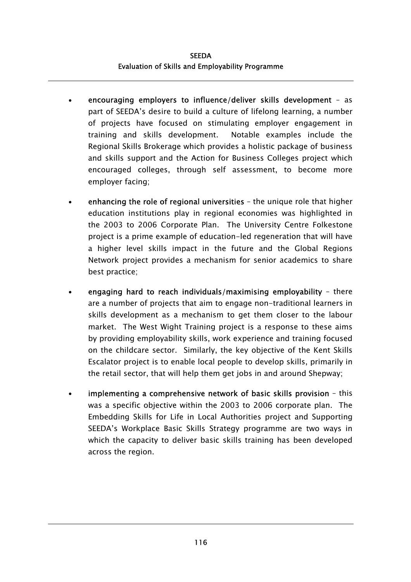**SEEDA** Evaluation of Skills and Employability Programme

- encouraging employers to influence/deliver skills development as part of SEEDA's desire to build a culture of lifelong learning, a number of projects have focused on stimulating employer engagement in training and skills development. Notable examples include the Regional Skills Brokerage which provides a holistic package of business and skills support and the Action for Business Colleges project which encouraged colleges, through self assessment, to become more employer facing; •
- enhancing the role of regional universities – the unique role that higher education institutions play in regional economies was highlighted in the 2003 to 2006 Corporate Plan. The University Centre Folkestone project is a prime example of education-led regeneration that will have a higher level skills impact in the future and the Global Regions Network project provides a mechanism for senior academics to share best practice;
- engaging hard to reach individuals/maximising employability – there are a number of projects that aim to engage non-traditional learners in skills development as a mechanism to get them closer to the labour market. The West Wight Training project is a response to these aims by providing employability skills, work experience and training focused on the childcare sector. Similarly, the key objective of the Kent Skills Escalator project is to enable local people to develop skills, primarily in the retail sector, that will help them get jobs in and around Shepway;
- implementing a comprehensive network of basic skills provision – this was a specific objective within the 2003 to 2006 corporate plan. The Embedding Skills for Life in Local Authorities project and Supporting SEEDA's Workplace Basic Skills Strategy programme are two ways in which the capacity to deliver basic skills training has been developed across the region.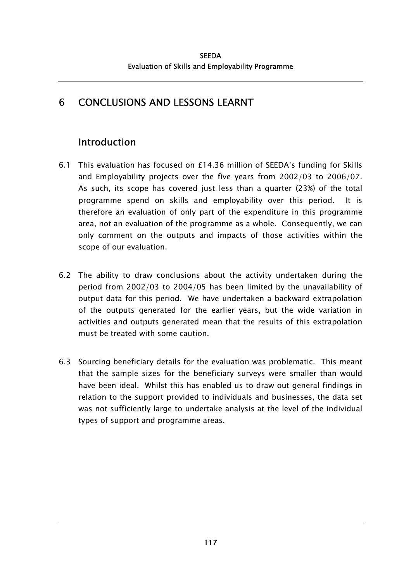# 6 CONCLUSIONS AND LESSONS LEARNT

# Introduction

- 6.1 This evaluation has focused on £14.36 million of SEEDA's funding for Skills and Employability projects over the five years from 2002/03 to 2006/07. As such, its scope has covered just less than a quarter (23%) of the total programme spend on skills and employability over this period. It is therefore an evaluation of only part of the expenditure in this programme area, not an evaluation of the programme as a whole. Consequently, we can only comment on the outputs and impacts of those activities within the scope of our evaluation.
- 6.2 The ability to draw conclusions about the activity undertaken during the period from 2002/03 to 2004/05 has been limited by the unavailability of output data for this period. We have undertaken a backward extrapolation of the outputs generated for the earlier years, but the wide variation in activities and outputs generated mean that the results of this extrapolation must be treated with some caution.
- 6.3 Sourcing beneficiary details for the evaluation was problematic. This meant that the sample sizes for the beneficiary surveys were smaller than would have been ideal. Whilst this has enabled us to draw out general findings in relation to the support provided to individuals and businesses, the data set was not sufficiently large to undertake analysis at the level of the individual types of support and programme areas.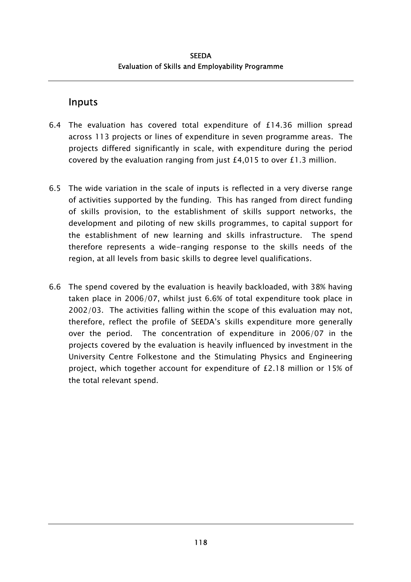### Inputs

- 6.4 The evaluation has covered total expenditure of £14.36 million spread across 113 projects or lines of expenditure in seven programme areas. The projects differed significantly in scale, with expenditure during the period covered by the evaluation ranging from just £4,015 to over £1.3 million.
- 6.5 The wide variation in the scale of inputs is reflected in a very diverse range of activities supported by the funding. This has ranged from direct funding of skills provision, to the establishment of skills support networks, the development and piloting of new skills programmes, to capital support for the establishment of new learning and skills infrastructure. The spend therefore represents a wide-ranging response to the skills needs of the region, at all levels from basic skills to degree level qualifications.
- 6.6 The spend covered by the evaluation is heavily backloaded, with 38% having taken place in 2006/07, whilst just 6.6% of total expenditure took place in 2002/03. The activities falling within the scope of this evaluation may not, therefore, reflect the profile of SEEDA's skills expenditure more generally over the period. The concentration of expenditure in 2006/07 in the projects covered by the evaluation is heavily influenced by investment in the University Centre Folkestone and the Stimulating Physics and Engineering project, which together account for expenditure of £2.18 million or 15% of the total relevant spend.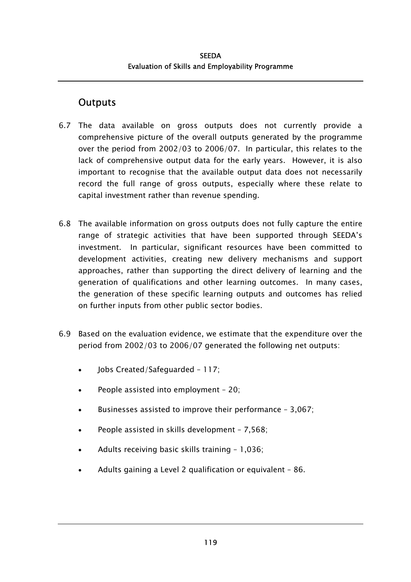## **Outputs**

- 6.7 The data available on gross outputs does not currently provide a comprehensive picture of the overall outputs generated by the programme over the period from 2002/03 to 2006/07. In particular, this relates to the lack of comprehensive output data for the early years. However, it is also important to recognise that the available output data does not necessarily record the full range of gross outputs, especially where these relate to capital investment rather than revenue spending.
- 6.8 The available information on gross outputs does not fully capture the entire range of strategic activities that have been supported through SEEDA's investment. In particular, significant resources have been committed to development activities, creating new delivery mechanisms and support approaches, rather than supporting the direct delivery of learning and the generation of qualifications and other learning outcomes. In many cases, the generation of these specific learning outputs and outcomes has relied on further inputs from other public sector bodies.
- 6.9 Based on the evaluation evidence, we estimate that the expenditure over the period from 2002/03 to 2006/07 generated the following net outputs:
	- Jobs Created/Safeguarded 117;
	- People assisted into employment – 20;
	- Businesses assisted to improve their performance – 3,067;
	- People assisted in skills development – 7,568;
	- Adults receiving basic skills training – 1,036;
	- Adults gaining a Level 2 qualification or equivalent – 86.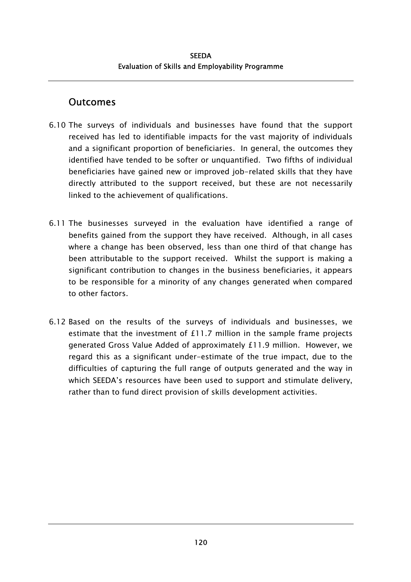### **Outcomes**

- 6.10 The surveys of individuals and businesses have found that the support received has led to identifiable impacts for the vast majority of individuals and a significant proportion of beneficiaries. In general, the outcomes they identified have tended to be softer or unquantified. Two fifths of individual beneficiaries have gained new or improved job-related skills that they have directly attributed to the support received, but these are not necessarily linked to the achievement of qualifications.
- 6.11 The businesses surveyed in the evaluation have identified a range of benefits gained from the support they have received. Although, in all cases where a change has been observed, less than one third of that change has been attributable to the support received. Whilst the support is making a significant contribution to changes in the business beneficiaries, it appears to be responsible for a minority of any changes generated when compared to other factors.
- 6.12 Based on the results of the surveys of individuals and businesses, we estimate that the investment of £11.7 million in the sample frame projects generated Gross Value Added of approximately £11.9 million. However, we regard this as a significant under-estimate of the true impact, due to the difficulties of capturing the full range of outputs generated and the way in which SEEDA's resources have been used to support and stimulate delivery, rather than to fund direct provision of skills development activities.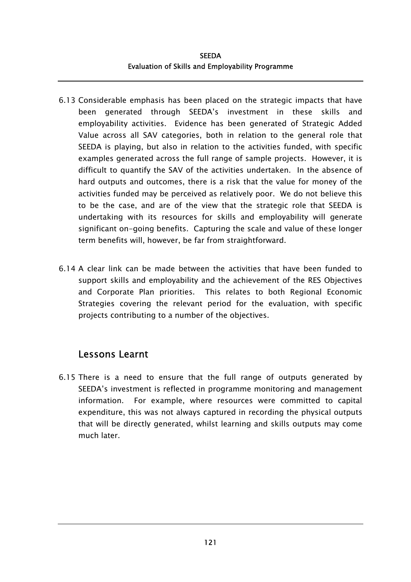#### **SEEDA** Evaluation of Skills and Employability Programme

- 6.13 Considerable emphasis has been placed on the strategic impacts that have been generated through SEEDA's investment in these skills and employability activities. Evidence has been generated of Strategic Added Value across all SAV categories, both in relation to the general role that SEEDA is playing, but also in relation to the activities funded, with specific examples generated across the full range of sample projects. However, it is difficult to quantify the SAV of the activities undertaken. In the absence of hard outputs and outcomes, there is a risk that the value for money of the activities funded may be perceived as relatively poor. We do not believe this to be the case, and are of the view that the strategic role that SEEDA is undertaking with its resources for skills and employability will generate significant on-going benefits. Capturing the scale and value of these longer term benefits will, however, be far from straightforward.
- 6.14 A clear link can be made between the activities that have been funded to support skills and employability and the achievement of the RES Objectives and Corporate Plan priorities. This relates to both Regional Economic Strategies covering the relevant period for the evaluation, with specific projects contributing to a number of the objectives.

## Lessons Learnt

6.15 There is a need to ensure that the full range of outputs generated by SEEDA's investment is reflected in programme monitoring and management information. For example, where resources were committed to capital expenditure, this was not always captured in recording the physical outputs that will be directly generated, whilst learning and skills outputs may come much later.